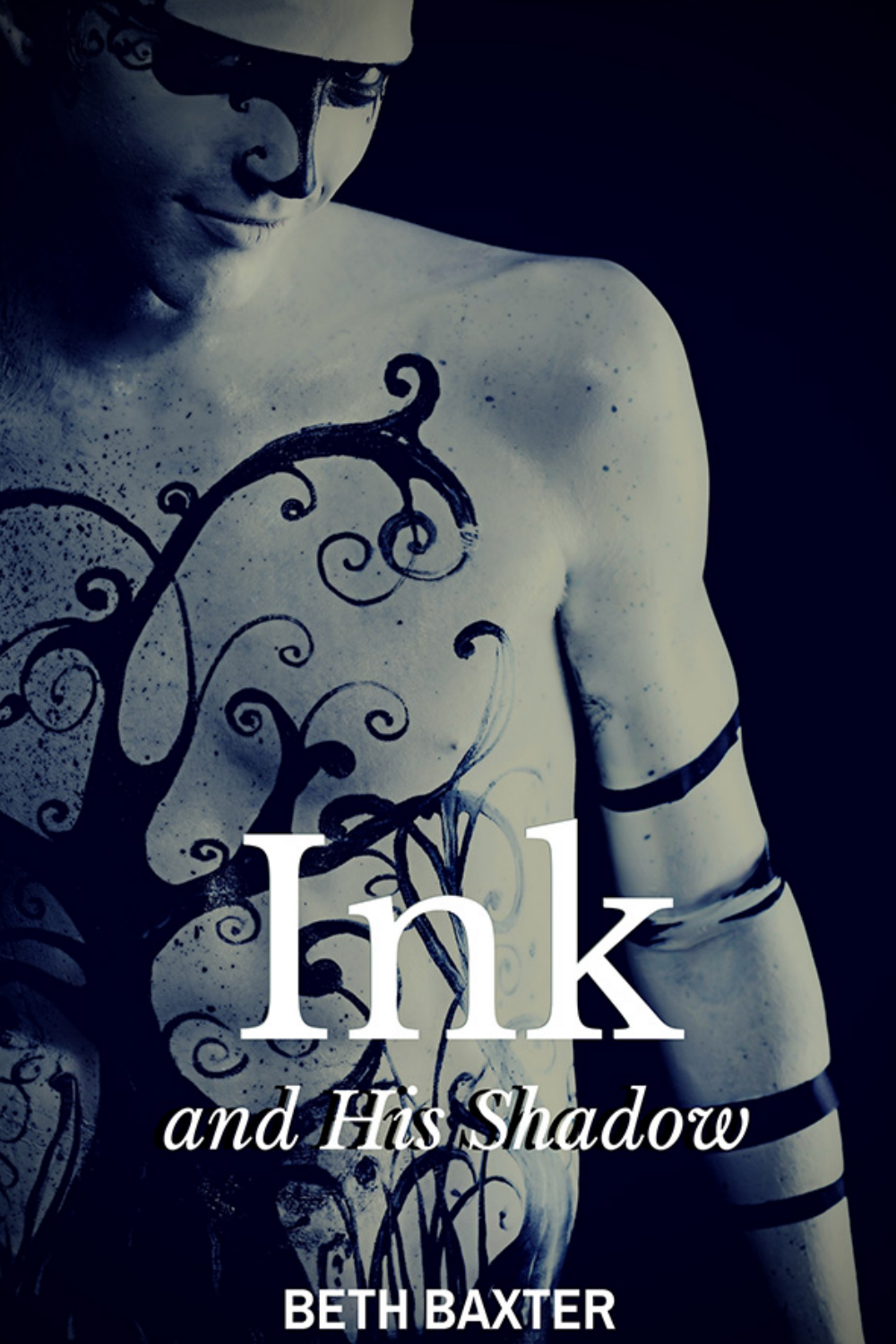# $\bullet$ **His Shadow** and В **AXTER**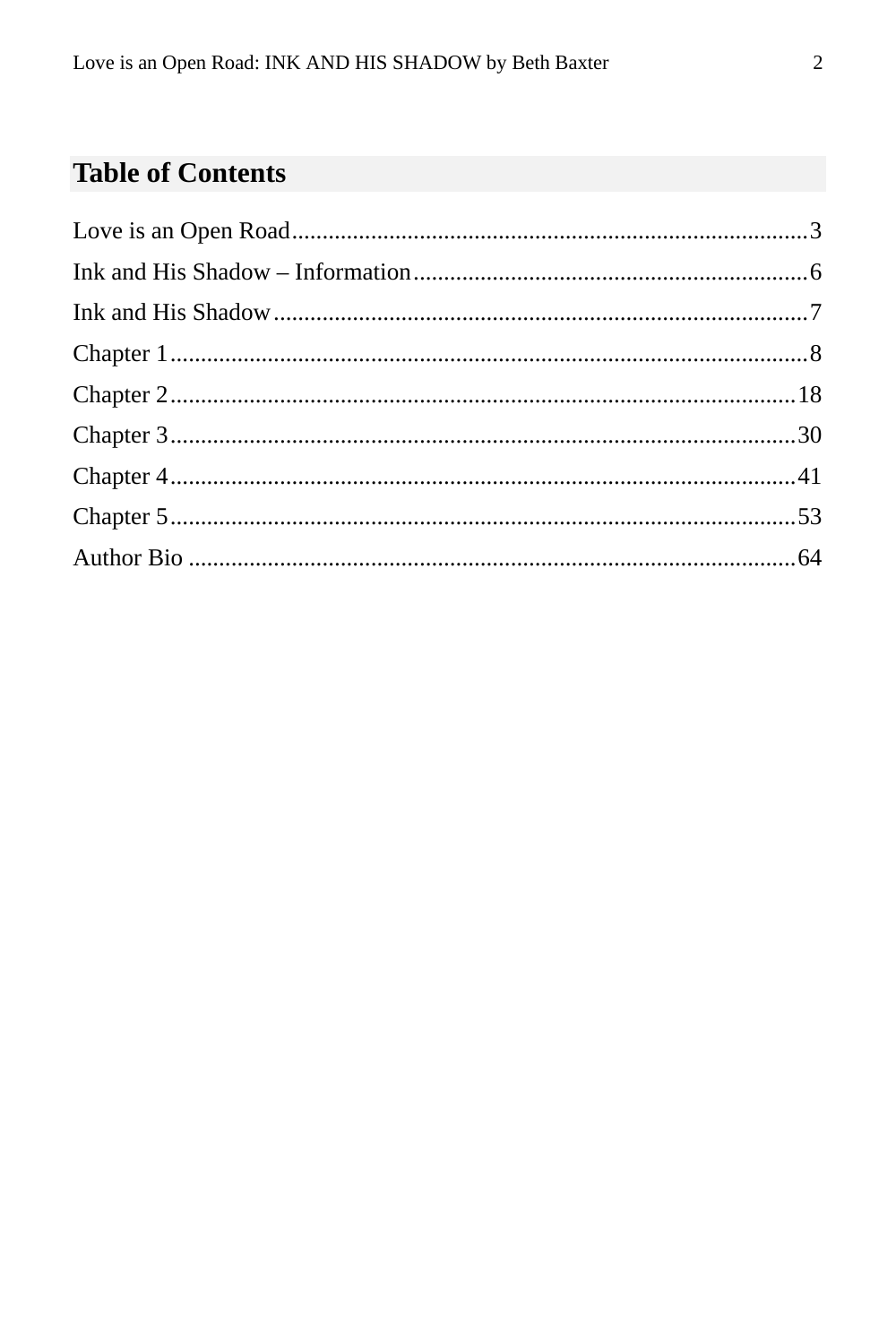#### **Table of Contents**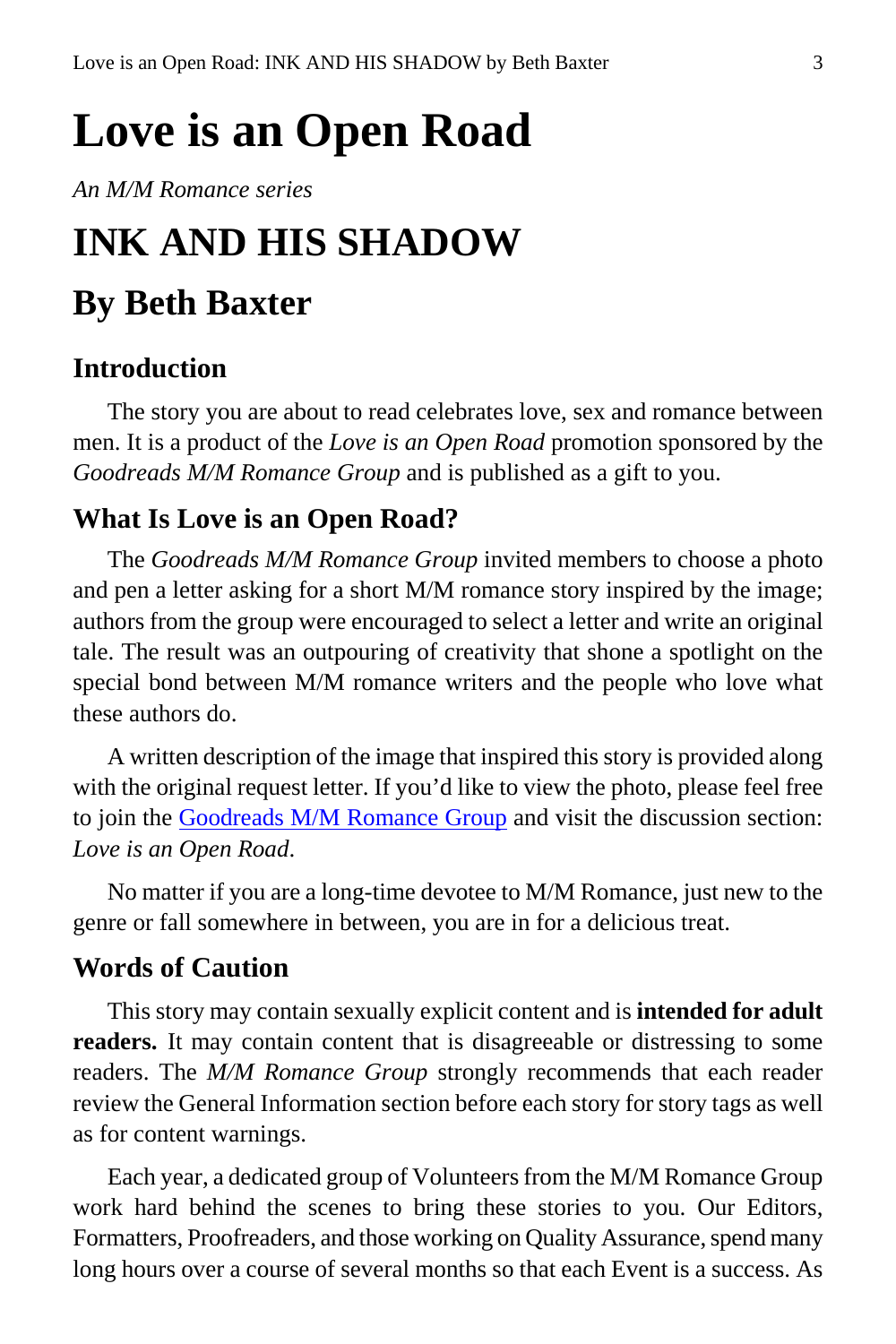# <span id="page-2-0"></span>**Love is an Open Road**

*An M/M Romance series*

## **INK AND HIS SHADOW**

### **By Beth Baxter**

#### **Introduction**

The story you are about to read celebrates love, sex and romance between men. It is a product of the *Love is an Open Road* promotion sponsored by the *Goodreads M/M Romance Group* and is published as a gift to you.

#### **What Is Love is an Open Road?**

The *Goodreads M/M Romance Group* invited members to choose a photo and pen a letter asking for a short M/M romance story inspired by the image; authors from the group were encouraged to select a letter and write an original tale. The result was an outpouring of creativity that shone a spotlight on the special bond between M/M romance writers and the people who love what these authors do.

A written description of the image that inspired this story is provided along with the original request letter. If you'd like to view the photo, please feel free to join the [Goodreads M/M Romance Group](http://www.goodreads.com/group/show/20149-m-m-romance) and visit the discussion section: *Love is an Open Road*.

No matter if you are a long-time devotee to M/M Romance, just new to the genre or fall somewhere in between, you are in for a delicious treat.

#### **Words of Caution**

This story may contain sexually explicit content and is **intended for adult readers.** It may contain content that is disagreeable or distressing to some readers. The *M/M Romance Group* strongly recommends that each reader review the General Information section before each story for story tags as well as for content warnings.

Each year, a dedicated group of Volunteers from the M/M Romance Group work hard behind the scenes to bring these stories to you. Our Editors, Formatters, Proofreaders, and those working on Quality Assurance, spend many long hours over a course of several months so that each Event is a success. As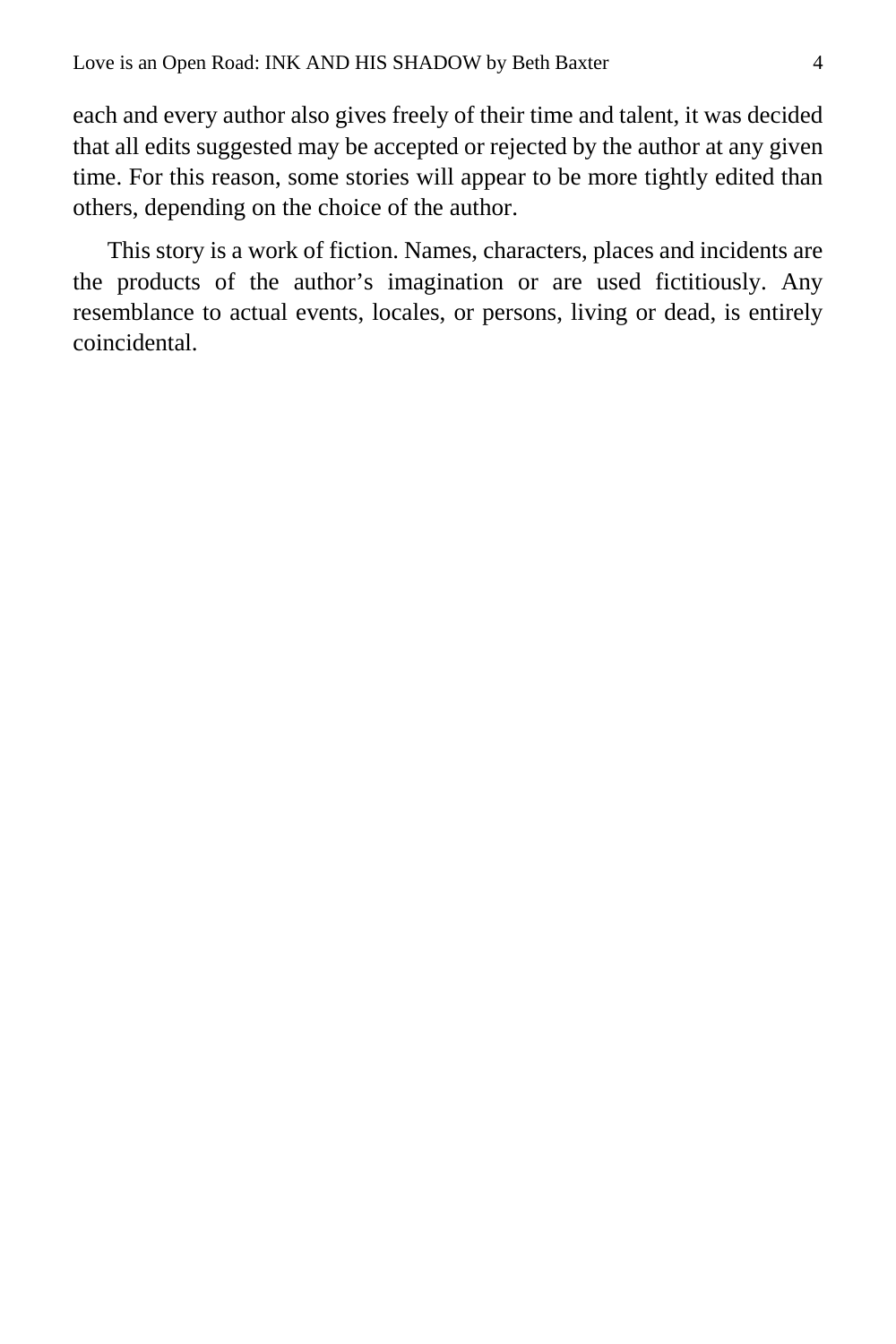each and every author also gives freely of their time and talent, it was decided that all edits suggested may be accepted or rejected by the author at any given time. For this reason, some stories will appear to be more tightly edited than others, depending on the choice of the author.

This story is a work of fiction. Names, characters, places and incidents are the products of the author's imagination or are used fictitiously. Any resemblance to actual events, locales, or persons, living or dead, is entirely coincidental.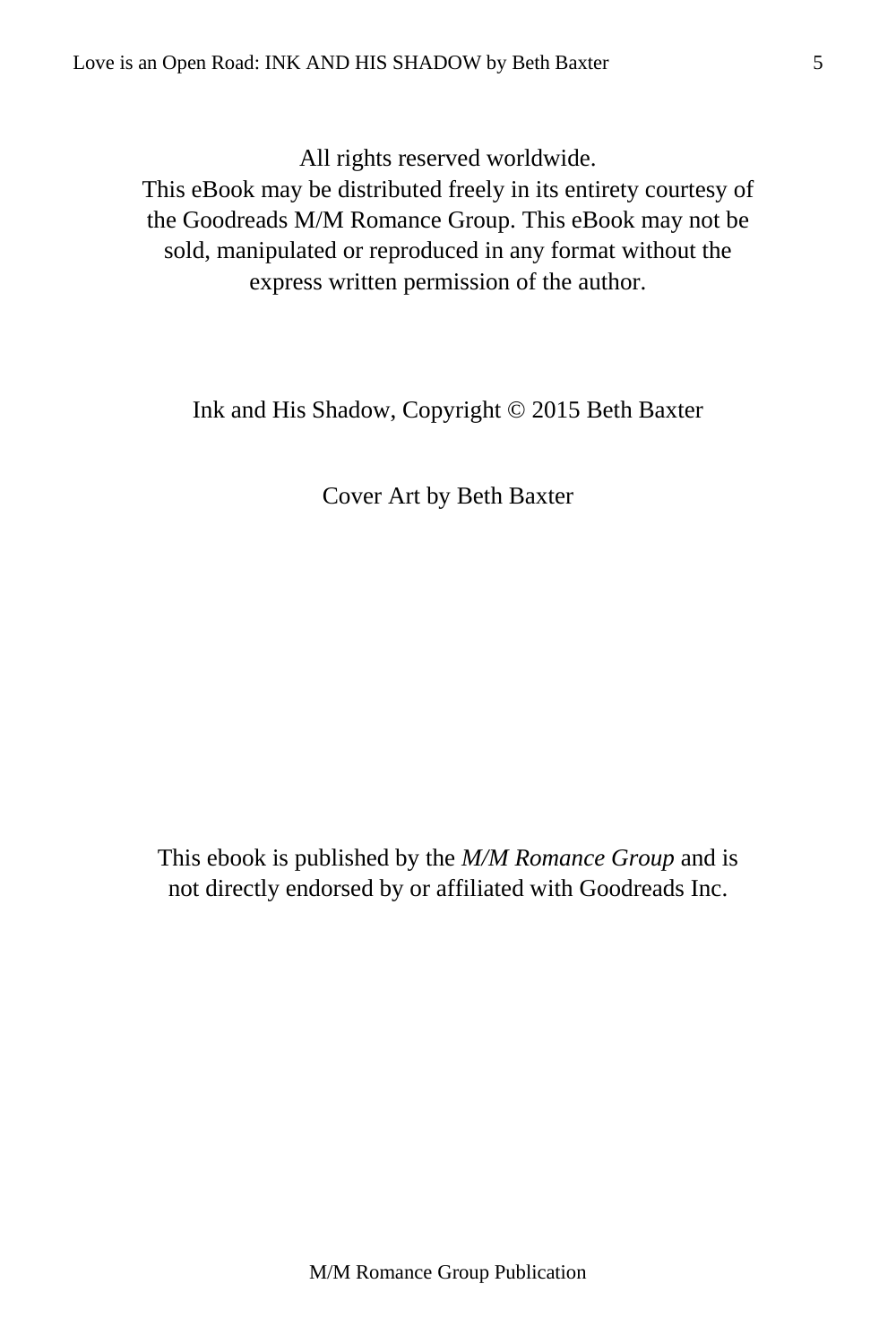All rights reserved worldwide.

This eBook may be distributed freely in its entirety courtesy of the Goodreads M/M Romance Group. This eBook may not be sold, manipulated or reproduced in any format without the express written permission of the author.

Ink and His Shadow, Copyright © 2015 Beth Baxter

Cover Art by Beth Baxter

This ebook is published by the *M/M Romance Group* and is not directly endorsed by or affiliated with Goodreads Inc.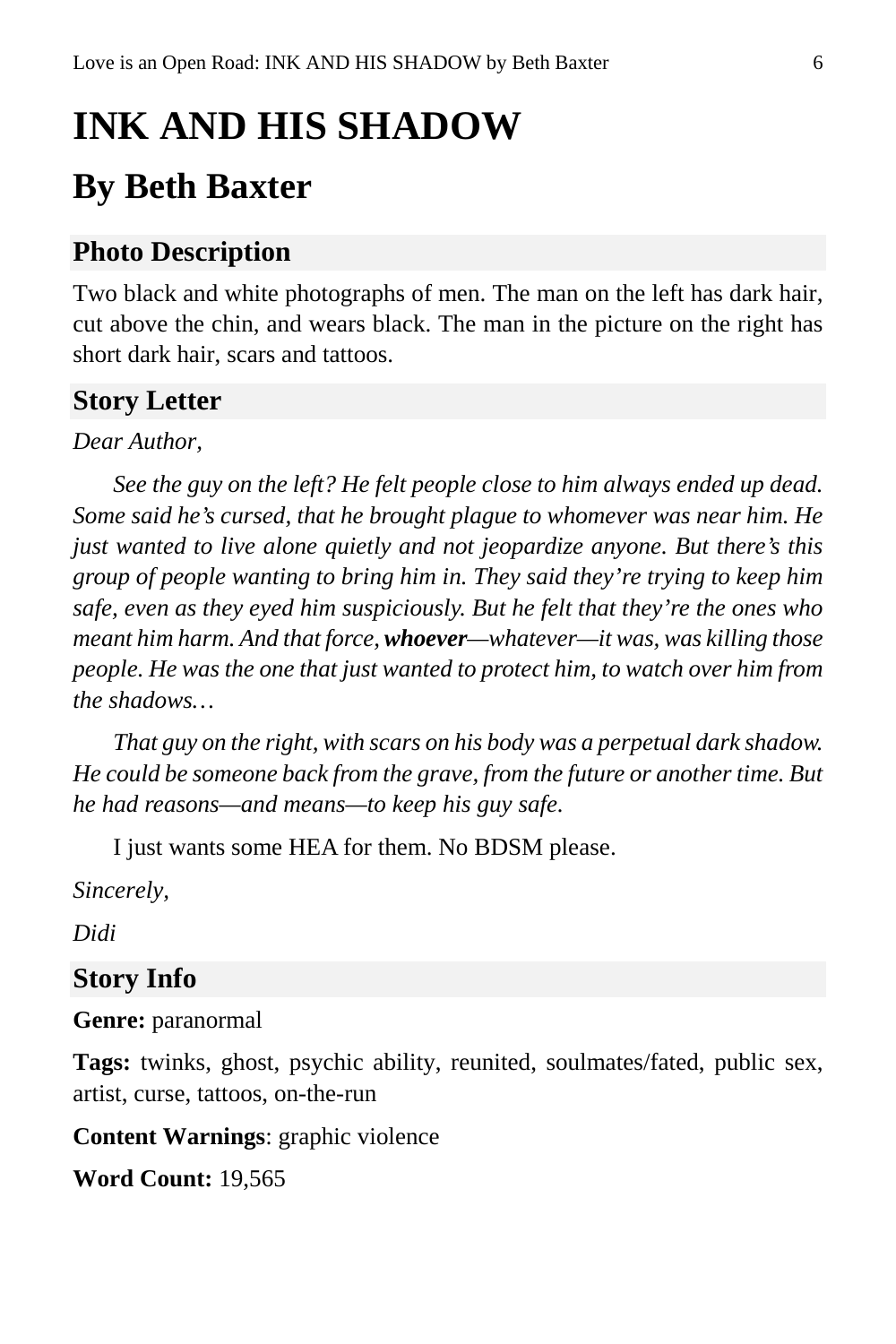# <span id="page-5-0"></span>**INK AND HIS SHADOW**

## **By Beth Baxter**

#### **Photo Description**

Two black and white photographs of men. The man on the left has dark hair, cut above the chin, and wears black. The man in the picture on the right has short dark hair, scars and tattoos.

#### **Story Letter**

#### *Dear Author,*

*See the guy on the left? He felt people close to him always ended up dead. Some said he's cursed, that he brought plague to whomever was near him. He just wanted to live alone quietly and not jeopardize anyone. But there's this group of people wanting to bring him in. They said they're trying to keep him safe, even as they eyed him suspiciously. But he felt that they're the ones who meant him harm. And that force, whoever—whatever—it was, was killing those people. He was the one that just wanted to protect him, to watch over him from the shadows…*

*That guy on the right, with scars on his body was a perpetual dark shadow. He could be someone back from the grave, from the future or another time. But he had reasons—and means—to keep his guy safe.*

I just wants some HEA for them. No BDSM please.

*Sincerely,*

*Didi*

#### **Story Info**

**Genre:** paranormal

**Tags:** twinks, ghost, psychic ability, reunited, soulmates/fated, public sex, artist, curse, tattoos, on-the-run

**Content Warnings**: graphic violence

**Word Count:** 19,565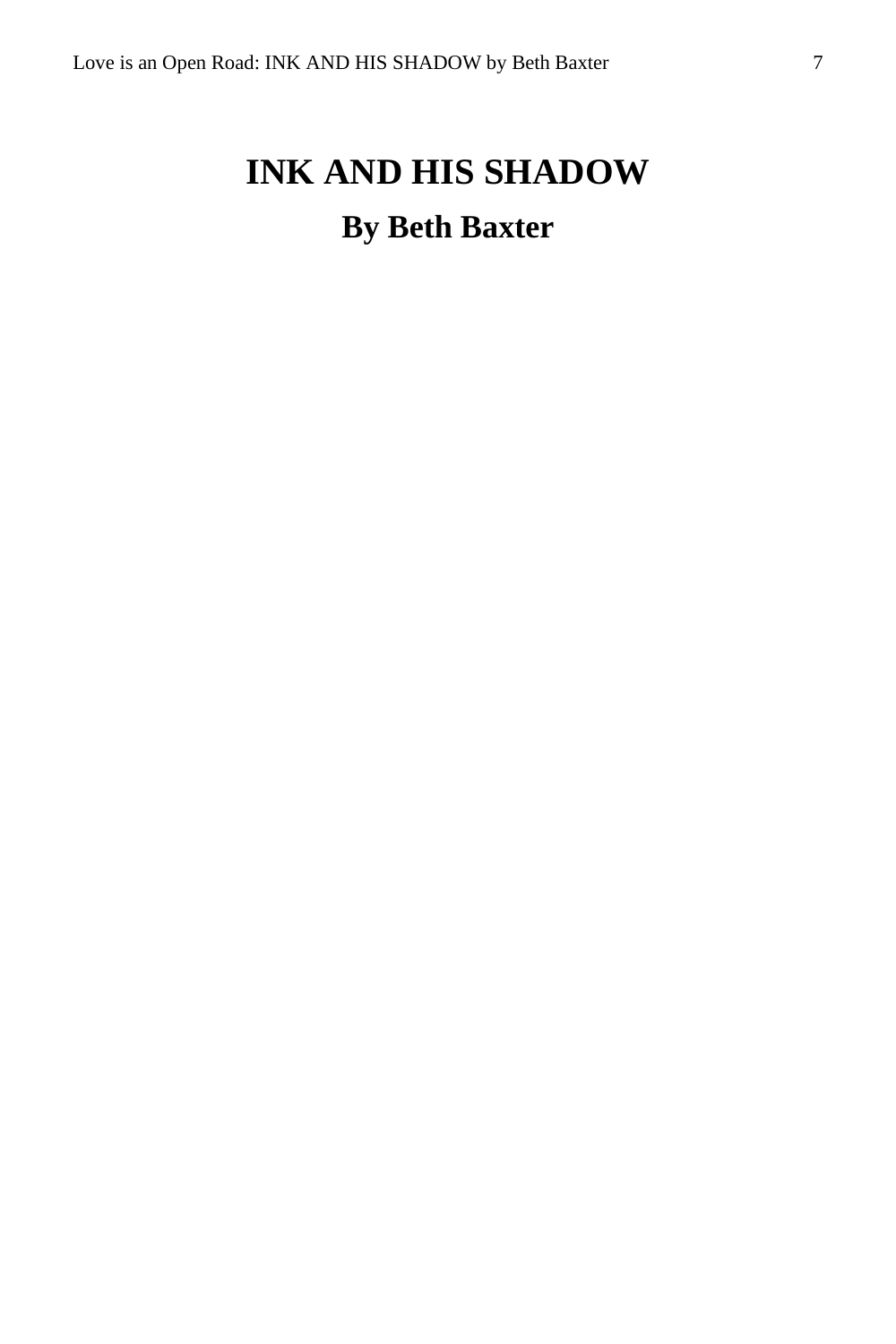## <span id="page-6-0"></span>**INK AND HIS SHADOW By Beth Baxter**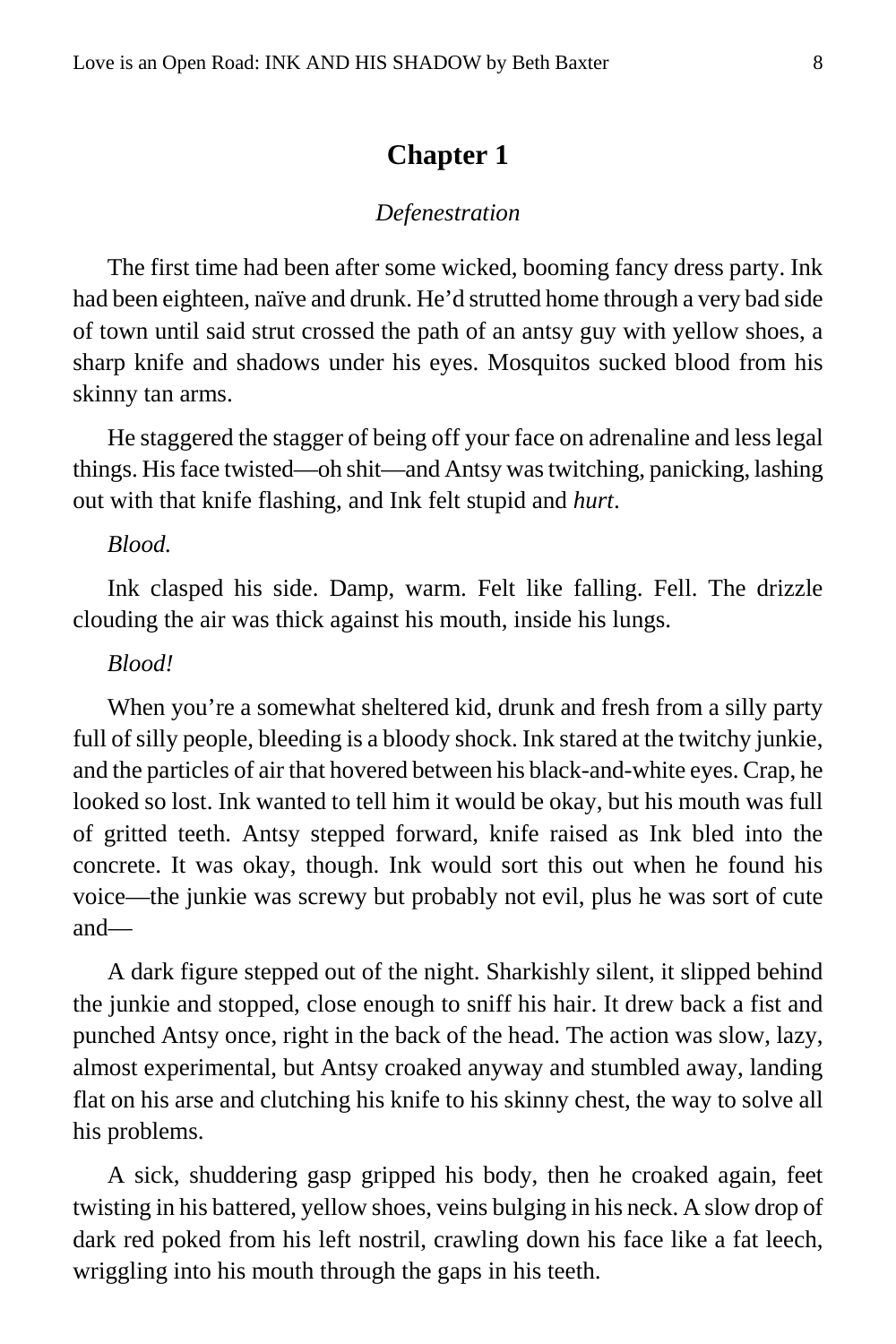#### **Chapter 1**

#### *Defenestration*

<span id="page-7-0"></span>The first time had been after some wicked, booming fancy dress party. Ink had been eighteen, naïve and drunk. He'd strutted home through a very bad side of town until said strut crossed the path of an antsy guy with yellow shoes, a sharp knife and shadows under his eyes. Mosquitos sucked blood from his skinny tan arms.

He staggered the stagger of being off your face on adrenaline and less legal things. His face twisted—oh shit—and Antsy was twitching, panicking, lashing out with that knife flashing, and Ink felt stupid and *hurt*.

#### *Blood.*

Ink clasped his side. Damp, warm. Felt like falling. Fell. The drizzle clouding the air was thick against his mouth, inside his lungs.

#### *Blood!*

When you're a somewhat sheltered kid, drunk and fresh from a silly party full of silly people, bleeding is a bloody shock. Ink stared at the twitchy junkie, and the particles of air that hovered between his black-and-white eyes. Crap, he looked so lost. Ink wanted to tell him it would be okay, but his mouth was full of gritted teeth. Antsy stepped forward, knife raised as Ink bled into the concrete. It was okay, though. Ink would sort this out when he found his voice—the junkie was screwy but probably not evil, plus he was sort of cute and—

A dark figure stepped out of the night. Sharkishly silent, it slipped behind the junkie and stopped, close enough to sniff his hair. It drew back a fist and punched Antsy once, right in the back of the head. The action was slow, lazy, almost experimental, but Antsy croaked anyway and stumbled away, landing flat on his arse and clutching his knife to his skinny chest, the way to solve all his problems.

A sick, shuddering gasp gripped his body, then he croaked again, feet twisting in his battered, yellow shoes, veins bulging in his neck. A slow drop of dark red poked from his left nostril, crawling down his face like a fat leech, wriggling into his mouth through the gaps in his teeth.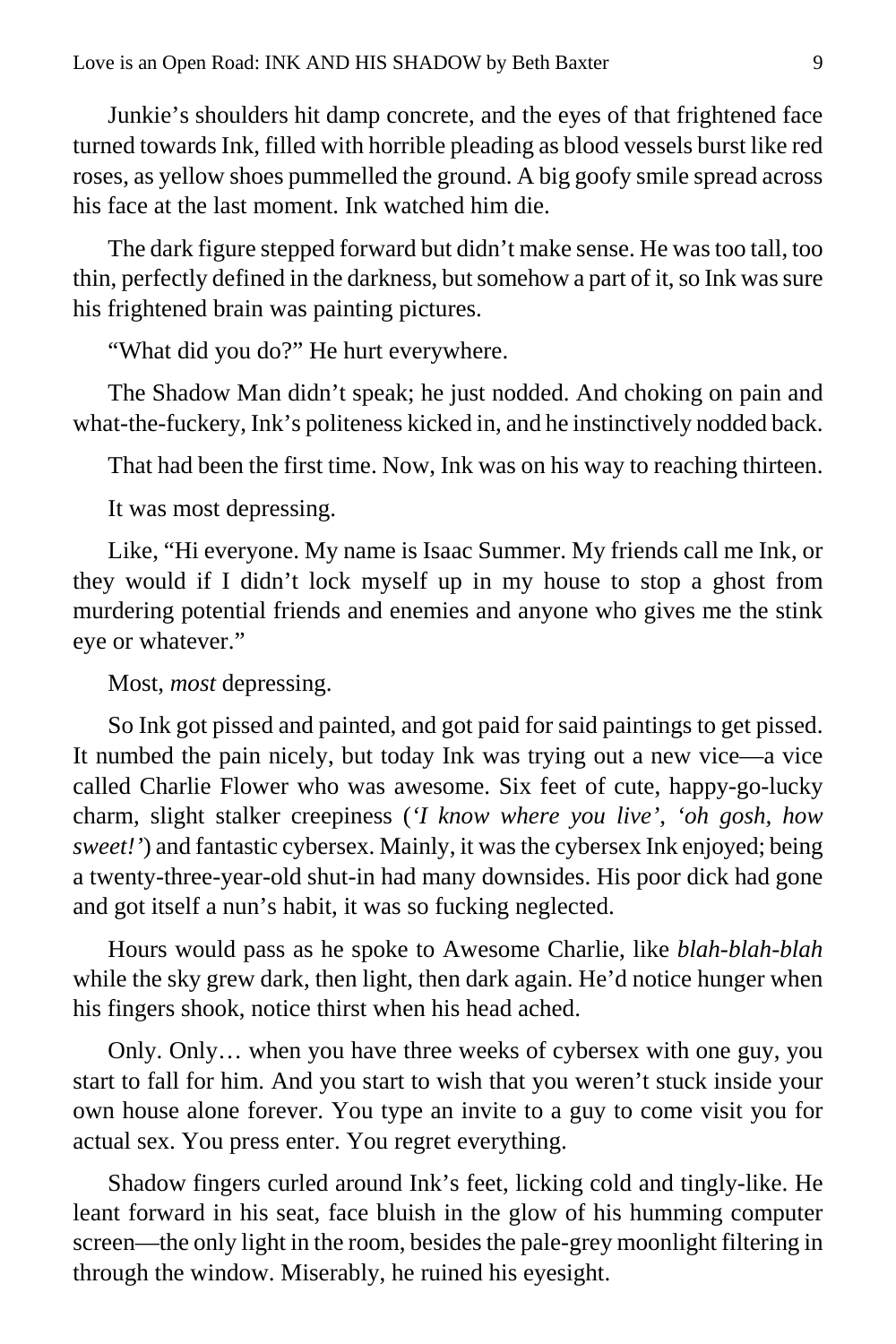Junkie's shoulders hit damp concrete, and the eyes of that frightened face turned towards Ink, filled with horrible pleading as blood vessels burst like red roses, as yellow shoes pummelled the ground. A big goofy smile spread across his face at the last moment. Ink watched him die.

The dark figure stepped forward but didn't make sense. He was too tall, too thin, perfectly defined in the darkness, but somehow a part of it, so Ink was sure his frightened brain was painting pictures.

"What did you do?" He hurt everywhere.

The Shadow Man didn't speak; he just nodded. And choking on pain and what-the-fuckery, Ink's politeness kicked in, and he instinctively nodded back.

That had been the first time. Now, Ink was on his way to reaching thirteen.

It was most depressing.

Like, "Hi everyone. My name is Isaac Summer. My friends call me Ink, or they would if I didn't lock myself up in my house to stop a ghost from murdering potential friends and enemies and anyone who gives me the stink eye or whatever."

Most, *most* depressing.

So Ink got pissed and painted, and got paid for said paintings to get pissed. It numbed the pain nicely, but today Ink was trying out a new vice—a vice called Charlie Flower who was awesome. Six feet of cute, happy-go-lucky charm, slight stalker creepiness (*'I know where you live'*, *'oh gosh, how sweet!'*) and fantastic cybersex. Mainly, it was the cybersex Ink enjoyed; being a twenty-three-year-old shut-in had many downsides. His poor dick had gone and got itself a nun's habit, it was so fucking neglected.

Hours would pass as he spoke to Awesome Charlie, like *blah-blah-blah* while the sky grew dark, then light, then dark again. He'd notice hunger when his fingers shook, notice thirst when his head ached.

Only. Only… when you have three weeks of cybersex with one guy, you start to fall for him. And you start to wish that you weren't stuck inside your own house alone forever. You type an invite to a guy to come visit you for actual sex. You press enter. You regret everything.

Shadow fingers curled around Ink's feet, licking cold and tingly-like. He leant forward in his seat, face bluish in the glow of his humming computer screen—the only light in the room, besides the pale-grey moonlight filtering in through the window. Miserably, he ruined his eyesight.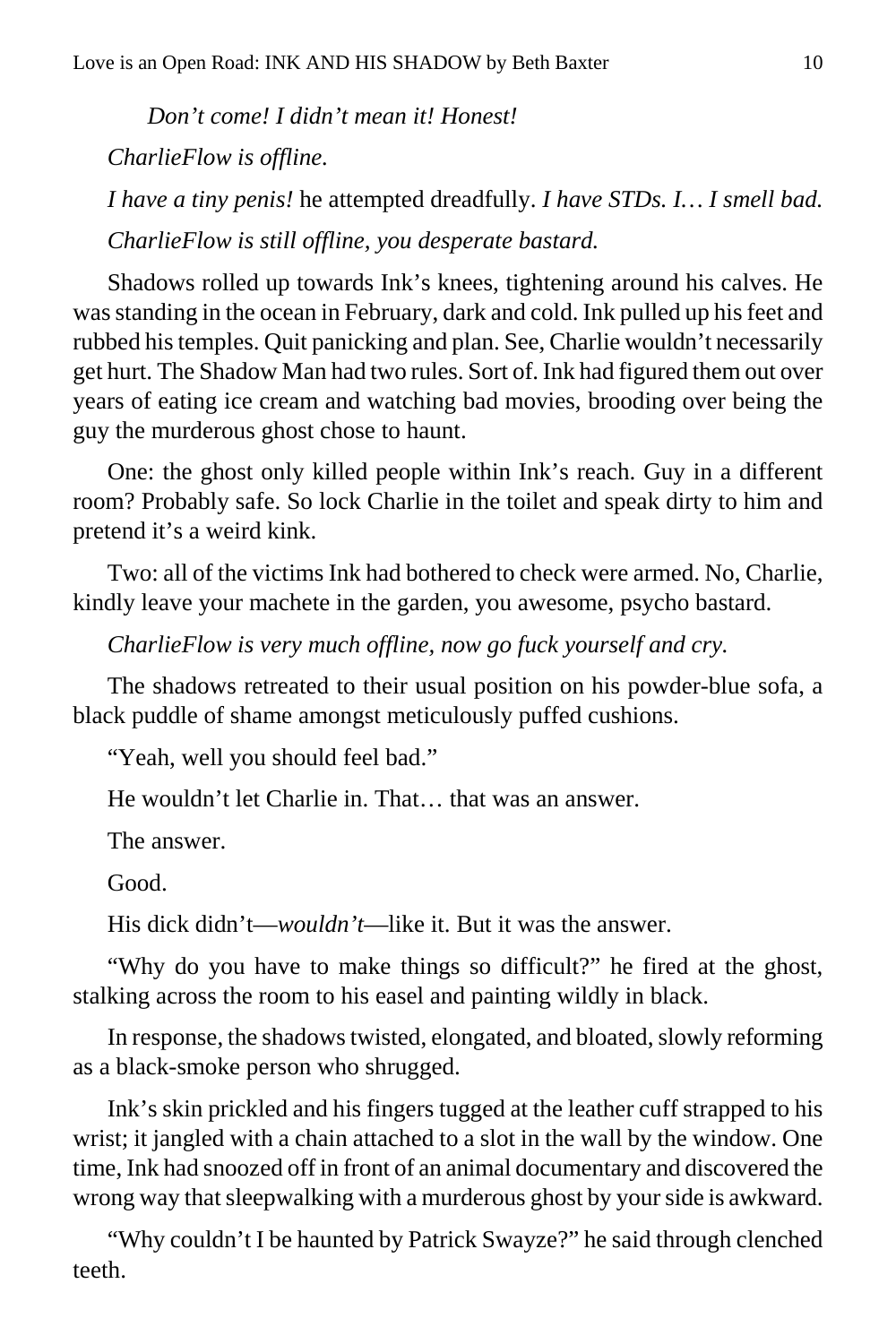*Don't come! I didn't mean it! Honest! CharlieFlow is offline.*

*I have a tiny penis!* he attempted dreadfully. *I have STDs. I… I smell bad. CharlieFlow is still offline, you desperate bastard.*

Shadows rolled up towards Ink's knees, tightening around his calves. He was standing in the ocean in February, dark and cold. Ink pulled up his feet and rubbed his temples. Quit panicking and plan. See, Charlie wouldn't necessarily get hurt. The Shadow Man had two rules. Sort of. Ink had figured them out over years of eating ice cream and watching bad movies, brooding over being the guy the murderous ghost chose to haunt.

One: the ghost only killed people within Ink's reach. Guy in a different room? Probably safe. So lock Charlie in the toilet and speak dirty to him and pretend it's a weird kink.

Two: all of the victims Ink had bothered to check were armed. No, Charlie, kindly leave your machete in the garden, you awesome, psycho bastard.

*CharlieFlow is very much offline, now go fuck yourself and cry.*

The shadows retreated to their usual position on his powder-blue sofa, a black puddle of shame amongst meticulously puffed cushions.

"Yeah, well you should feel bad."

He wouldn't let Charlie in. That… that was an answer.

The answer.

Good.

His dick didn't—*wouldn't*—like it. But it was the answer.

"Why do you have to make things so difficult?" he fired at the ghost, stalking across the room to his easel and painting wildly in black.

In response, the shadows twisted, elongated, and bloated, slowly reforming as a black-smoke person who shrugged.

Ink's skin prickled and his fingers tugged at the leather cuff strapped to his wrist; it jangled with a chain attached to a slot in the wall by the window. One time, Ink had snoozed off in front of an animal documentary and discovered the wrong way that sleepwalking with a murderous ghost by your side is awkward.

"Why couldn't I be haunted by Patrick Swayze?" he said through clenched teeth.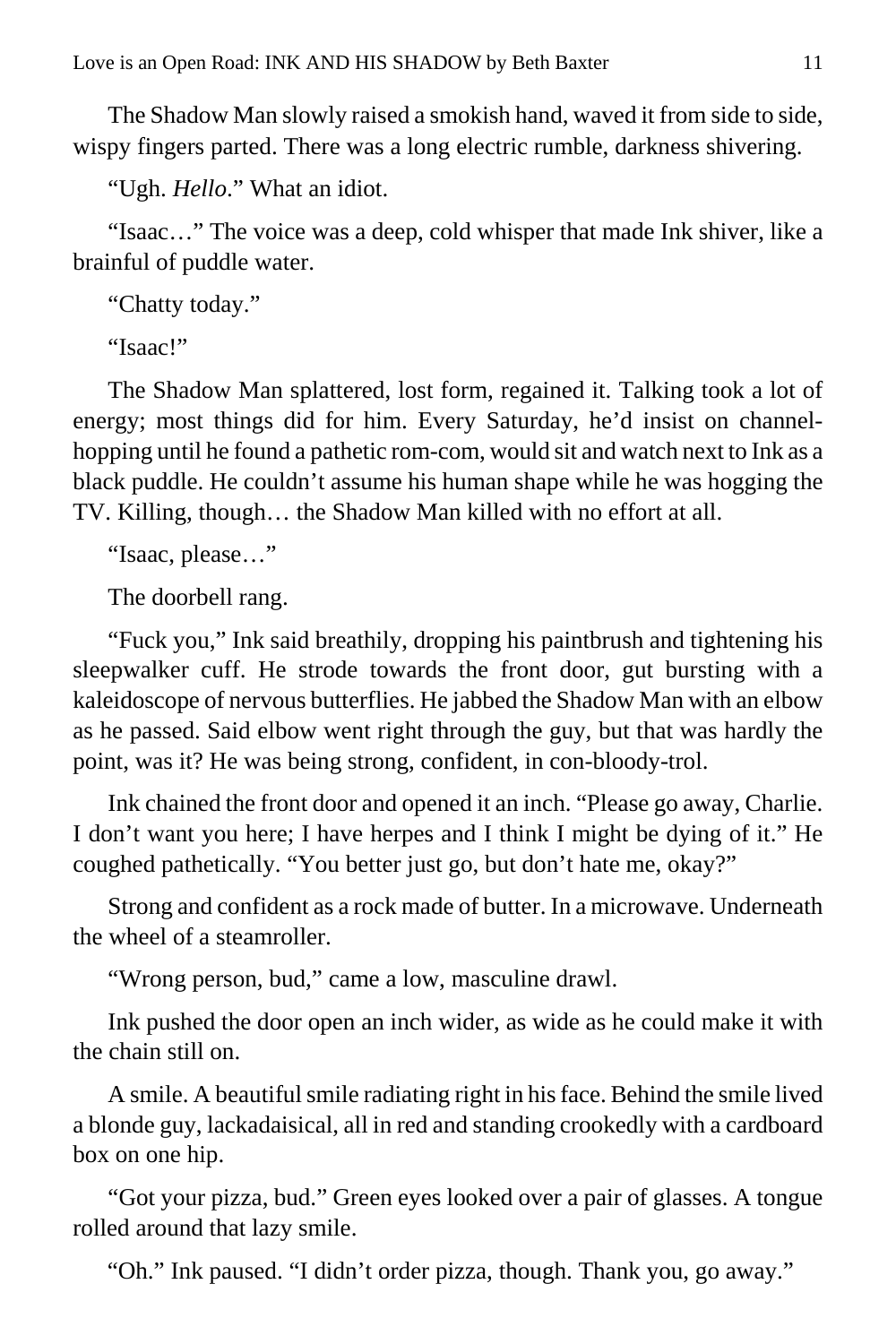The Shadow Man slowly raised a smokish hand, waved it from side to side, wispy fingers parted. There was a long electric rumble, darkness shivering.

"Ugh. *Hello*." What an idiot.

"Isaac…" The voice was a deep, cold whisper that made Ink shiver, like a brainful of puddle water.

"Chatty today."

"Isaac!"

The Shadow Man splattered, lost form, regained it. Talking took a lot of energy; most things did for him. Every Saturday, he'd insist on channelhopping until he found a pathetic rom-com, would sit and watch next to Ink as a black puddle. He couldn't assume his human shape while he was hogging the TV. Killing, though… the Shadow Man killed with no effort at all.

"Isaac, please…"

The doorbell rang.

"Fuck you," Ink said breathily, dropping his paintbrush and tightening his sleepwalker cuff. He strode towards the front door, gut bursting with a kaleidoscope of nervous butterflies. He jabbed the Shadow Man with an elbow as he passed. Said elbow went right through the guy, but that was hardly the point, was it? He was being strong, confident, in con-bloody-trol.

Ink chained the front door and opened it an inch. "Please go away, Charlie. I don't want you here; I have herpes and I think I might be dying of it." He coughed pathetically. "You better just go, but don't hate me, okay?"

Strong and confident as a rock made of butter. In a microwave. Underneath the wheel of a steamroller.

"Wrong person, bud," came a low, masculine drawl.

Ink pushed the door open an inch wider, as wide as he could make it with the chain still on.

A smile. A beautiful smile radiating right in his face. Behind the smile lived a blonde guy, lackadaisical, all in red and standing crookedly with a cardboard box on one hip.

"Got your pizza, bud." Green eyes looked over a pair of glasses. A tongue rolled around that lazy smile.

"Oh." Ink paused. "I didn't order pizza, though. Thank you, go away."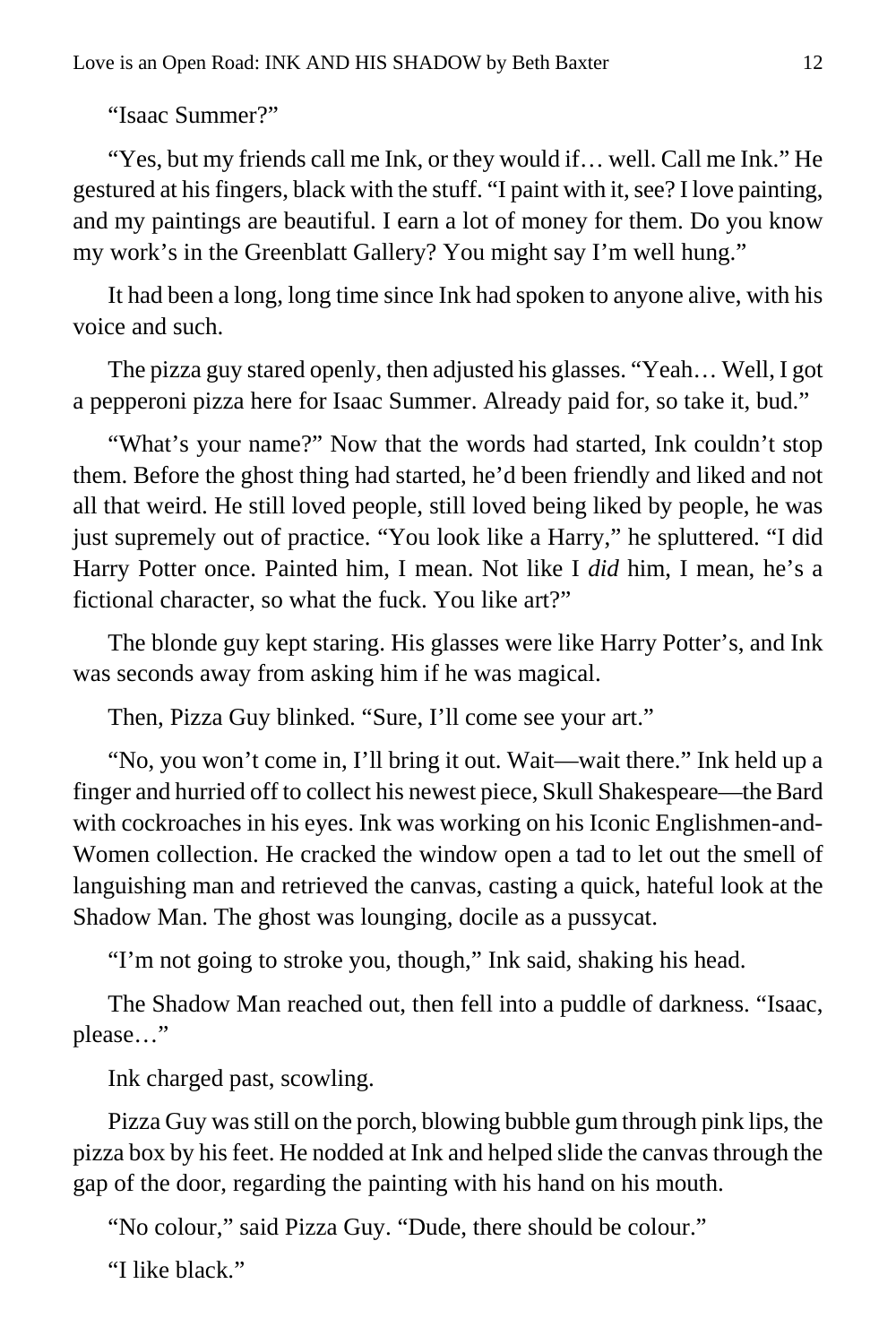"Isaac Summer?"

"Yes, but my friends call me Ink, or they would if… well. Call me Ink." He gestured at his fingers, black with the stuff. "I paint with it, see? I love painting, and my paintings are beautiful. I earn a lot of money for them. Do you know my work's in the Greenblatt Gallery? You might say I'm well hung."

It had been a long, long time since Ink had spoken to anyone alive, with his voice and such.

The pizza guy stared openly, then adjusted his glasses. "Yeah… Well, I got a pepperoni pizza here for Isaac Summer. Already paid for, so take it, bud."

"What's your name?" Now that the words had started, Ink couldn't stop them. Before the ghost thing had started, he'd been friendly and liked and not all that weird. He still loved people, still loved being liked by people, he was just supremely out of practice. "You look like a Harry," he spluttered. "I did Harry Potter once. Painted him, I mean. Not like I *did* him, I mean, he's a fictional character, so what the fuck. You like art?"

The blonde guy kept staring. His glasses were like Harry Potter's, and Ink was seconds away from asking him if he was magical.

Then, Pizza Guy blinked. "Sure, I'll come see your art."

"No, you won't come in, I'll bring it out. Wait—wait there." Ink held up a finger and hurried off to collect his newest piece, Skull Shakespeare—the Bard with cockroaches in his eyes. Ink was working on his Iconic Englishmen-and-Women collection. He cracked the window open a tad to let out the smell of languishing man and retrieved the canvas, casting a quick, hateful look at the Shadow Man. The ghost was lounging, docile as a pussycat.

"I'm not going to stroke you, though," Ink said, shaking his head.

The Shadow Man reached out, then fell into a puddle of darkness. "Isaac, please…"

Ink charged past, scowling.

Pizza Guy was still on the porch, blowing bubble gum through pink lips, the pizza box by his feet. He nodded at Ink and helped slide the canvas through the gap of the door, regarding the painting with his hand on his mouth.

"No colour," said Pizza Guy. "Dude, there should be colour."

"I like black."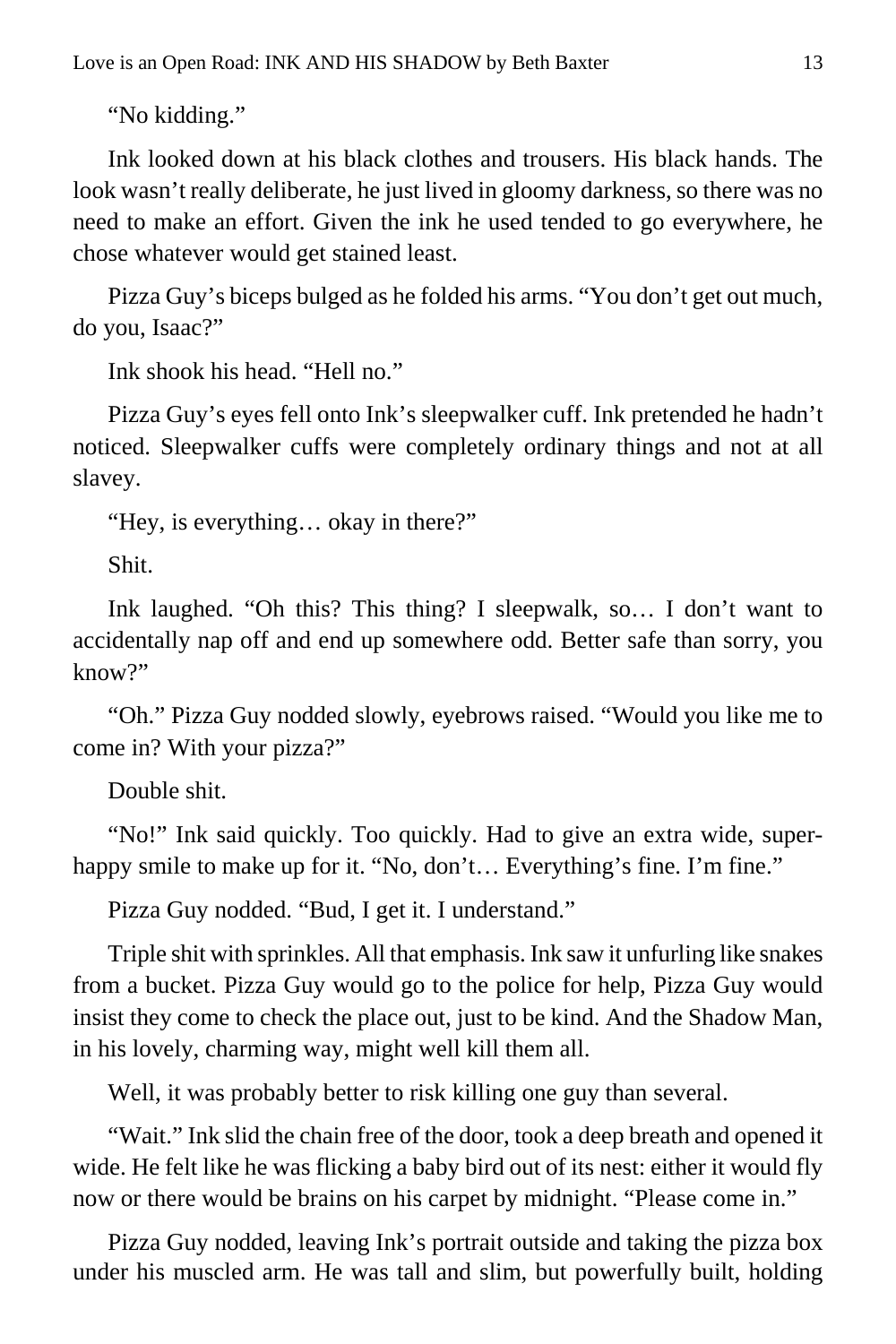"No kidding."

Ink looked down at his black clothes and trousers. His black hands. The look wasn't really deliberate, he just lived in gloomy darkness, so there was no need to make an effort. Given the ink he used tended to go everywhere, he chose whatever would get stained least.

Pizza Guy's biceps bulged as he folded his arms. "You don't get out much, do you, Isaac?"

Ink shook his head. "Hell no."

Pizza Guy's eyes fell onto Ink's sleepwalker cuff. Ink pretended he hadn't noticed. Sleepwalker cuffs were completely ordinary things and not at all slavey.

"Hey, is everything… okay in there?"

Shit.

Ink laughed. "Oh this? This thing? I sleepwalk, so… I don't want to accidentally nap off and end up somewhere odd. Better safe than sorry, you  $k$ now?"

"Oh." Pizza Guy nodded slowly, eyebrows raised. "Would you like me to come in? With your pizza?"

Double shit.

"No!" Ink said quickly. Too quickly. Had to give an extra wide, superhappy smile to make up for it. "No, don't... Everything's fine. I'm fine."

Pizza Guy nodded. "Bud, I get it. I understand."

Triple shit with sprinkles. All that emphasis. Ink saw it unfurling like snakes from a bucket. Pizza Guy would go to the police for help, Pizza Guy would insist they come to check the place out, just to be kind. And the Shadow Man, in his lovely, charming way, might well kill them all.

Well, it was probably better to risk killing one guy than several.

"Wait." Ink slid the chain free of the door, took a deep breath and opened it wide. He felt like he was flicking a baby bird out of its nest: either it would fly now or there would be brains on his carpet by midnight. "Please come in."

Pizza Guy nodded, leaving Ink's portrait outside and taking the pizza box under his muscled arm. He was tall and slim, but powerfully built, holding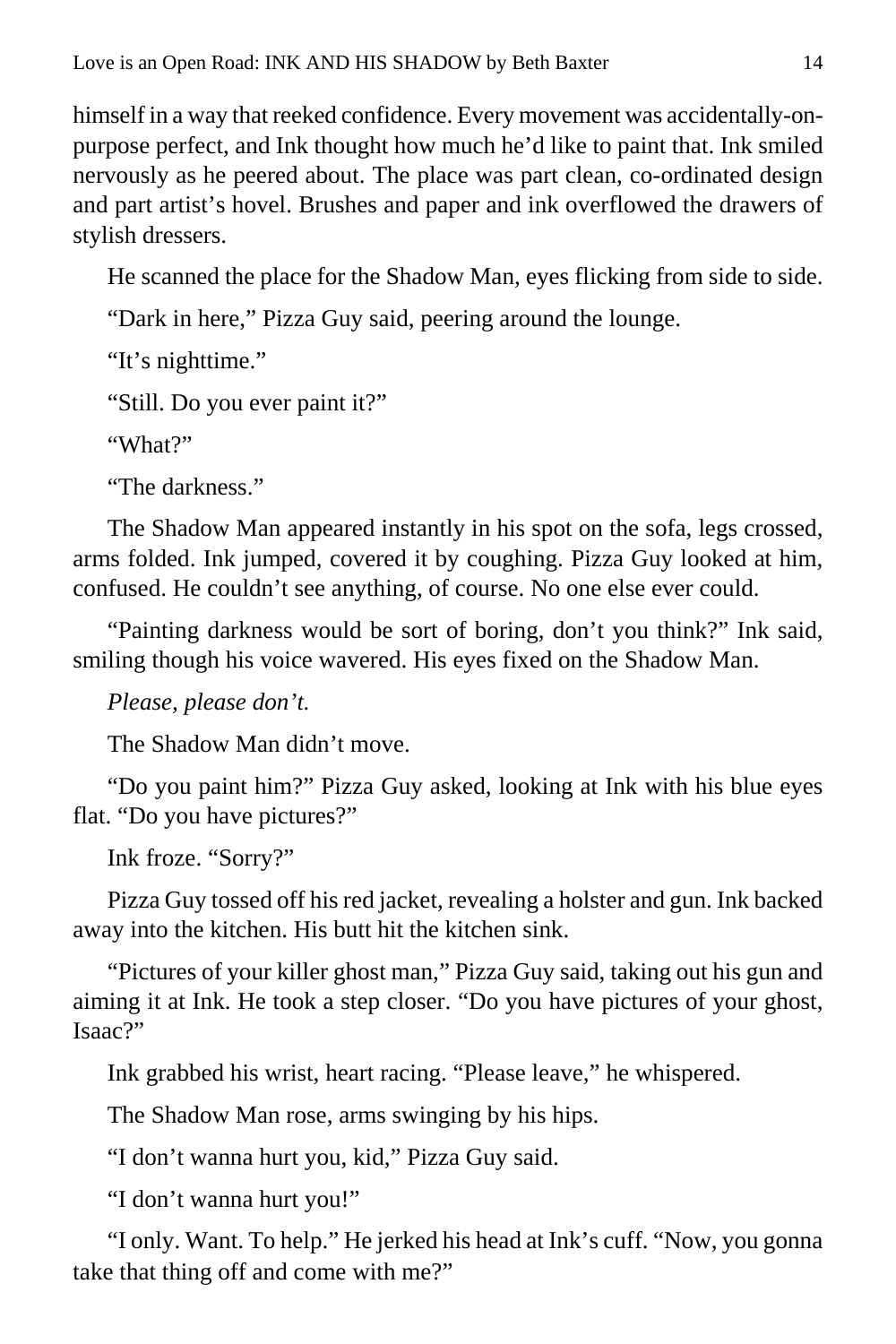himself in a way that reeked confidence. Every movement was accidentally-onpurpose perfect, and Ink thought how much he'd like to paint that. Ink smiled nervously as he peered about. The place was part clean, co-ordinated design and part artist's hovel. Brushes and paper and ink overflowed the drawers of stylish dressers.

He scanned the place for the Shadow Man, eyes flicking from side to side.

"Dark in here," Pizza Guy said, peering around the lounge.

"It's nighttime."

"Still. Do you ever paint it?"

"What?"

"The darkness."

The Shadow Man appeared instantly in his spot on the sofa, legs crossed, arms folded. Ink jumped, covered it by coughing. Pizza Guy looked at him, confused. He couldn't see anything, of course. No one else ever could.

"Painting darkness would be sort of boring, don't you think?" Ink said, smiling though his voice wavered. His eyes fixed on the Shadow Man.

*Please, please don't.*

The Shadow Man didn't move.

"Do you paint him?" Pizza Guy asked, looking at Ink with his blue eyes flat. "Do you have pictures?"

Ink froze. "Sorry?"

Pizza Guy tossed off his red jacket, revealing a holster and gun. Ink backed away into the kitchen. His butt hit the kitchen sink.

"Pictures of your killer ghost man," Pizza Guy said, taking out his gun and aiming it at Ink. He took a step closer. "Do you have pictures of your ghost,  $I<sub>899</sub>$ <sup>?</sup>

Ink grabbed his wrist, heart racing. "Please leave," he whispered.

The Shadow Man rose, arms swinging by his hips.

"I don't wanna hurt you, kid," Pizza Guy said.

"I don't wanna hurt you!"

"I only. Want. To help." He jerked his head at Ink's cuff. "Now, you gonna take that thing off and come with me?"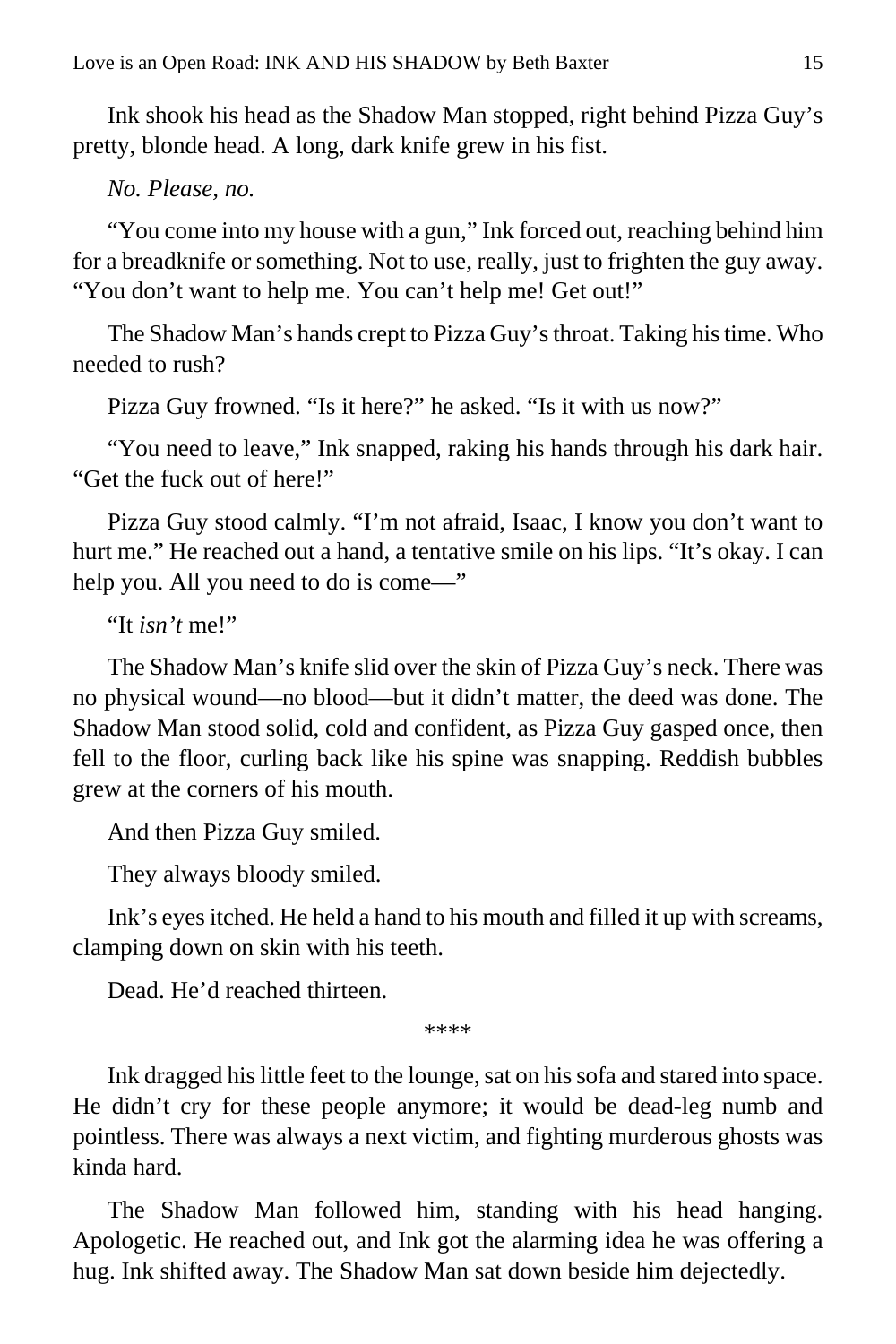Ink shook his head as the Shadow Man stopped, right behind Pizza Guy's pretty, blonde head. A long, dark knife grew in his fist.

*No. Please, no.*

"You come into my house with a gun," Ink forced out, reaching behind him for a breadknife or something. Not to use, really, just to frighten the guy away. "You don't want to help me. You can't help me! Get out!"

The Shadow Man's hands crept to Pizza Guy's throat. Taking his time. Who needed to rush?

Pizza Guy frowned. "Is it here?" he asked. "Is it with us now?"

"You need to leave," Ink snapped, raking his hands through his dark hair. "Get the fuck out of here!"

Pizza Guy stood calmly. "I'm not afraid, Isaac, I know you don't want to hurt me." He reached out a hand, a tentative smile on his lips. "It's okay. I can help you. All you need to do is come—"

"It *isn't* me!"

The Shadow Man's knife slid over the skin of Pizza Guy's neck. There was no physical wound—no blood—but it didn't matter, the deed was done. The Shadow Man stood solid, cold and confident, as Pizza Guy gasped once, then fell to the floor, curling back like his spine was snapping. Reddish bubbles grew at the corners of his mouth.

And then Pizza Guy smiled.

They always bloody smiled.

Ink's eyes itched. He held a hand to his mouth and filled it up with screams, clamping down on skin with his teeth.

Dead. He'd reached thirteen.

\*\*\*\*

Ink dragged his little feet to the lounge, sat on his sofa and stared into space. He didn't cry for these people anymore; it would be dead-leg numb and pointless. There was always a next victim, and fighting murderous ghosts was kinda hard.

The Shadow Man followed him, standing with his head hanging. Apologetic. He reached out, and Ink got the alarming idea he was offering a hug. Ink shifted away. The Shadow Man sat down beside him dejectedly.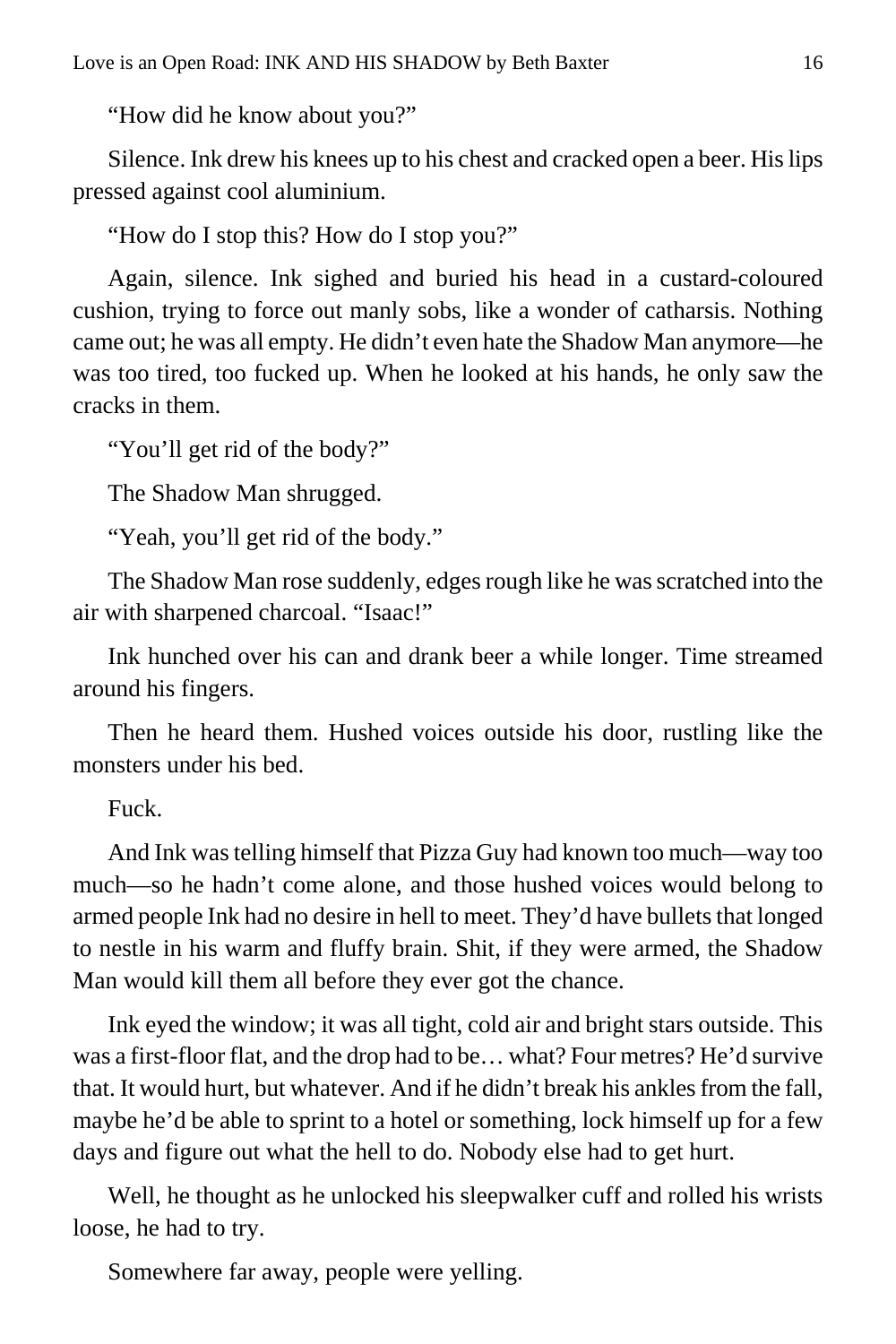"How did he know about you?"

Silence. Ink drew his knees up to his chest and cracked open a beer. His lips pressed against cool aluminium.

"How do I stop this? How do I stop you?"

Again, silence. Ink sighed and buried his head in a custard-coloured cushion, trying to force out manly sobs, like a wonder of catharsis. Nothing came out; he was all empty. He didn't even hate the Shadow Man anymore—he was too tired, too fucked up. When he looked at his hands, he only saw the cracks in them.

"You'll get rid of the body?"

The Shadow Man shrugged.

"Yeah, you'll get rid of the body."

The Shadow Man rose suddenly, edges rough like he was scratched into the air with sharpened charcoal. "Isaac!"

Ink hunched over his can and drank beer a while longer. Time streamed around his fingers.

Then he heard them. Hushed voices outside his door, rustling like the monsters under his bed.

Fuck.

And Ink was telling himself that Pizza Guy had known too much—way too much—so he hadn't come alone, and those hushed voices would belong to armed people Ink had no desire in hell to meet. They'd have bullets that longed to nestle in his warm and fluffy brain. Shit, if they were armed, the Shadow Man would kill them all before they ever got the chance.

Ink eyed the window; it was all tight, cold air and bright stars outside. This was a first-floor flat, and the drop had to be… what? Four metres? He'd survive that. It would hurt, but whatever. And if he didn't break his ankles from the fall, maybe he'd be able to sprint to a hotel or something, lock himself up for a few days and figure out what the hell to do. Nobody else had to get hurt.

Well, he thought as he unlocked his sleepwalker cuff and rolled his wrists loose, he had to try.

Somewhere far away, people were yelling.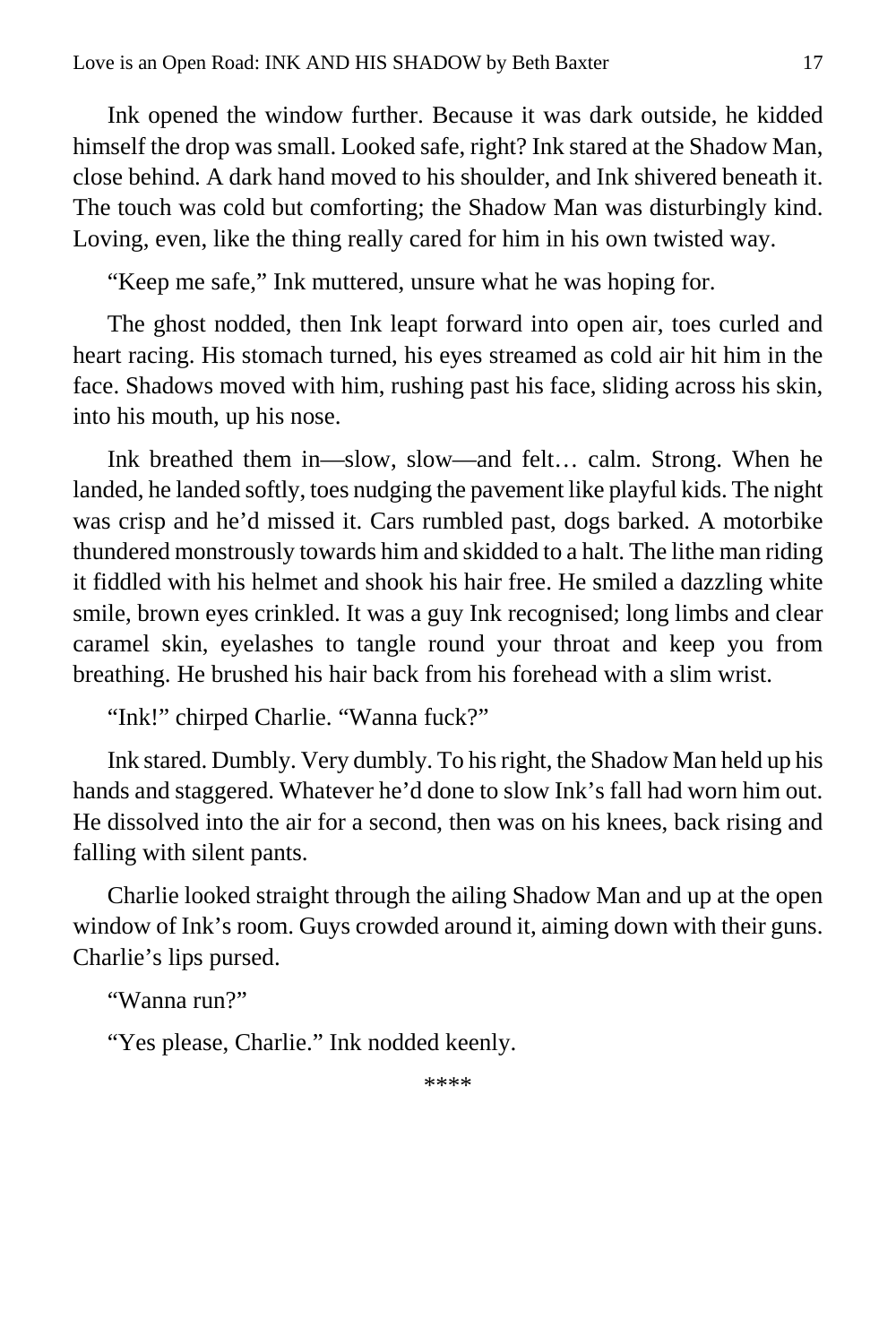Ink opened the window further. Because it was dark outside, he kidded himself the drop was small. Looked safe, right? Ink stared at the Shadow Man, close behind. A dark hand moved to his shoulder, and Ink shivered beneath it. The touch was cold but comforting; the Shadow Man was disturbingly kind. Loving, even, like the thing really cared for him in his own twisted way.

"Keep me safe," Ink muttered, unsure what he was hoping for.

The ghost nodded, then Ink leapt forward into open air, toes curled and heart racing. His stomach turned, his eyes streamed as cold air hit him in the face. Shadows moved with him, rushing past his face, sliding across his skin, into his mouth, up his nose.

Ink breathed them in—slow, slow—and felt… calm. Strong. When he landed, he landed softly, toes nudging the pavement like playful kids. The night was crisp and he'd missed it. Cars rumbled past, dogs barked. A motorbike thundered monstrously towards him and skidded to a halt. The lithe man riding it fiddled with his helmet and shook his hair free. He smiled a dazzling white smile, brown eyes crinkled. It was a guy Ink recognised; long limbs and clear caramel skin, eyelashes to tangle round your throat and keep you from breathing. He brushed his hair back from his forehead with a slim wrist.

"Ink!" chirped Charlie. "Wanna fuck?"

Ink stared. Dumbly. Very dumbly. To his right, the Shadow Man held up his hands and staggered. Whatever he'd done to slow Ink's fall had worn him out. He dissolved into the air for a second, then was on his knees, back rising and falling with silent pants.

Charlie looked straight through the ailing Shadow Man and up at the open window of Ink's room. Guys crowded around it, aiming down with their guns. Charlie's lips pursed.

"Wanna run?"

"Yes please, Charlie." Ink nodded keenly.

\*\*\*\*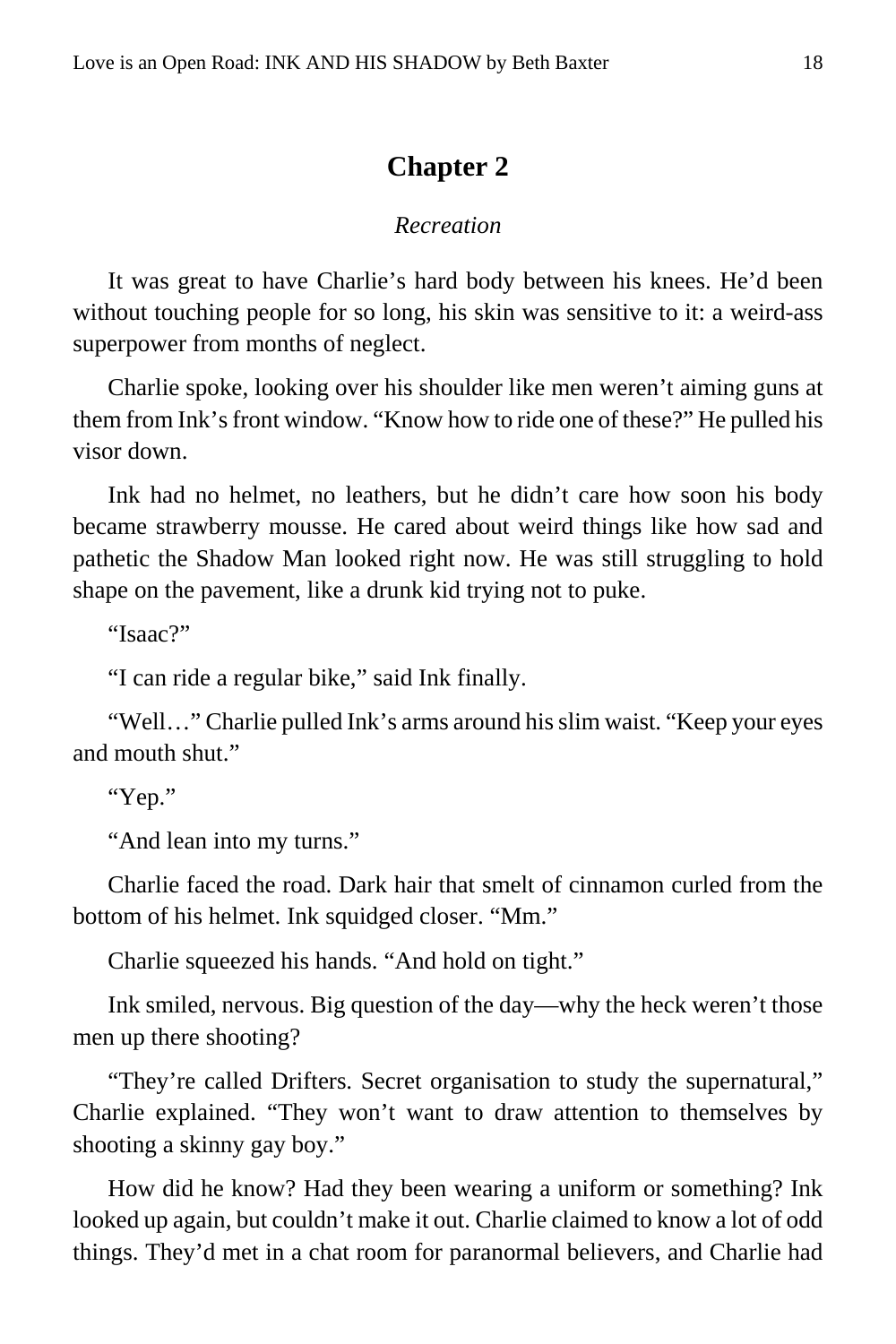#### **Chapter 2**

#### *Recreation*

<span id="page-17-0"></span>It was great to have Charlie's hard body between his knees. He'd been without touching people for so long, his skin was sensitive to it: a weird-ass superpower from months of neglect.

Charlie spoke, looking over his shoulder like men weren't aiming guns at them from Ink's front window. "Know how to ride one of these?" He pulled his visor down.

Ink had no helmet, no leathers, but he didn't care how soon his body became strawberry mousse. He cared about weird things like how sad and pathetic the Shadow Man looked right now. He was still struggling to hold shape on the pavement, like a drunk kid trying not to puke.

"Isaac?"

"I can ride a regular bike," said Ink finally.

"Well…" Charlie pulled Ink's arms around his slim waist. "Keep your eyes and mouth shut."

"Yep."

"And lean into my turns."

Charlie faced the road. Dark hair that smelt of cinnamon curled from the bottom of his helmet. Ink squidged closer. "Mm."

Charlie squeezed his hands. "And hold on tight."

Ink smiled, nervous. Big question of the day—why the heck weren't those men up there shooting?

"They're called Drifters. Secret organisation to study the supernatural," Charlie explained. "They won't want to draw attention to themselves by shooting a skinny gay boy."

How did he know? Had they been wearing a uniform or something? Ink looked up again, but couldn't make it out. Charlie claimed to know a lot of odd things. They'd met in a chat room for paranormal believers, and Charlie had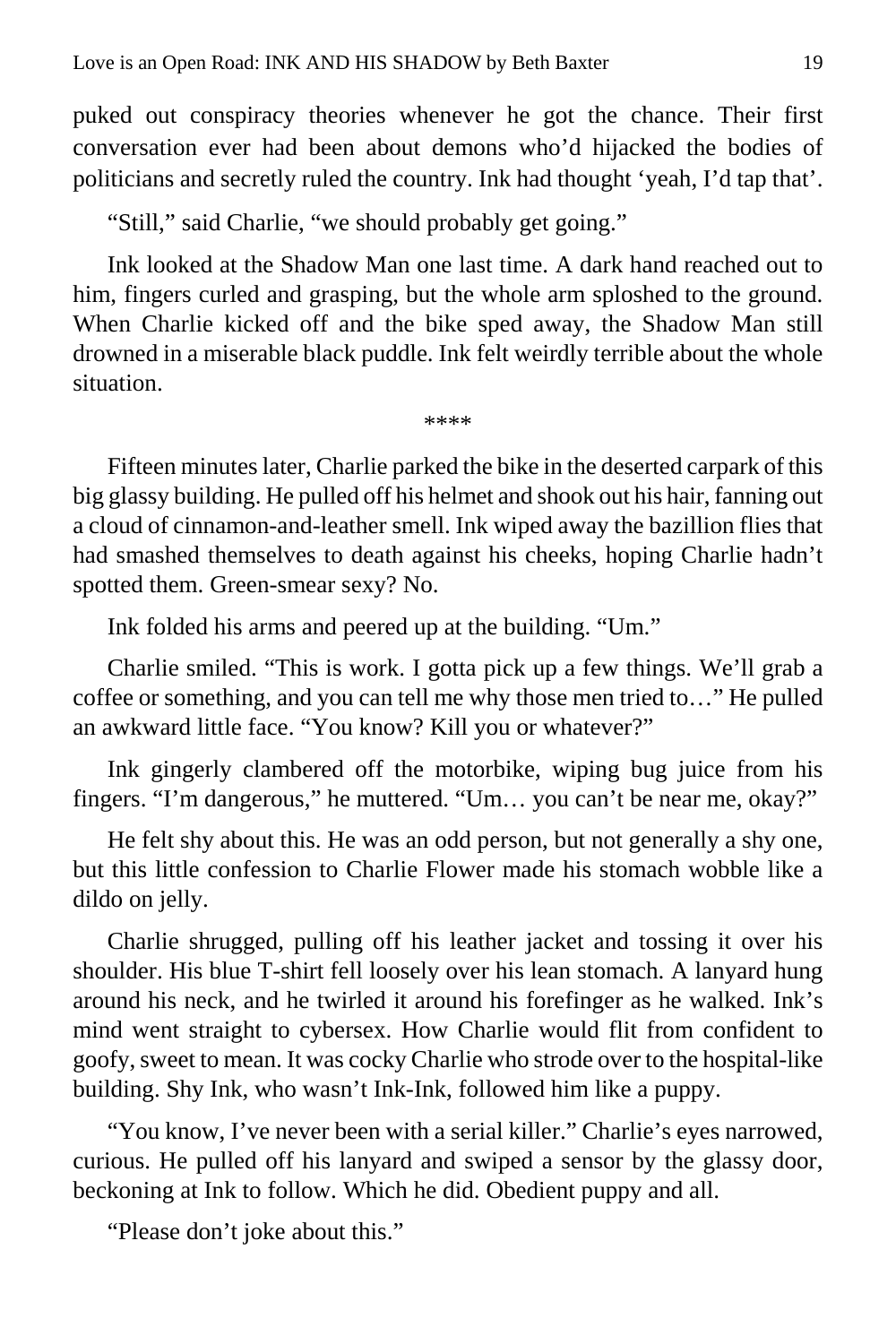puked out conspiracy theories whenever he got the chance. Their first conversation ever had been about demons who'd hijacked the bodies of politicians and secretly ruled the country. Ink had thought 'yeah, I'd tap that'.

"Still," said Charlie, "we should probably get going."

Ink looked at the Shadow Man one last time. A dark hand reached out to him, fingers curled and grasping, but the whole arm sploshed to the ground. When Charlie kicked off and the bike sped away, the Shadow Man still drowned in a miserable black puddle. Ink felt weirdly terrible about the whole situation.

\*\*\*\*

Fifteen minutes later, Charlie parked the bike in the deserted carpark of this big glassy building. He pulled off his helmet and shook out his hair, fanning out a cloud of cinnamon-and-leather smell. Ink wiped away the bazillion flies that had smashed themselves to death against his cheeks, hoping Charlie hadn't spotted them. Green-smear sexy? No.

Ink folded his arms and peered up at the building. "Um."

Charlie smiled. "This is work. I gotta pick up a few things. We'll grab a coffee or something, and you can tell me why those men tried to…" He pulled an awkward little face. "You know? Kill you or whatever?"

Ink gingerly clambered off the motorbike, wiping bug juice from his fingers. "I'm dangerous," he muttered. "Um… you can't be near me, okay?"

He felt shy about this. He was an odd person, but not generally a shy one, but this little confession to Charlie Flower made his stomach wobble like a dildo on jelly.

Charlie shrugged, pulling off his leather jacket and tossing it over his shoulder. His blue T-shirt fell loosely over his lean stomach. A lanyard hung around his neck, and he twirled it around his forefinger as he walked. Ink's mind went straight to cybersex. How Charlie would flit from confident to goofy, sweet to mean. It was cocky Charlie who strode over to the hospital-like building. Shy Ink, who wasn't Ink-Ink, followed him like a puppy.

"You know, I've never been with a serial killer." Charlie's eyes narrowed, curious. He pulled off his lanyard and swiped a sensor by the glassy door, beckoning at Ink to follow. Which he did. Obedient puppy and all.

"Please don't joke about this."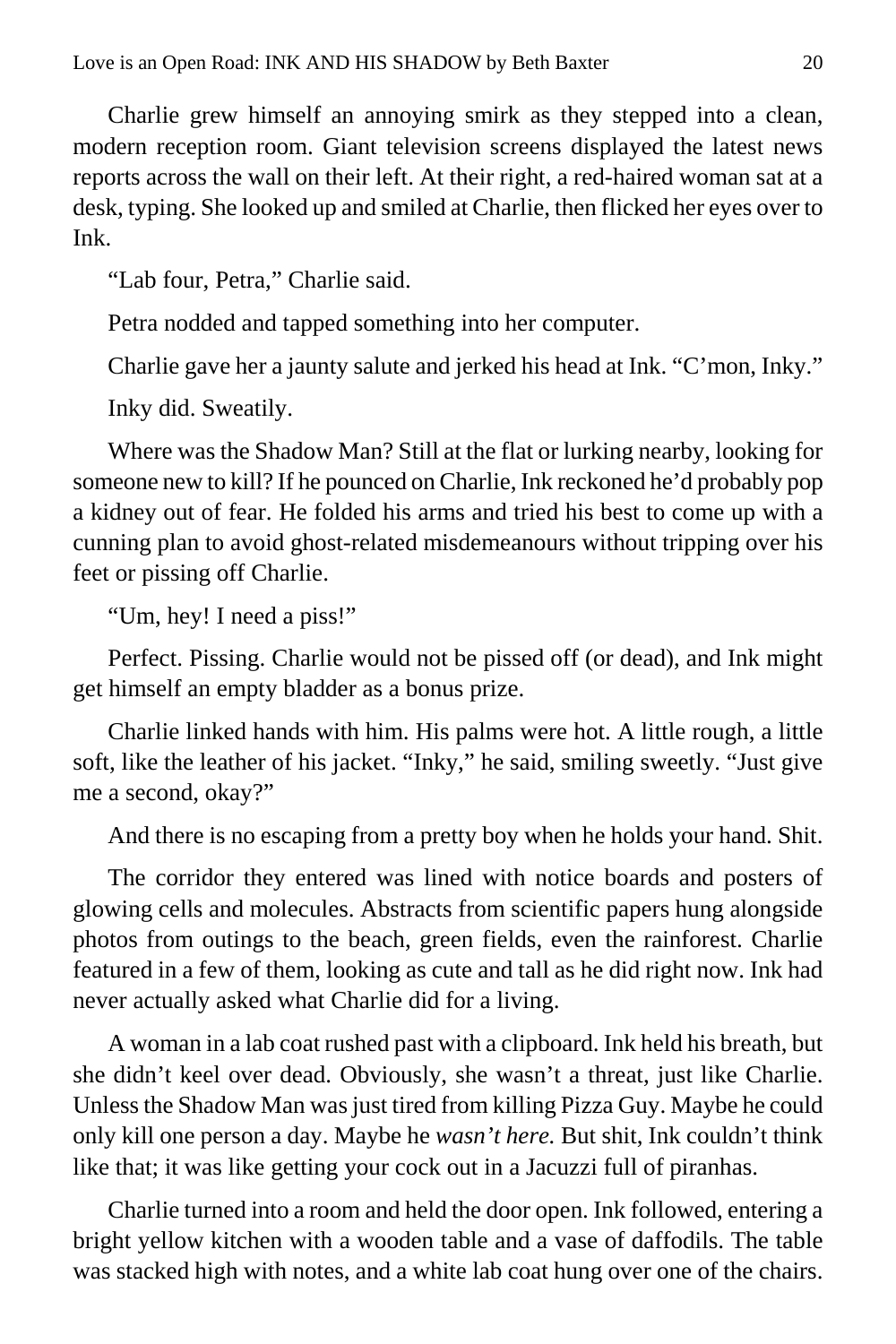Charlie grew himself an annoying smirk as they stepped into a clean, modern reception room. Giant television screens displayed the latest news reports across the wall on their left. At their right, a red-haired woman sat at a desk, typing. She looked up and smiled at Charlie, then flicked her eyes over to Ink.

"Lab four, Petra," Charlie said.

Petra nodded and tapped something into her computer.

Charlie gave her a jaunty salute and jerked his head at Ink. "C'mon, Inky."

Inky did. Sweatily.

Where was the Shadow Man? Still at the flat or lurking nearby, looking for someone new to kill? If he pounced on Charlie, Ink reckoned he'd probably pop a kidney out of fear. He folded his arms and tried his best to come up with a cunning plan to avoid ghost-related misdemeanours without tripping over his feet or pissing off Charlie.

"Um, hey! I need a piss!"

Perfect. Pissing. Charlie would not be pissed off (or dead), and Ink might get himself an empty bladder as a bonus prize.

Charlie linked hands with him. His palms were hot. A little rough, a little soft, like the leather of his jacket. "Inky," he said, smiling sweetly. "Just give me a second, okay?"

And there is no escaping from a pretty boy when he holds your hand. Shit.

The corridor they entered was lined with notice boards and posters of glowing cells and molecules. Abstracts from scientific papers hung alongside photos from outings to the beach, green fields, even the rainforest. Charlie featured in a few of them, looking as cute and tall as he did right now. Ink had never actually asked what Charlie did for a living.

A woman in a lab coat rushed past with a clipboard. Ink held his breath, but she didn't keel over dead. Obviously, she wasn't a threat, just like Charlie. Unless the Shadow Man was just tired from killing Pizza Guy. Maybe he could only kill one person a day. Maybe he *wasn't here.* But shit, Ink couldn't think like that; it was like getting your cock out in a Jacuzzi full of piranhas.

Charlie turned into a room and held the door open. Ink followed, entering a bright yellow kitchen with a wooden table and a vase of daffodils. The table was stacked high with notes, and a white lab coat hung over one of the chairs.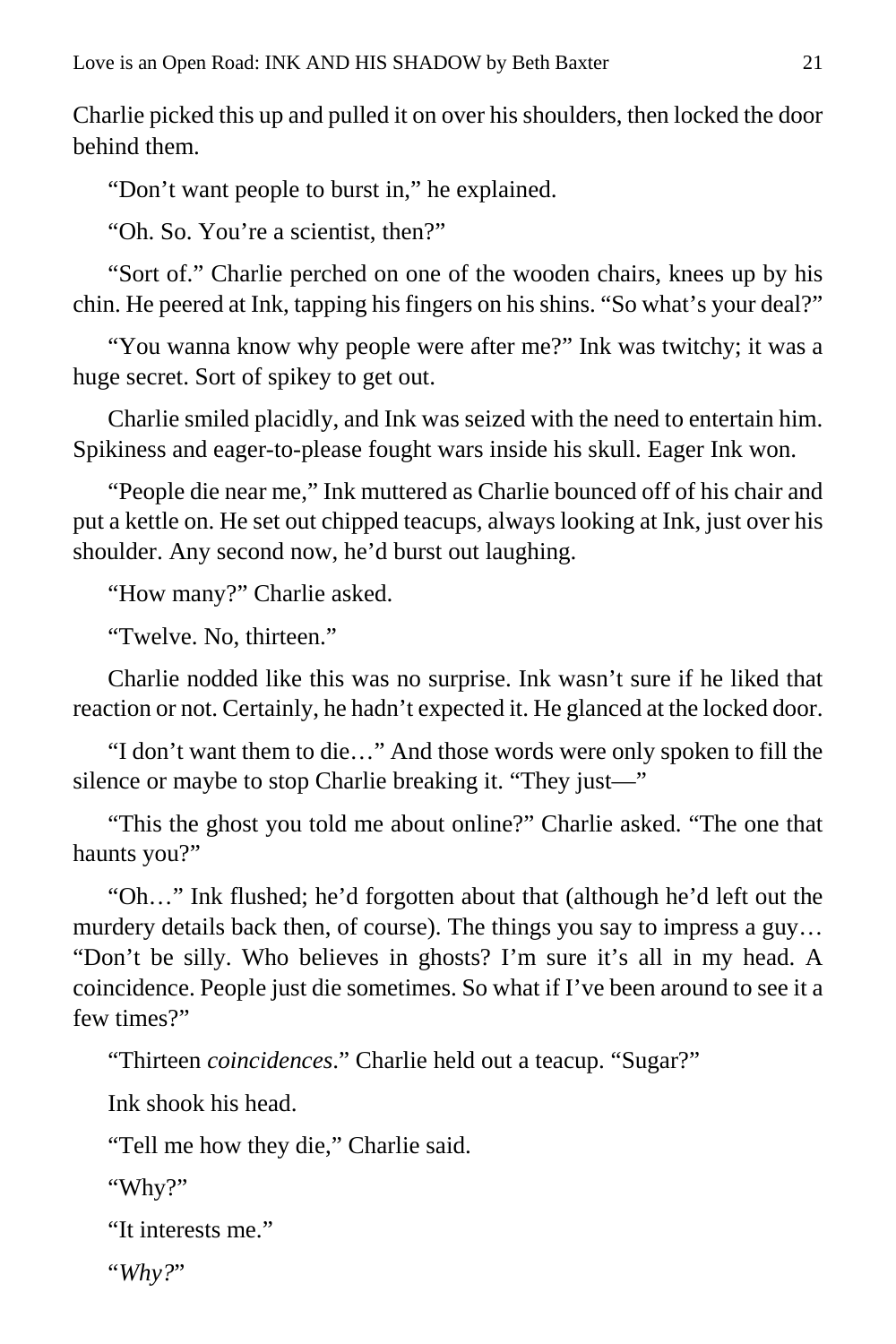Charlie picked this up and pulled it on over his shoulders, then locked the door behind them.

"Don't want people to burst in," he explained.

"Oh. So. You're a scientist, then?"

"Sort of." Charlie perched on one of the wooden chairs, knees up by his chin. He peered at Ink, tapping his fingers on his shins. "So what's your deal?"

"You wanna know why people were after me?" Ink was twitchy; it was a huge secret. Sort of spikey to get out.

Charlie smiled placidly, and Ink was seized with the need to entertain him. Spikiness and eager-to-please fought wars inside his skull. Eager Ink won.

"People die near me," Ink muttered as Charlie bounced off of his chair and put a kettle on. He set out chipped teacups, always looking at Ink, just over his shoulder. Any second now, he'd burst out laughing.

"How many?" Charlie asked.

"Twelve. No, thirteen."

Charlie nodded like this was no surprise. Ink wasn't sure if he liked that reaction or not. Certainly, he hadn't expected it. He glanced at the locked door.

"I don't want them to die…" And those words were only spoken to fill the silence or maybe to stop Charlie breaking it. "They just—"

"This the ghost you told me about online?" Charlie asked. "The one that haunts you?"

"Oh…" Ink flushed; he'd forgotten about that (although he'd left out the murdery details back then, of course). The things you say to impress a guy… "Don't be silly. Who believes in ghosts? I'm sure it's all in my head. A coincidence. People just die sometimes. So what if I've been around to see it a few times?"

"Thirteen *coincidences*." Charlie held out a teacup. "Sugar?"

Ink shook his head.

"Tell me how they die," Charlie said.

"Why?"

```
"It interests me."
```
"*Why?*"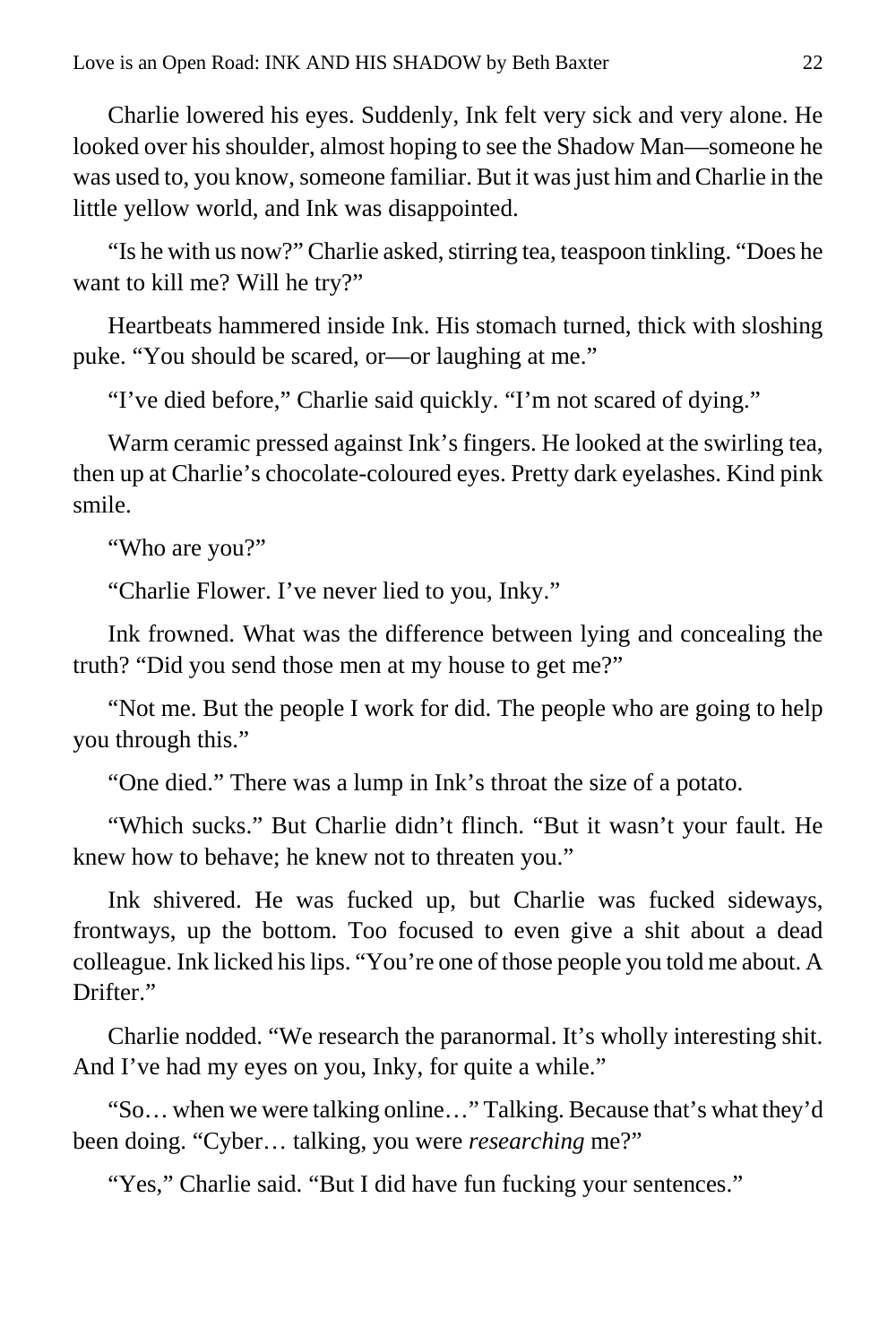Charlie lowered his eyes. Suddenly, Ink felt very sick and very alone. He looked over his shoulder, almost hoping to see the Shadow Man—someone he was used to, you know, someone familiar. But it was just him and Charlie in the little yellow world, and Ink was disappointed.

"Is he with us now?" Charlie asked, stirring tea, teaspoon tinkling. "Does he want to kill me? Will he try?"

Heartbeats hammered inside Ink. His stomach turned, thick with sloshing puke. "You should be scared, or—or laughing at me."

"I've died before," Charlie said quickly. "I'm not scared of dying."

Warm ceramic pressed against Ink's fingers. He looked at the swirling tea, then up at Charlie's chocolate-coloured eyes. Pretty dark eyelashes. Kind pink smile.

"Who are you?"

"Charlie Flower. I've never lied to you, Inky."

Ink frowned. What was the difference between lying and concealing the truth? "Did you send those men at my house to get me?"

"Not me. But the people I work for did. The people who are going to help you through this."

"One died." There was a lump in Ink's throat the size of a potato.

"Which sucks." But Charlie didn't flinch. "But it wasn't your fault. He knew how to behave; he knew not to threaten you."

Ink shivered. He was fucked up, but Charlie was fucked sideways, frontways, up the bottom. Too focused to even give a shit about a dead colleague. Ink licked his lips. "You're one of those people you told me about. A Drifter."

Charlie nodded. "We research the paranormal. It's wholly interesting shit. And I've had my eyes on you, Inky, for quite a while."

"So… when we were talking online…" Talking. Because that's what they'd been doing. "Cyber… talking, you were *researching* me?"

"Yes," Charlie said. "But I did have fun fucking your sentences."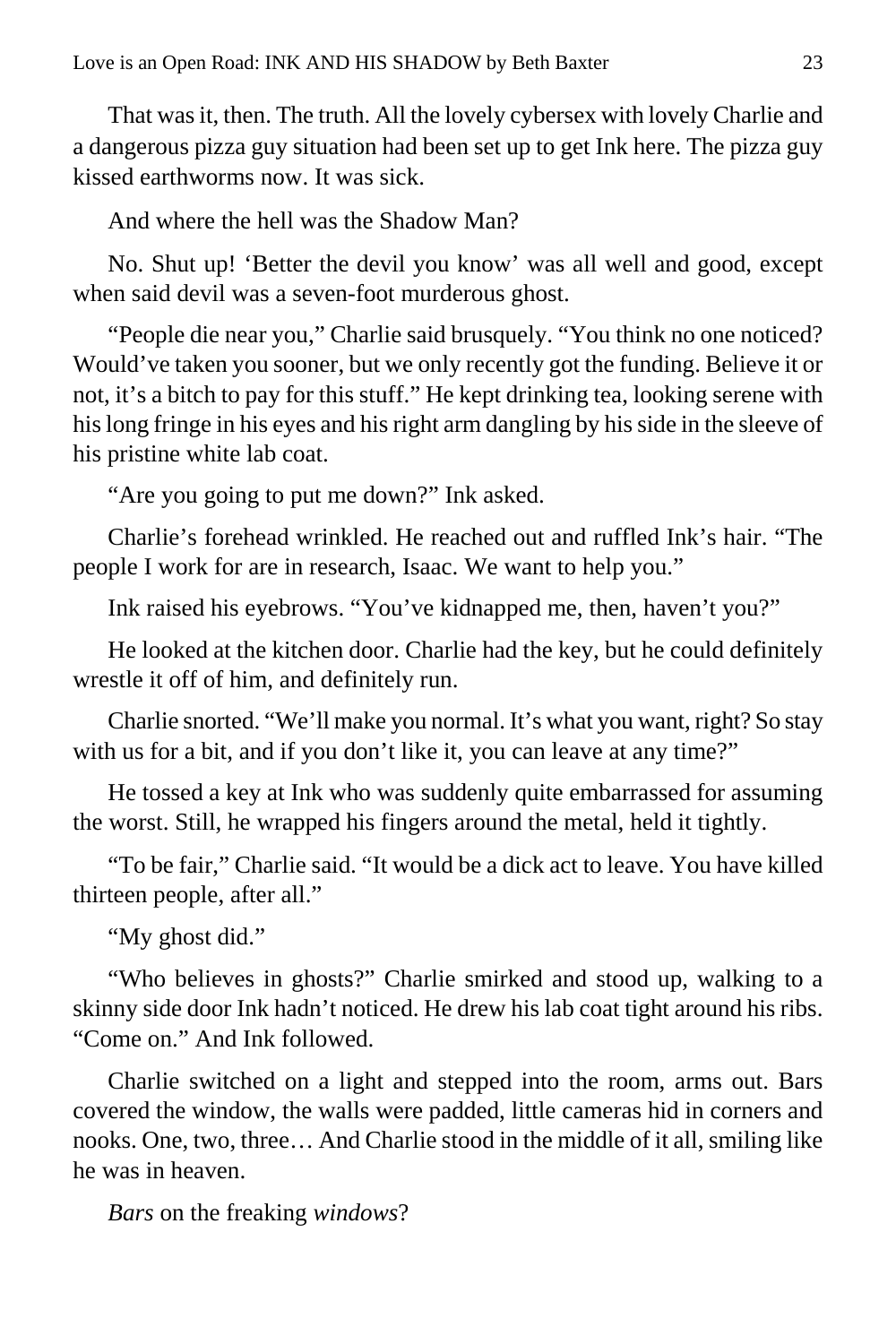That was it, then. The truth. All the lovely cybersex with lovely Charlie and a dangerous pizza guy situation had been set up to get Ink here. The pizza guy kissed earthworms now. It was sick.

And where the hell was the Shadow Man?

No. Shut up! 'Better the devil you know' was all well and good, except when said devil was a seven-foot murderous ghost.

"People die near you," Charlie said brusquely. "You think no one noticed? Would've taken you sooner, but we only recently got the funding. Believe it or not, it's a bitch to pay for this stuff." He kept drinking tea, looking serene with his long fringe in his eyes and his right arm dangling by his side in the sleeve of his pristine white lab coat.

"Are you going to put me down?" Ink asked.

Charlie's forehead wrinkled. He reached out and ruffled Ink's hair. "The people I work for are in research, Isaac. We want to help you."

Ink raised his eyebrows. "You've kidnapped me, then, haven't you?"

He looked at the kitchen door. Charlie had the key, but he could definitely wrestle it off of him, and definitely run.

Charlie snorted. "We'll make you normal. It's what you want, right? So stay with us for a bit, and if you don't like it, you can leave at any time?"

He tossed a key at Ink who was suddenly quite embarrassed for assuming the worst. Still, he wrapped his fingers around the metal, held it tightly.

"To be fair," Charlie said. "It would be a dick act to leave. You have killed thirteen people, after all."

"My ghost did."

"Who believes in ghosts?" Charlie smirked and stood up, walking to a skinny side door Ink hadn't noticed. He drew his lab coat tight around his ribs. "Come on." And Ink followed.

Charlie switched on a light and stepped into the room, arms out. Bars covered the window, the walls were padded, little cameras hid in corners and nooks. One, two, three… And Charlie stood in the middle of it all, smiling like he was in heaven.

*Bars* on the freaking *windows*?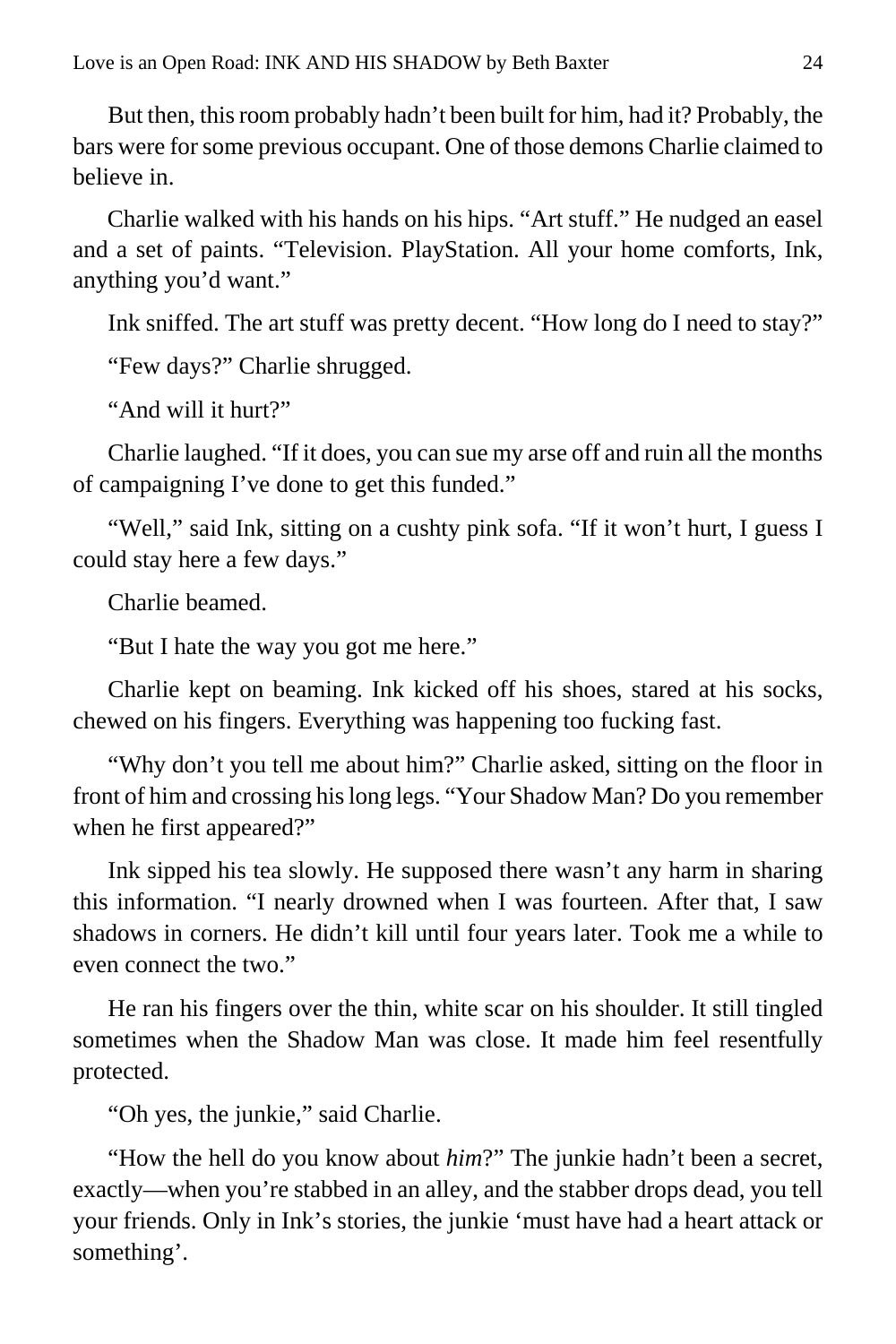But then, this room probably hadn't been built for him, had it? Probably, the bars were for some previous occupant. One of those demons Charlie claimed to believe in.

Charlie walked with his hands on his hips. "Art stuff." He nudged an easel and a set of paints. "Television. PlayStation. All your home comforts, Ink, anything you'd want."

Ink sniffed. The art stuff was pretty decent. "How long do I need to stay?"

"Few days?" Charlie shrugged.

"And will it hurt?"

Charlie laughed. "If it does, you can sue my arse off and ruin all the months of campaigning I've done to get this funded."

"Well," said Ink, sitting on a cushty pink sofa. "If it won't hurt, I guess I could stay here a few days."

Charlie beamed.

"But I hate the way you got me here."

Charlie kept on beaming. Ink kicked off his shoes, stared at his socks, chewed on his fingers. Everything was happening too fucking fast.

"Why don't you tell me about him?" Charlie asked, sitting on the floor in front of him and crossing his long legs. "Your Shadow Man? Do you remember when he first appeared?"

Ink sipped his tea slowly. He supposed there wasn't any harm in sharing this information. "I nearly drowned when I was fourteen. After that, I saw shadows in corners. He didn't kill until four years later. Took me a while to even connect the two."

He ran his fingers over the thin, white scar on his shoulder. It still tingled sometimes when the Shadow Man was close. It made him feel resentfully protected.

"Oh yes, the junkie," said Charlie.

"How the hell do you know about *him*?" The junkie hadn't been a secret, exactly—when you're stabbed in an alley, and the stabber drops dead, you tell your friends. Only in Ink's stories, the junkie 'must have had a heart attack or something'.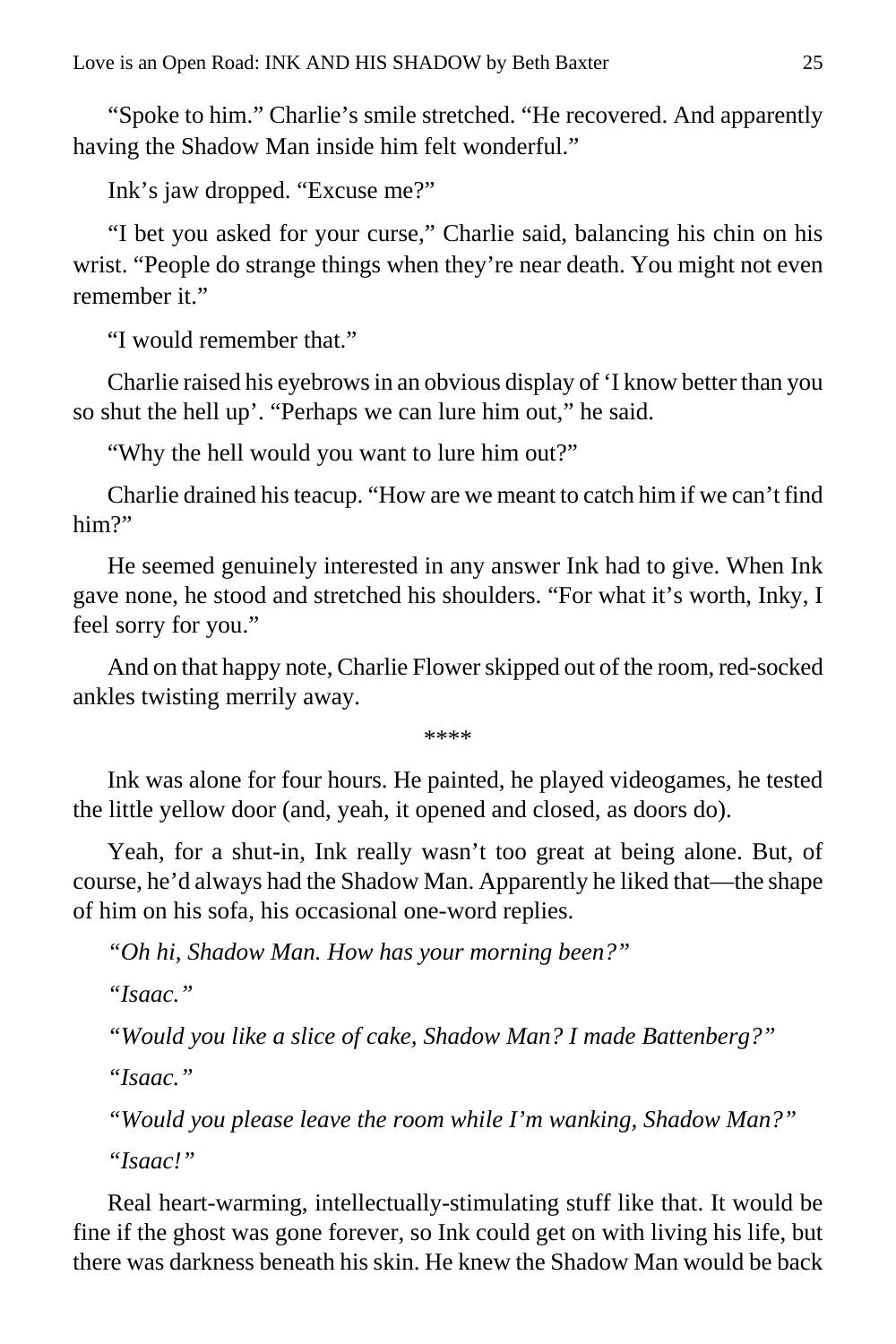"Spoke to him." Charlie's smile stretched. "He recovered. And apparently having the Shadow Man inside him felt wonderful."

Ink's jaw dropped. "Excuse me?"

"I bet you asked for your curse," Charlie said, balancing his chin on his wrist. "People do strange things when they're near death. You might not even remember it."

"I would remember that."

Charlie raised his eyebrows in an obvious display of 'I know better than you so shut the hell up'. "Perhaps we can lure him out," he said.

"Why the hell would you want to lure him out?"

Charlie drained his teacup. "How are we meant to catch him if we can't find him?"

He seemed genuinely interested in any answer Ink had to give. When Ink gave none, he stood and stretched his shoulders. "For what it's worth, Inky, I feel sorry for you."

And on that happy note, Charlie Flower skipped out of the room, red-socked ankles twisting merrily away.

\*\*\*\*

Ink was alone for four hours. He painted, he played videogames, he tested the little yellow door (and, yeah, it opened and closed, as doors do).

Yeah, for a shut-in, Ink really wasn't too great at being alone. But, of course, he'd always had the Shadow Man. Apparently he liked that—the shape of him on his sofa, his occasional one-word replies.

*"Oh hi, Shadow Man. How has your morning been?"*

*"Isaac."*

*"Would you like a slice of cake, Shadow Man? I made Battenberg?"*

*"Isaac."*

*"Would you please leave the room while I'm wanking, Shadow Man?"*

*"Isaac!"*

Real heart-warming, intellectually-stimulating stuff like that. It would be fine if the ghost was gone forever, so Ink could get on with living his life, but there was darkness beneath his skin. He knew the Shadow Man would be back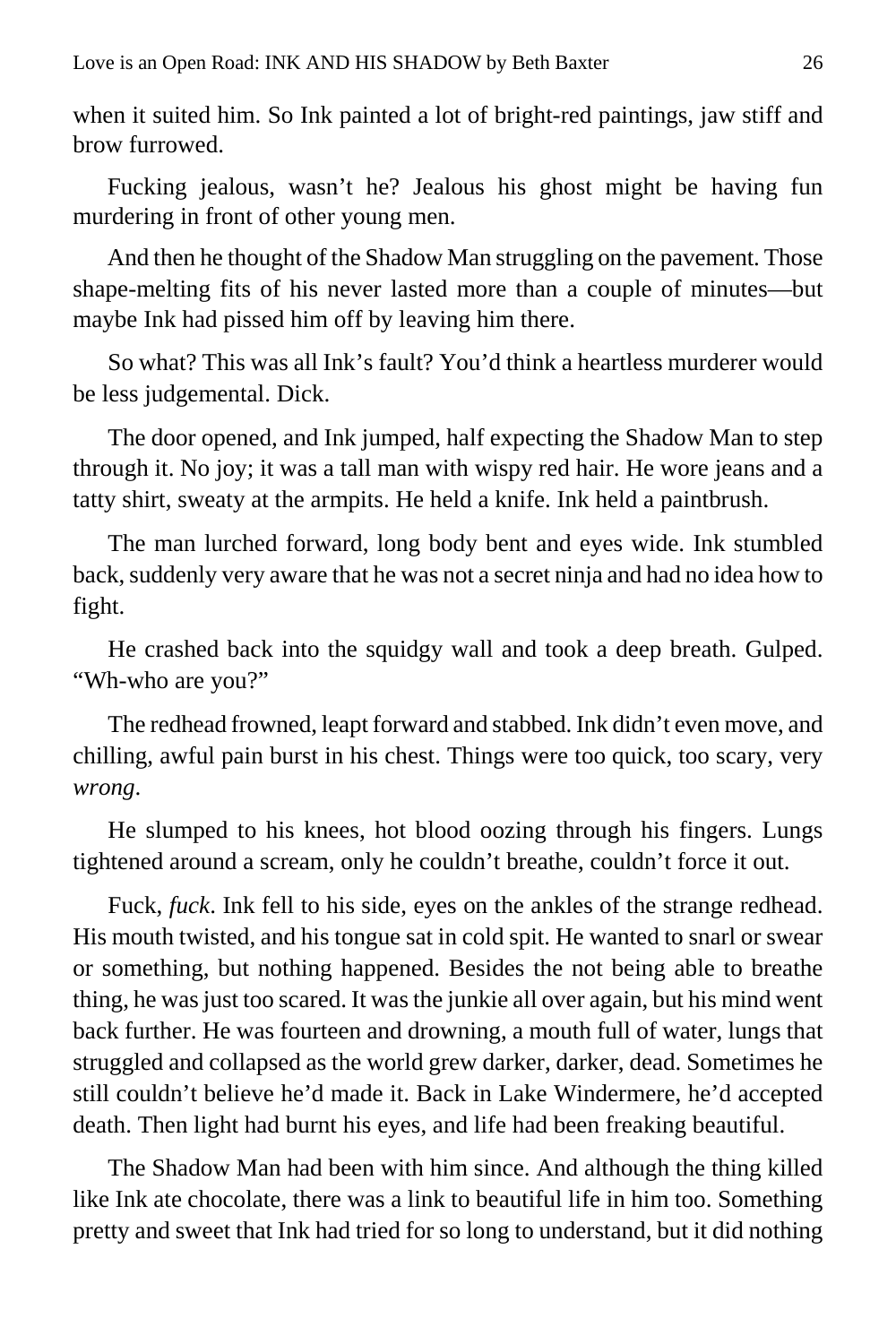when it suited him. So Ink painted a lot of bright-red paintings, jaw stiff and brow furrowed.

Fucking jealous, wasn't he? Jealous his ghost might be having fun murdering in front of other young men.

And then he thought of the Shadow Man struggling on the pavement. Those shape-melting fits of his never lasted more than a couple of minutes—but maybe Ink had pissed him off by leaving him there.

So what? This was all Ink's fault? You'd think a heartless murderer would be less judgemental. Dick.

The door opened, and Ink jumped, half expecting the Shadow Man to step through it. No joy; it was a tall man with wispy red hair. He wore jeans and a tatty shirt, sweaty at the armpits. He held a knife. Ink held a paintbrush.

The man lurched forward, long body bent and eyes wide. Ink stumbled back, suddenly very aware that he was not a secret ninja and had no idea how to fight.

He crashed back into the squidgy wall and took a deep breath. Gulped. "Wh-who are you?"

The redhead frowned, leapt forward and stabbed. Ink didn't even move, and chilling, awful pain burst in his chest. Things were too quick, too scary, very *wrong*.

He slumped to his knees, hot blood oozing through his fingers. Lungs tightened around a scream, only he couldn't breathe, couldn't force it out.

Fuck, *fuck*. Ink fell to his side, eyes on the ankles of the strange redhead. His mouth twisted, and his tongue sat in cold spit. He wanted to snarl or swear or something, but nothing happened. Besides the not being able to breathe thing, he was just too scared. It was the junkie all over again, but his mind went back further. He was fourteen and drowning, a mouth full of water, lungs that struggled and collapsed as the world grew darker, darker, dead. Sometimes he still couldn't believe he'd made it. Back in Lake Windermere, he'd accepted death. Then light had burnt his eyes, and life had been freaking beautiful.

The Shadow Man had been with him since. And although the thing killed like Ink ate chocolate, there was a link to beautiful life in him too. Something pretty and sweet that Ink had tried for so long to understand, but it did nothing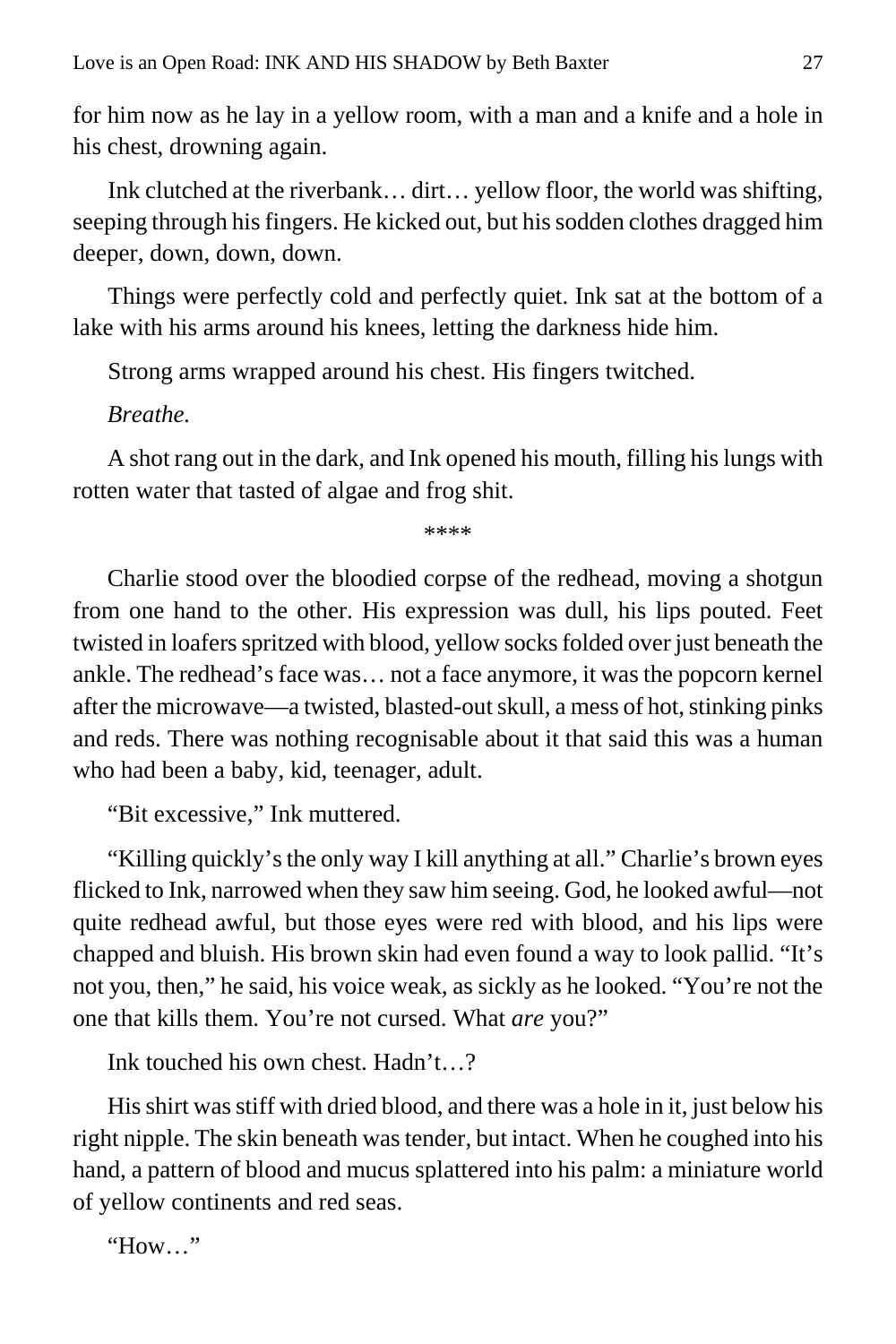for him now as he lay in a yellow room, with a man and a knife and a hole in his chest, drowning again.

Ink clutched at the riverbank… dirt… yellow floor, the world was shifting, seeping through his fingers. He kicked out, but his sodden clothes dragged him deeper, down, down, down.

Things were perfectly cold and perfectly quiet. Ink sat at the bottom of a lake with his arms around his knees, letting the darkness hide him.

Strong arms wrapped around his chest. His fingers twitched.

*Breathe.*

A shot rang out in the dark, and Ink opened his mouth, filling his lungs with rotten water that tasted of algae and frog shit.

\*\*\*\*

Charlie stood over the bloodied corpse of the redhead, moving a shotgun from one hand to the other. His expression was dull, his lips pouted. Feet twisted in loafers spritzed with blood, yellow socks folded over just beneath the ankle. The redhead's face was… not a face anymore, it was the popcorn kernel after the microwave—a twisted, blasted-out skull, a mess of hot, stinking pinks and reds. There was nothing recognisable about it that said this was a human who had been a baby, kid, teenager, adult.

"Bit excessive," Ink muttered.

"Killing quickly's the only way I kill anything at all." Charlie's brown eyes flicked to Ink, narrowed when they saw him seeing. God, he looked awful—not quite redhead awful, but those eyes were red with blood, and his lips were chapped and bluish. His brown skin had even found a way to look pallid. "It's not you, then," he said, his voice weak, as sickly as he looked. "You're not the one that kills them. You're not cursed. What *are* you?"

Ink touched his own chest. Hadn't…?

His shirt was stiff with dried blood, and there was a hole in it, just below his right nipple. The skin beneath was tender, but intact. When he coughed into his hand, a pattern of blood and mucus splattered into his palm: a miniature world of yellow continents and red seas.

"How…"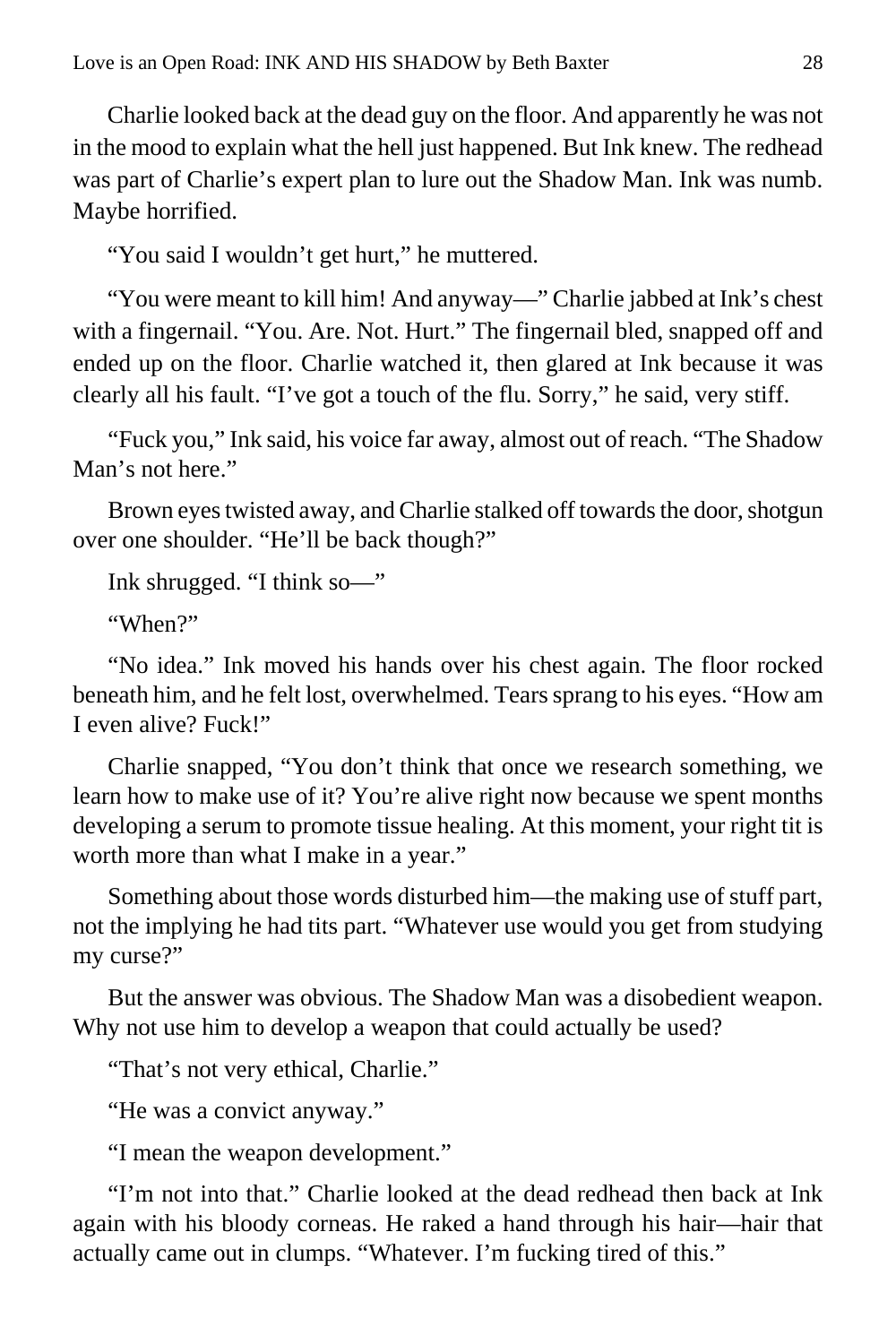Charlie looked back at the dead guy on the floor. And apparently he was not in the mood to explain what the hell just happened. But Ink knew. The redhead was part of Charlie's expert plan to lure out the Shadow Man. Ink was numb. Maybe horrified.

"You said I wouldn't get hurt," he muttered.

"You were meant to kill him! And anyway—" Charlie jabbed at Ink's chest with a fingernail. "You. Are. Not. Hurt." The fingernail bled, snapped off and ended up on the floor. Charlie watched it, then glared at Ink because it was clearly all his fault. "I've got a touch of the flu. Sorry," he said, very stiff.

"Fuck you," Ink said, his voice far away, almost out of reach. "The Shadow Man's not here."

Brown eyes twisted away, and Charlie stalked off towards the door, shotgun over one shoulder. "He'll be back though?"

Ink shrugged. "I think so—"

"When?"

"No idea." Ink moved his hands over his chest again. The floor rocked beneath him, and he felt lost, overwhelmed. Tears sprang to his eyes. "How am I even alive? Fuck!"

Charlie snapped, "You don't think that once we research something, we learn how to make use of it? You're alive right now because we spent months developing a serum to promote tissue healing. At this moment, your right tit is worth more than what I make in a year."

Something about those words disturbed him—the making use of stuff part, not the implying he had tits part. "Whatever use would you get from studying my curse?"

But the answer was obvious. The Shadow Man was a disobedient weapon. Why not use him to develop a weapon that could actually be used?

"That's not very ethical, Charlie."

"He was a convict anyway."

"I mean the weapon development."

"I'm not into that." Charlie looked at the dead redhead then back at Ink again with his bloody corneas. He raked a hand through his hair—hair that actually came out in clumps. "Whatever. I'm fucking tired of this."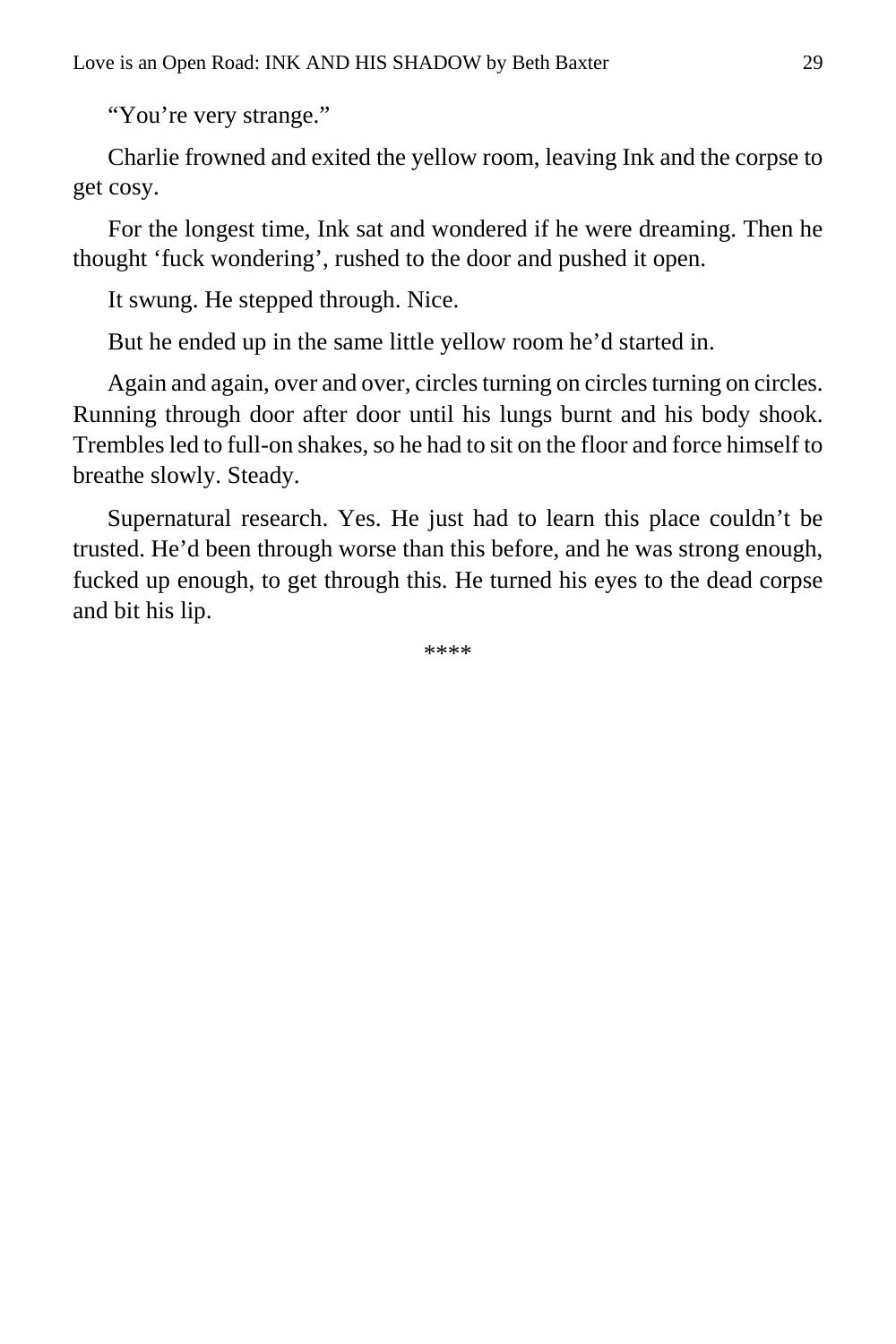"You're very strange."

Charlie frowned and exited the yellow room, leaving Ink and the corpse to get cosy.

For the longest time, Ink sat and wondered if he were dreaming. Then he thought 'fuck wondering', rushed to the door and pushed it open.

It swung. He stepped through. Nice.

But he ended up in the same little yellow room he'd started in.

Again and again, over and over, circles turning on circles turning on circles. Running through door after door until his lungs burnt and his body shook. Trembles led to full-on shakes, so he had to sit on the floor and force himself to breathe slowly. Steady.

Supernatural research. Yes. He just had to learn this place couldn't be trusted. He'd been through worse than this before, and he was strong enough, fucked up enough, to get through this. He turned his eyes to the dead corpse and bit his lip.

\*\*\*\*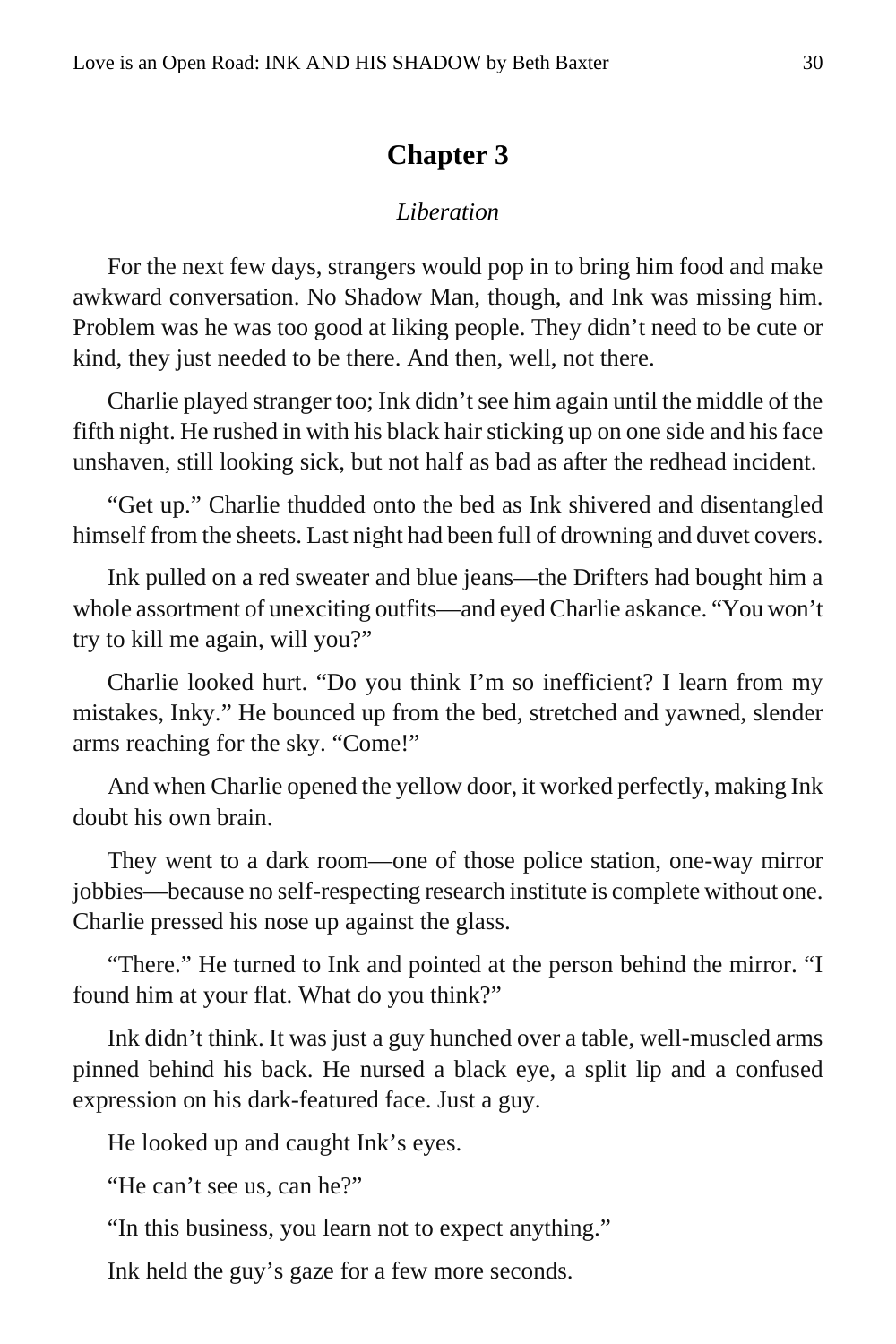#### **Chapter 3**

#### *Liberation*

<span id="page-29-0"></span>For the next few days, strangers would pop in to bring him food and make awkward conversation. No Shadow Man, though, and Ink was missing him. Problem was he was too good at liking people. They didn't need to be cute or kind, they just needed to be there. And then, well, not there.

Charlie played stranger too; Ink didn't see him again until the middle of the fifth night. He rushed in with his black hair sticking up on one side and his face unshaven, still looking sick, but not half as bad as after the redhead incident.

"Get up." Charlie thudded onto the bed as Ink shivered and disentangled himself from the sheets. Last night had been full of drowning and duvet covers.

Ink pulled on a red sweater and blue jeans—the Drifters had bought him a whole assortment of unexciting outfits—and eyed Charlie askance. "You won't try to kill me again, will you?"

Charlie looked hurt. "Do you think I'm so inefficient? I learn from my mistakes, Inky." He bounced up from the bed, stretched and yawned, slender arms reaching for the sky. "Come!"

And when Charlie opened the yellow door, it worked perfectly, making Ink doubt his own brain.

They went to a dark room—one of those police station, one-way mirror jobbies—because no self-respecting research institute is complete without one. Charlie pressed his nose up against the glass.

"There." He turned to Ink and pointed at the person behind the mirror. "I found him at your flat. What do you think?"

Ink didn't think. It was just a guy hunched over a table, well-muscled arms pinned behind his back. He nursed a black eye, a split lip and a confused expression on his dark-featured face. Just a guy.

He looked up and caught Ink's eyes.

"He can't see us, can he?"

"In this business, you learn not to expect anything."

Ink held the guy's gaze for a few more seconds.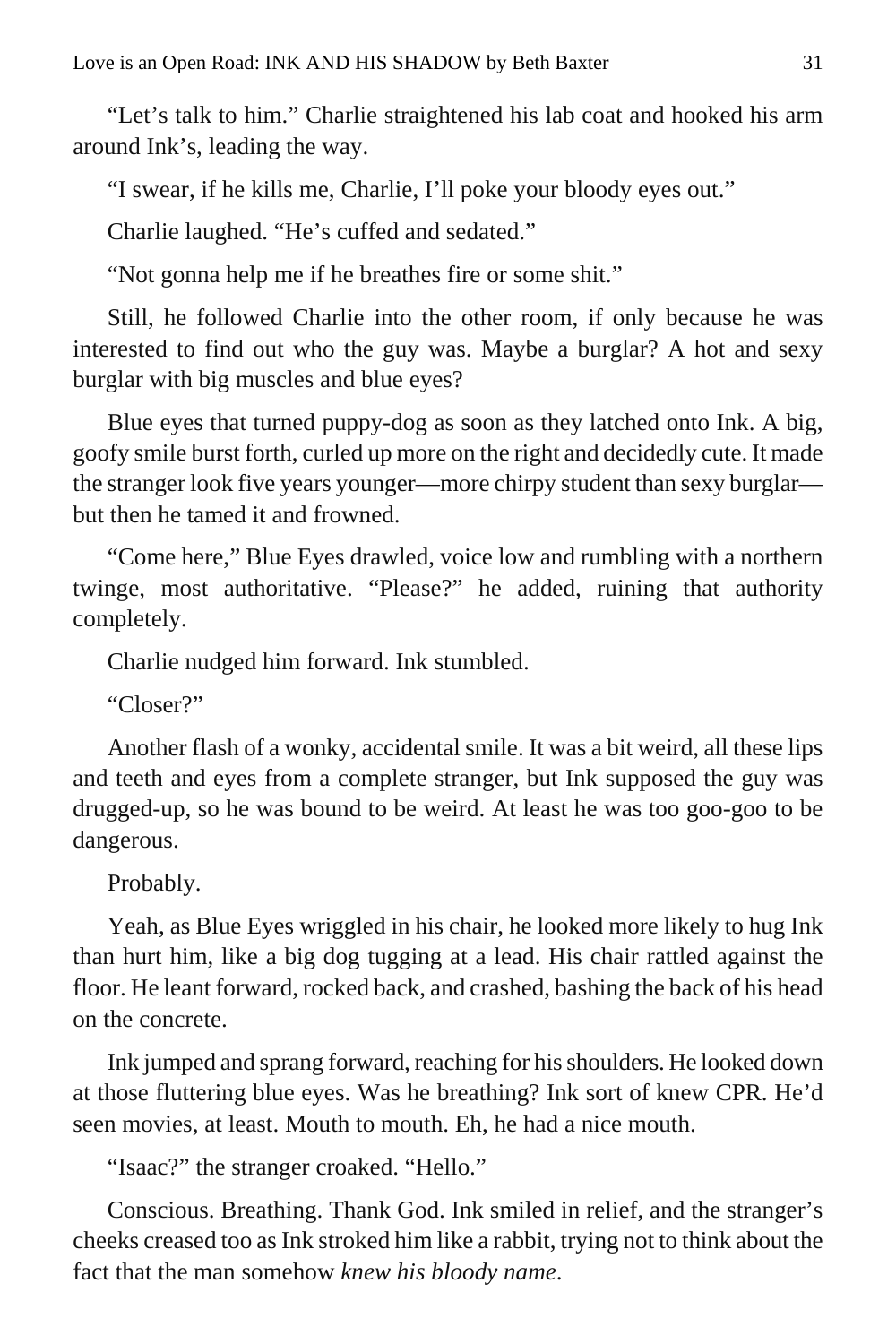"Let's talk to him." Charlie straightened his lab coat and hooked his arm around Ink's, leading the way.

"I swear, if he kills me, Charlie, I'll poke your bloody eyes out."

Charlie laughed. "He's cuffed and sedated."

"Not gonna help me if he breathes fire or some shit."

Still, he followed Charlie into the other room, if only because he was interested to find out who the guy was. Maybe a burglar? A hot and sexy burglar with big muscles and blue eyes?

Blue eyes that turned puppy-dog as soon as they latched onto Ink. A big, goofy smile burst forth, curled up more on the right and decidedly cute. It made the stranger look five years younger—more chirpy student than sexy burglar but then he tamed it and frowned.

"Come here," Blue Eyes drawled, voice low and rumbling with a northern twinge, most authoritative. "Please?" he added, ruining that authority completely.

Charlie nudged him forward. Ink stumbled.

"Closer?"

Another flash of a wonky, accidental smile. It was a bit weird, all these lips and teeth and eyes from a complete stranger, but Ink supposed the guy was drugged-up, so he was bound to be weird. At least he was too goo-goo to be dangerous.

Probably.

Yeah, as Blue Eyes wriggled in his chair, he looked more likely to hug Ink than hurt him, like a big dog tugging at a lead. His chair rattled against the floor. He leant forward, rocked back, and crashed, bashing the back of his head on the concrete.

Ink jumped and sprang forward, reaching for his shoulders. He looked down at those fluttering blue eyes. Was he breathing? Ink sort of knew CPR. He'd seen movies, at least. Mouth to mouth. Eh, he had a nice mouth.

"Isaac?" the stranger croaked. "Hello."

Conscious. Breathing. Thank God. Ink smiled in relief, and the stranger's cheeks creased too as Ink stroked him like a rabbit, trying not to think about the fact that the man somehow *knew his bloody name*.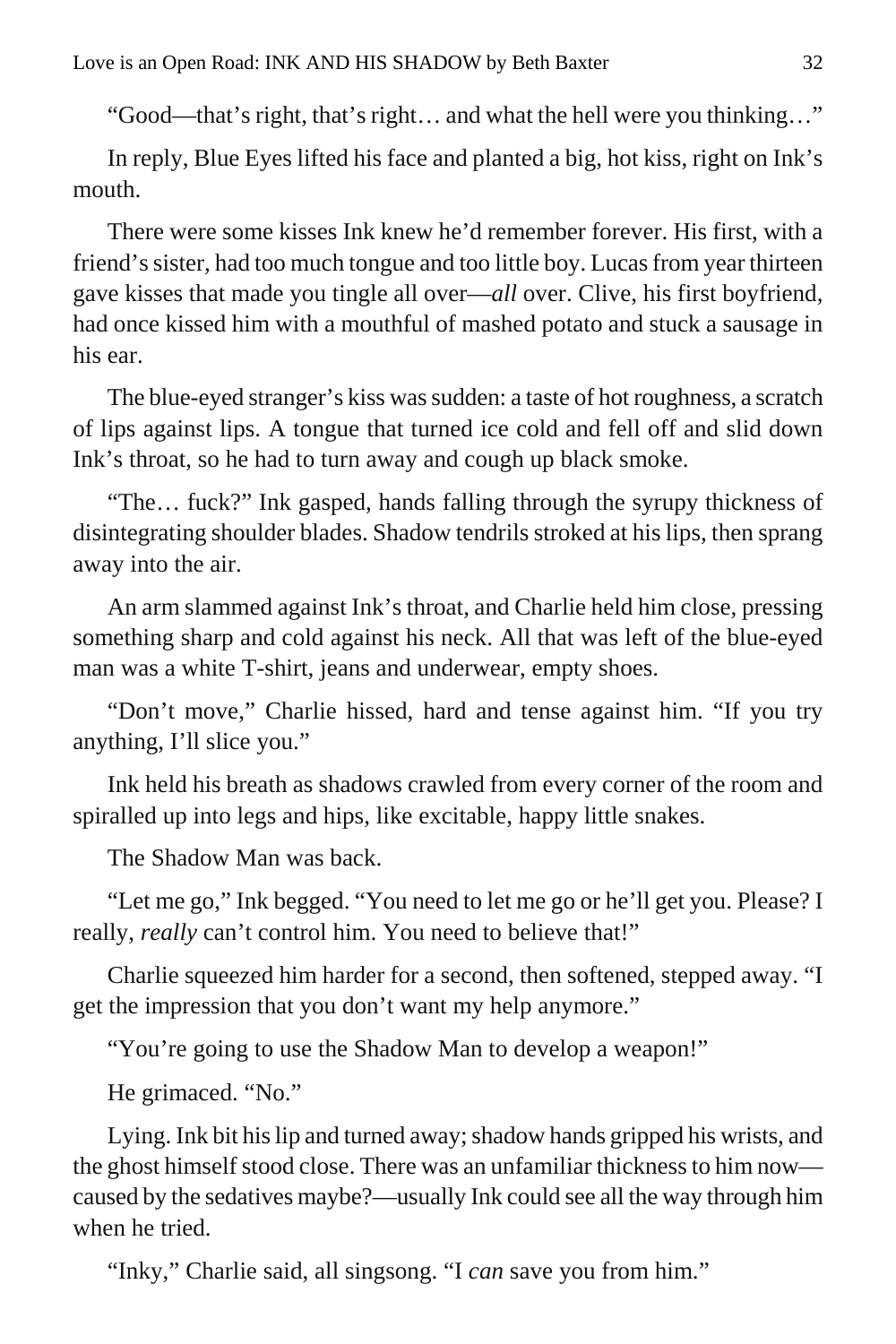"Good—that's right, that's right… and what the hell were you thinking…"

In reply, Blue Eyes lifted his face and planted a big, hot kiss, right on Ink's mouth.

There were some kisses Ink knew he'd remember forever. His first, with a friend's sister, had too much tongue and too little boy. Lucas from year thirteen gave kisses that made you tingle all over—*all* over. Clive, his first boyfriend, had once kissed him with a mouthful of mashed potato and stuck a sausage in his ear.

The blue-eyed stranger's kiss was sudden: a taste of hot roughness, a scratch of lips against lips. A tongue that turned ice cold and fell off and slid down Ink's throat, so he had to turn away and cough up black smoke.

"The… fuck?" Ink gasped, hands falling through the syrupy thickness of disintegrating shoulder blades. Shadow tendrils stroked at his lips, then sprang away into the air.

An arm slammed against Ink's throat, and Charlie held him close, pressing something sharp and cold against his neck. All that was left of the blue-eyed man was a white T-shirt, jeans and underwear, empty shoes.

"Don't move," Charlie hissed, hard and tense against him. "If you try anything, I'll slice you."

Ink held his breath as shadows crawled from every corner of the room and spiralled up into legs and hips, like excitable, happy little snakes.

The Shadow Man was back.

"Let me go," Ink begged. "You need to let me go or he'll get you. Please? I really, *really* can't control him. You need to believe that!"

Charlie squeezed him harder for a second, then softened, stepped away. "I get the impression that you don't want my help anymore."

"You're going to use the Shadow Man to develop a weapon!"

He grimaced. "No."

Lying. Ink bit his lip and turned away; shadow hands gripped his wrists, and the ghost himself stood close. There was an unfamiliar thickness to him now caused by the sedatives maybe?—usually Ink could see all the way through him when he tried.

"Inky," Charlie said, all singsong. "I *can* save you from him."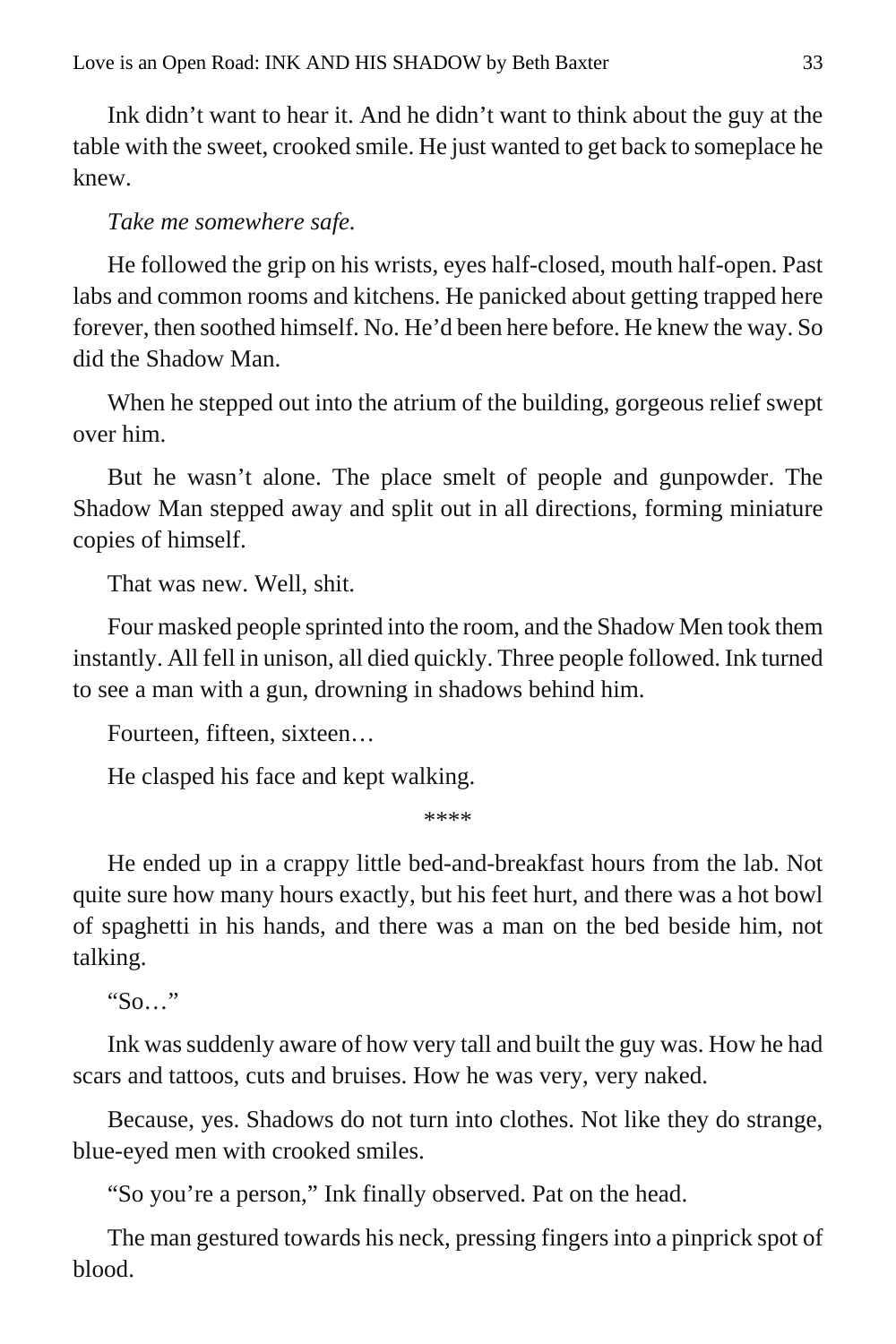Ink didn't want to hear it. And he didn't want to think about the guy at the table with the sweet, crooked smile. He just wanted to get back to someplace he knew.

#### *Take me somewhere safe.*

He followed the grip on his wrists, eyes half-closed, mouth half-open. Past labs and common rooms and kitchens. He panicked about getting trapped here forever, then soothed himself. No. He'd been here before. He knew the way. So did the Shadow Man.

When he stepped out into the atrium of the building, gorgeous relief swept over him.

But he wasn't alone. The place smelt of people and gunpowder. The Shadow Man stepped away and split out in all directions, forming miniature copies of himself.

That was new. Well, shit.

Four masked people sprinted into the room, and the Shadow Men took them instantly. All fell in unison, all died quickly. Three people followed. Ink turned to see a man with a gun, drowning in shadows behind him.

Fourteen, fifteen, sixteen…

He clasped his face and kept walking.

\*\*\*\*

He ended up in a crappy little bed-and-breakfast hours from the lab. Not quite sure how many hours exactly, but his feet hurt, and there was a hot bowl of spaghetti in his hands, and there was a man on the bed beside him, not talking.

" $\mathcal{S}_0$  ...

Ink was suddenly aware of how very tall and built the guy was. How he had scars and tattoos, cuts and bruises. How he was very, very naked.

Because, yes. Shadows do not turn into clothes. Not like they do strange, blue-eyed men with crooked smiles.

"So you're a person," Ink finally observed. Pat on the head.

The man gestured towards his neck, pressing fingers into a pinprick spot of blood.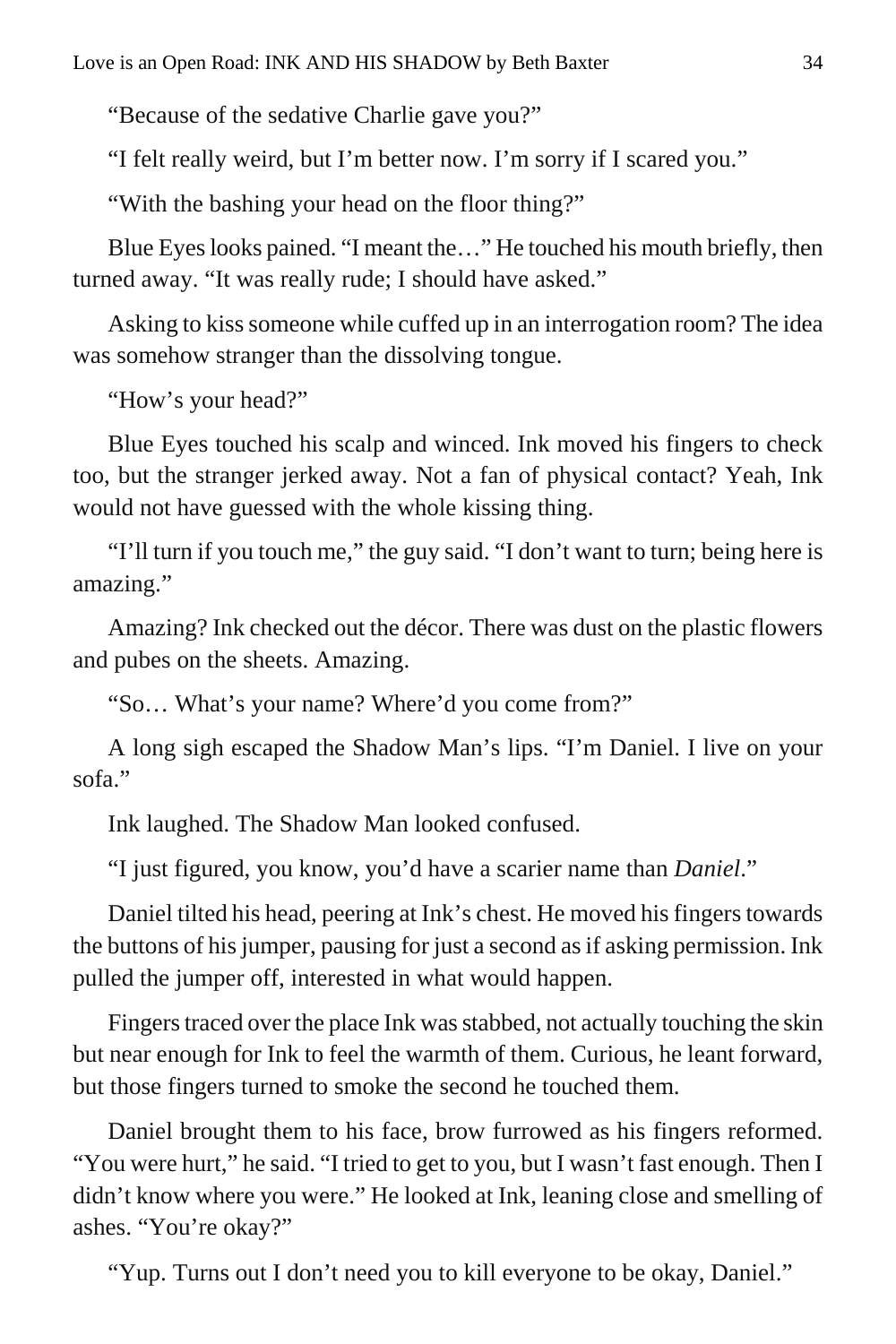"Because of the sedative Charlie gave you?"

"I felt really weird, but I'm better now. I'm sorry if I scared you."

"With the bashing your head on the floor thing?"

Blue Eyes looks pained. "I meant the…" He touched his mouth briefly, then turned away. "It was really rude; I should have asked."

Asking to kiss someone while cuffed up in an interrogation room? The idea was somehow stranger than the dissolving tongue.

"How's your head?"

Blue Eyes touched his scalp and winced. Ink moved his fingers to check too, but the stranger jerked away. Not a fan of physical contact? Yeah, Ink would not have guessed with the whole kissing thing.

"I'll turn if you touch me," the guy said. "I don't want to turn; being here is amazing."

Amazing? Ink checked out the décor. There was dust on the plastic flowers and pubes on the sheets. Amazing.

"So… What's your name? Where'd you come from?"

A long sigh escaped the Shadow Man's lips. "I'm Daniel. I live on your sofa."

Ink laughed. The Shadow Man looked confused.

"I just figured, you know, you'd have a scarier name than *Daniel*."

Daniel tilted his head, peering at Ink's chest. He moved his fingers towards the buttons of his jumper, pausing for just a second as if asking permission. Ink pulled the jumper off, interested in what would happen.

Fingers traced over the place Ink was stabbed, not actually touching the skin but near enough for Ink to feel the warmth of them. Curious, he leant forward, but those fingers turned to smoke the second he touched them.

Daniel brought them to his face, brow furrowed as his fingers reformed. "You were hurt," he said. "I tried to get to you, but I wasn't fast enough. Then I didn't know where you were." He looked at Ink, leaning close and smelling of ashes. "You're okay?"

"Yup. Turns out I don't need you to kill everyone to be okay, Daniel."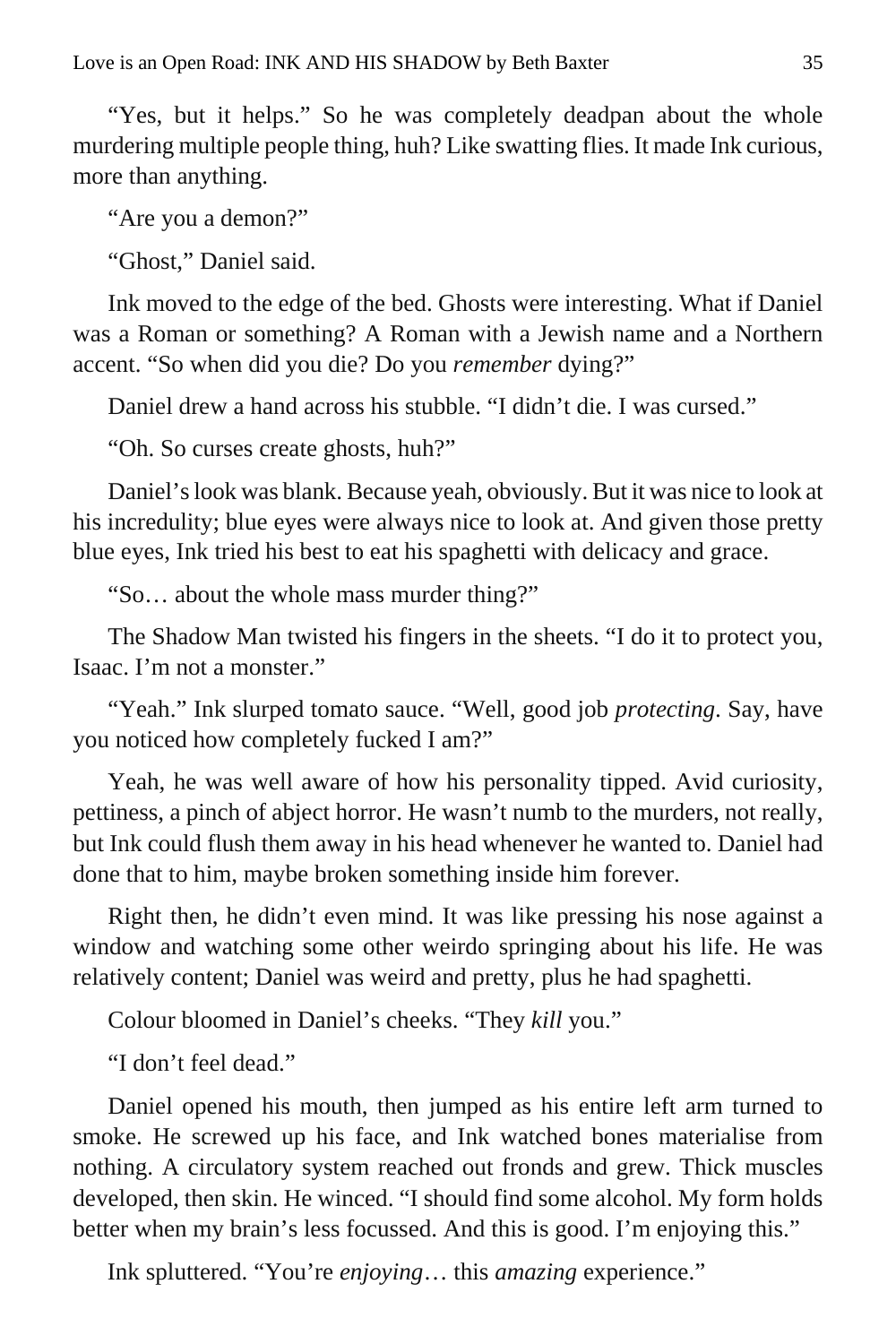"Yes, but it helps." So he was completely deadpan about the whole murdering multiple people thing, huh? Like swatting flies. It made Ink curious, more than anything.

"Are you a demon?"

"Ghost," Daniel said.

Ink moved to the edge of the bed. Ghosts were interesting. What if Daniel was a Roman or something? A Roman with a Jewish name and a Northern accent. "So when did you die? Do you *remember* dying?"

Daniel drew a hand across his stubble. "I didn't die. I was cursed."

"Oh. So curses create ghosts, huh?"

Daniel's look was blank. Because yeah, obviously. But it was nice to look at his incredulity; blue eyes were always nice to look at. And given those pretty blue eyes, Ink tried his best to eat his spaghetti with delicacy and grace.

"So… about the whole mass murder thing?"

The Shadow Man twisted his fingers in the sheets. "I do it to protect you, Isaac. I'm not a monster."

"Yeah." Ink slurped tomato sauce. "Well, good job *protecting*. Say, have you noticed how completely fucked I am?"

Yeah, he was well aware of how his personality tipped. Avid curiosity, pettiness, a pinch of abject horror. He wasn't numb to the murders, not really, but Ink could flush them away in his head whenever he wanted to. Daniel had done that to him, maybe broken something inside him forever.

Right then, he didn't even mind. It was like pressing his nose against a window and watching some other weirdo springing about his life. He was relatively content; Daniel was weird and pretty, plus he had spaghetti.

Colour bloomed in Daniel's cheeks. "They *kill* you."

"I don't feel dead."

Daniel opened his mouth, then jumped as his entire left arm turned to smoke. He screwed up his face, and Ink watched bones materialise from nothing. A circulatory system reached out fronds and grew. Thick muscles developed, then skin. He winced. "I should find some alcohol. My form holds better when my brain's less focussed. And this is good. I'm enjoying this."

Ink spluttered. "You're *enjoying*… this *amazing* experience."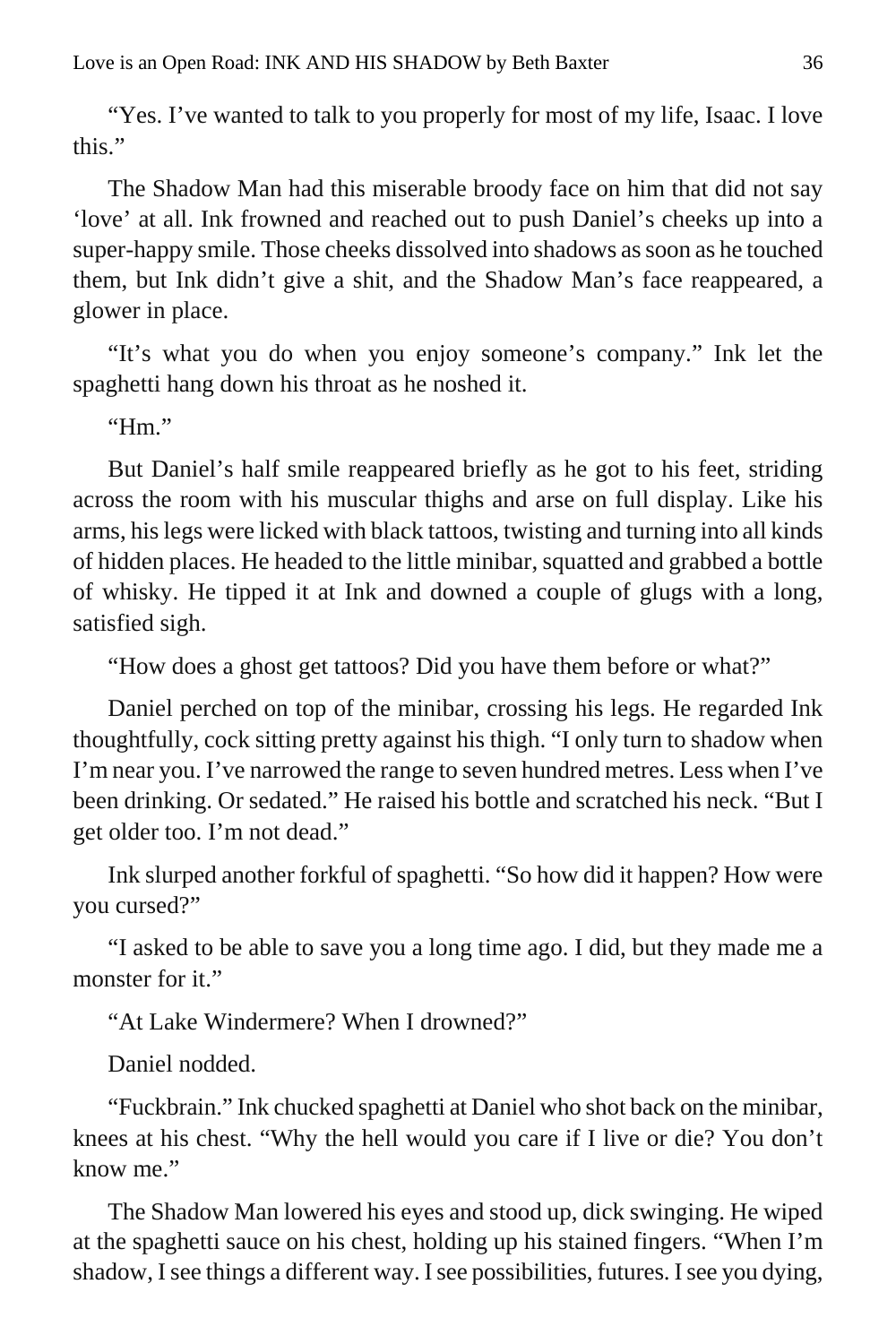"Yes. I've wanted to talk to you properly for most of my life, Isaac. I love this."

The Shadow Man had this miserable broody face on him that did not say 'love' at all. Ink frowned and reached out to push Daniel's cheeks up into a super-happy smile. Those cheeks dissolved into shadows as soon as he touched them, but Ink didn't give a shit, and the Shadow Man's face reappeared, a glower in place.

"It's what you do when you enjoy someone's company." Ink let the spaghetti hang down his throat as he noshed it.

" $Hm$ "

But Daniel's half smile reappeared briefly as he got to his feet, striding across the room with his muscular thighs and arse on full display. Like his arms, his legs were licked with black tattoos, twisting and turning into all kinds of hidden places. He headed to the little minibar, squatted and grabbed a bottle of whisky. He tipped it at Ink and downed a couple of glugs with a long, satisfied sigh.

"How does a ghost get tattoos? Did you have them before or what?"

Daniel perched on top of the minibar, crossing his legs. He regarded Ink thoughtfully, cock sitting pretty against his thigh. "I only turn to shadow when I'm near you. I've narrowed the range to seven hundred metres. Less when I've been drinking. Or sedated." He raised his bottle and scratched his neck. "But I get older too. I'm not dead."

Ink slurped another forkful of spaghetti. "So how did it happen? How were you cursed?"

"I asked to be able to save you a long time ago. I did, but they made me a monster for it."

"At Lake Windermere? When I drowned?"

Daniel nodded.

"Fuckbrain." Ink chucked spaghetti at Daniel who shot back on the minibar, knees at his chest. "Why the hell would you care if I live or die? You don't know me."

The Shadow Man lowered his eyes and stood up, dick swinging. He wiped at the spaghetti sauce on his chest, holding up his stained fingers. "When I'm shadow, I see things a different way. I see possibilities, futures. I see you dying,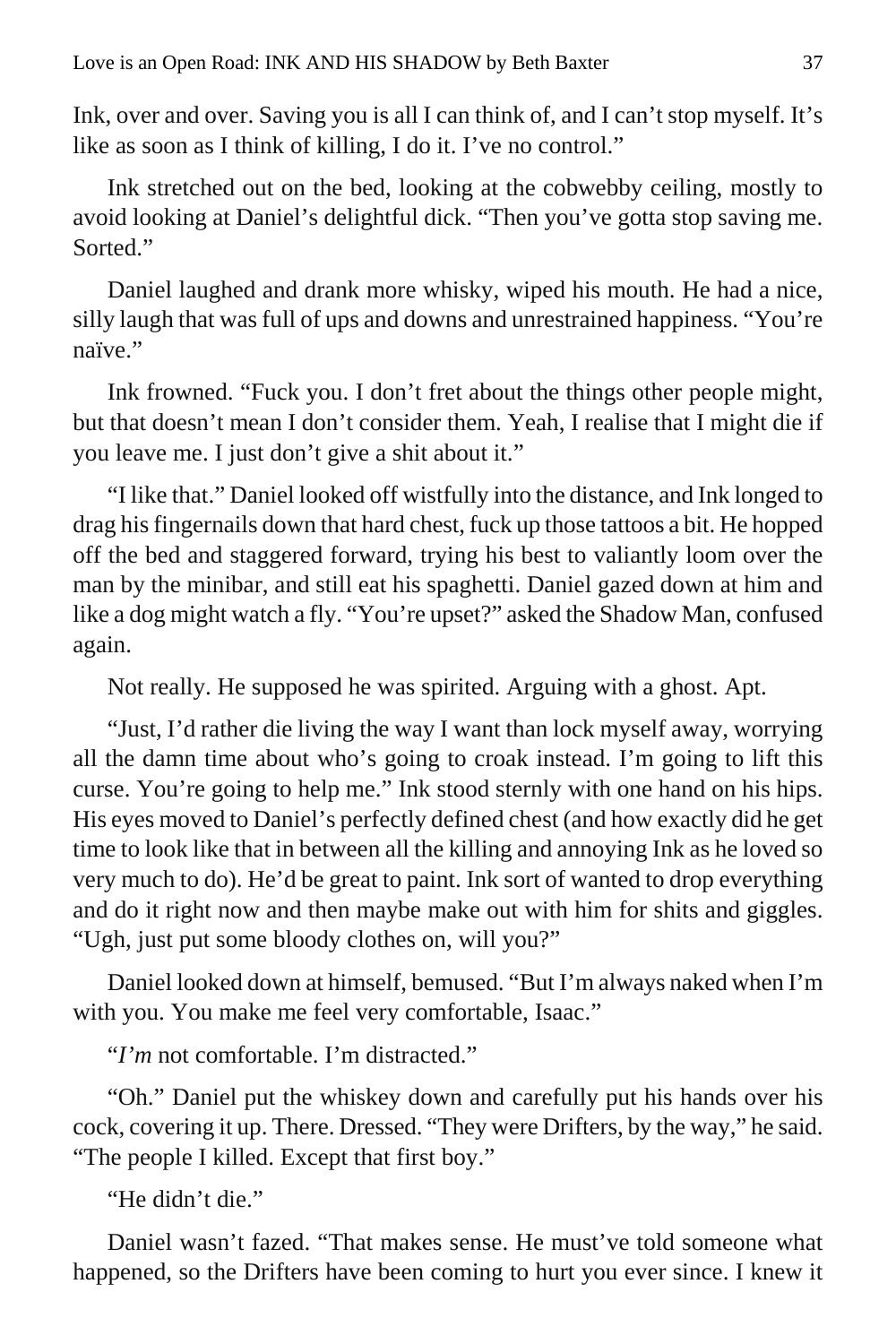Ink, over and over. Saving you is all I can think of, and I can't stop myself. It's like as soon as I think of killing, I do it. I've no control."

Ink stretched out on the bed, looking at the cobwebby ceiling, mostly to avoid looking at Daniel's delightful dick. "Then you've gotta stop saving me. Sorted."

Daniel laughed and drank more whisky, wiped his mouth. He had a nice, silly laugh that was full of ups and downs and unrestrained happiness. "You're naïve."

Ink frowned. "Fuck you. I don't fret about the things other people might, but that doesn't mean I don't consider them. Yeah, I realise that I might die if you leave me. I just don't give a shit about it."

"I like that." Daniel looked off wistfully into the distance, and Ink longed to drag his fingernails down that hard chest, fuck up those tattoos a bit. He hopped off the bed and staggered forward, trying his best to valiantly loom over the man by the minibar, and still eat his spaghetti. Daniel gazed down at him and like a dog might watch a fly. "You're upset?" asked the Shadow Man, confused again.

Not really. He supposed he was spirited. Arguing with a ghost. Apt.

"Just, I'd rather die living the way I want than lock myself away, worrying all the damn time about who's going to croak instead. I'm going to lift this curse. You're going to help me." Ink stood sternly with one hand on his hips. His eyes moved to Daniel's perfectly defined chest (and how exactly did he get time to look like that in between all the killing and annoying Ink as he loved so very much to do). He'd be great to paint. Ink sort of wanted to drop everything and do it right now and then maybe make out with him for shits and giggles. "Ugh, just put some bloody clothes on, will you?"

Daniel looked down at himself, bemused. "But I'm always naked when I'm with you. You make me feel very comfortable, Isaac."

"*I'm* not comfortable. I'm distracted."

"Oh." Daniel put the whiskey down and carefully put his hands over his cock, covering it up. There. Dressed. "They were Drifters, by the way," he said. "The people I killed. Except that first boy."

"He didn't die."

Daniel wasn't fazed. "That makes sense. He must've told someone what happened, so the Drifters have been coming to hurt you ever since. I knew it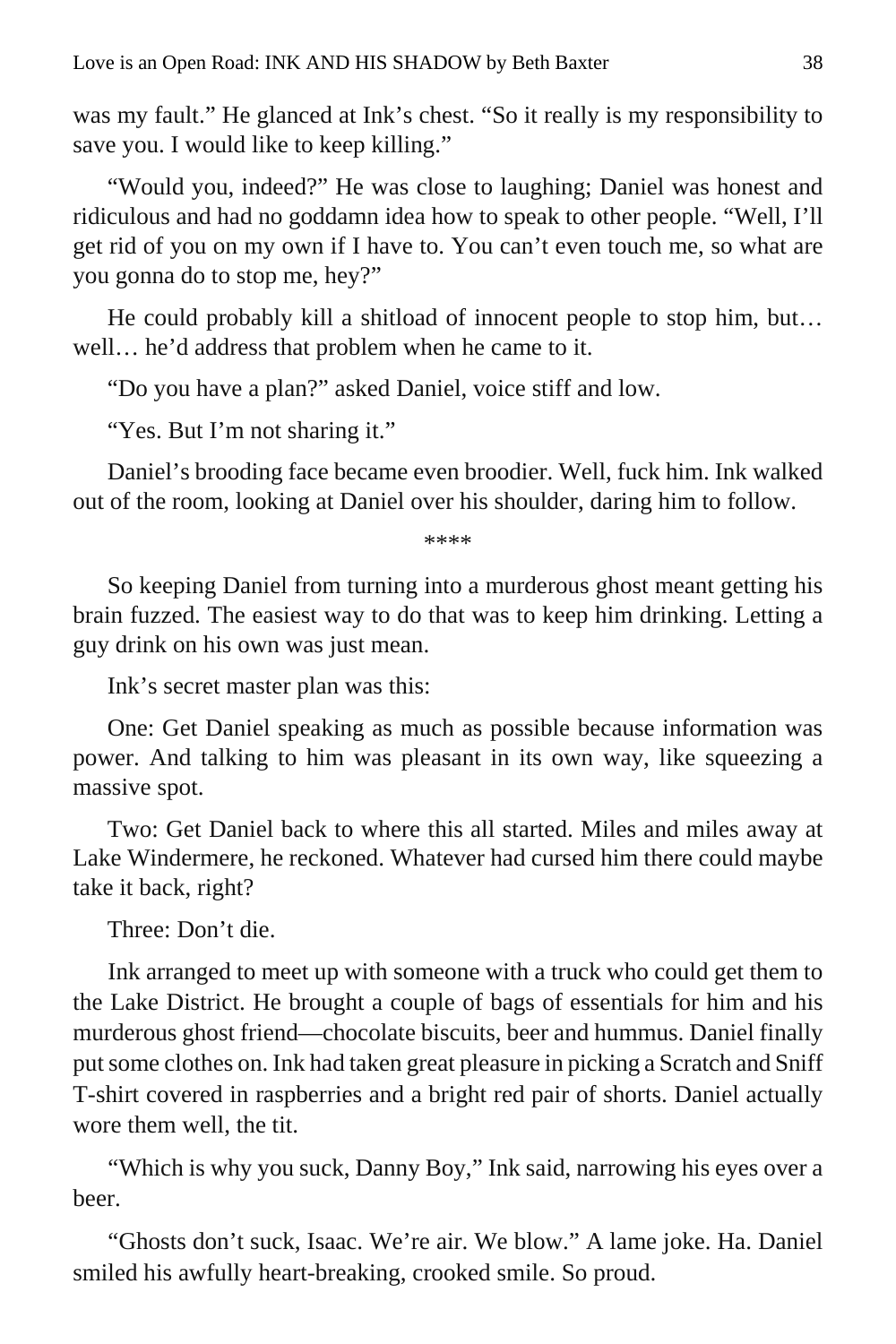was my fault." He glanced at Ink's chest. "So it really is my responsibility to save you. I would like to keep killing."

"Would you, indeed?" He was close to laughing; Daniel was honest and ridiculous and had no goddamn idea how to speak to other people. "Well, I'll get rid of you on my own if I have to. You can't even touch me, so what are you gonna do to stop me, hey?"

He could probably kill a shitload of innocent people to stop him, but… well… he'd address that problem when he came to it.

"Do you have a plan?" asked Daniel, voice stiff and low.

"Yes. But I'm not sharing it."

Daniel's brooding face became even broodier. Well, fuck him. Ink walked out of the room, looking at Daniel over his shoulder, daring him to follow.

\*\*\*\*

So keeping Daniel from turning into a murderous ghost meant getting his brain fuzzed. The easiest way to do that was to keep him drinking. Letting a guy drink on his own was just mean.

Ink's secret master plan was this:

One: Get Daniel speaking as much as possible because information was power. And talking to him was pleasant in its own way, like squeezing a massive spot.

Two: Get Daniel back to where this all started. Miles and miles away at Lake Windermere, he reckoned. Whatever had cursed him there could maybe take it back, right?

Three: Don't die.

Ink arranged to meet up with someone with a truck who could get them to the Lake District. He brought a couple of bags of essentials for him and his murderous ghost friend—chocolate biscuits, beer and hummus. Daniel finally put some clothes on. Ink had taken great pleasure in picking a Scratch and Sniff T-shirt covered in raspberries and a bright red pair of shorts. Daniel actually wore them well, the tit.

"Which is why you suck, Danny Boy," Ink said, narrowing his eyes over a beer.

"Ghosts don't suck, Isaac. We're air. We blow." A lame joke. Ha. Daniel smiled his awfully heart-breaking, crooked smile. So proud.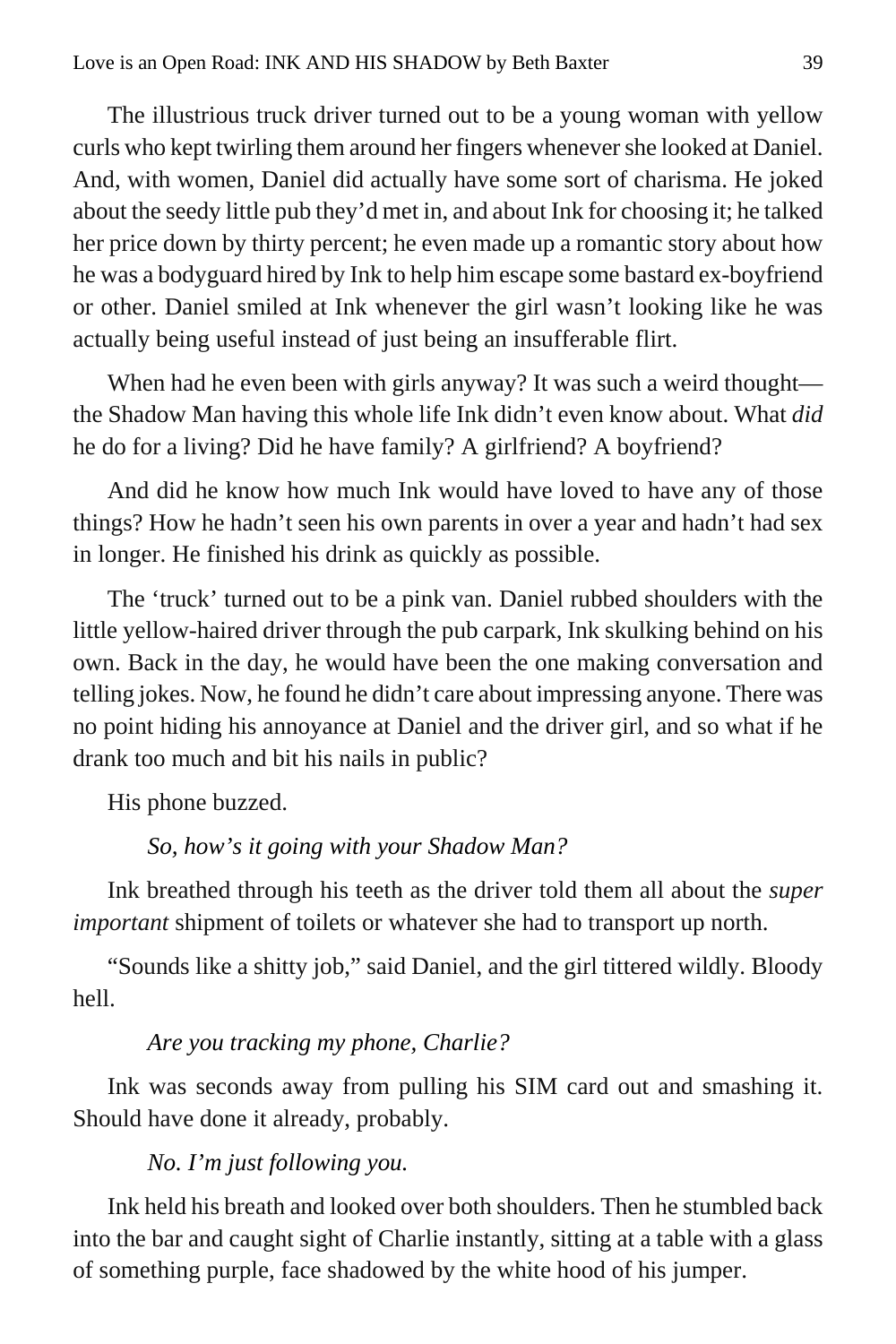The illustrious truck driver turned out to be a young woman with yellow curls who kept twirling them around her fingers whenever she looked at Daniel. And, with women, Daniel did actually have some sort of charisma. He joked about the seedy little pub they'd met in, and about Ink for choosing it; he talked her price down by thirty percent; he even made up a romantic story about how he was a bodyguard hired by Ink to help him escape some bastard ex-boyfriend or other. Daniel smiled at Ink whenever the girl wasn't looking like he was actually being useful instead of just being an insufferable flirt.

When had he even been with girls anyway? It was such a weird thought the Shadow Man having this whole life Ink didn't even know about. What *did*  he do for a living? Did he have family? A girlfriend? A boyfriend?

And did he know how much Ink would have loved to have any of those things? How he hadn't seen his own parents in over a year and hadn't had sex in longer. He finished his drink as quickly as possible.

The 'truck' turned out to be a pink van. Daniel rubbed shoulders with the little yellow-haired driver through the pub carpark, Ink skulking behind on his own. Back in the day, he would have been the one making conversation and telling jokes. Now, he found he didn't care about impressing anyone. There was no point hiding his annoyance at Daniel and the driver girl, and so what if he drank too much and bit his nails in public?

His phone buzzed.

#### *So, how's it going with your Shadow Man?*

Ink breathed through his teeth as the driver told them all about the *super important* shipment of toilets or whatever she had to transport up north.

"Sounds like a shitty job," said Daniel, and the girl tittered wildly. Bloody hell.

#### *Are you tracking my phone, Charlie?*

Ink was seconds away from pulling his SIM card out and smashing it. Should have done it already, probably.

#### *No. I'm just following you.*

Ink held his breath and looked over both shoulders. Then he stumbled back into the bar and caught sight of Charlie instantly, sitting at a table with a glass of something purple, face shadowed by the white hood of his jumper.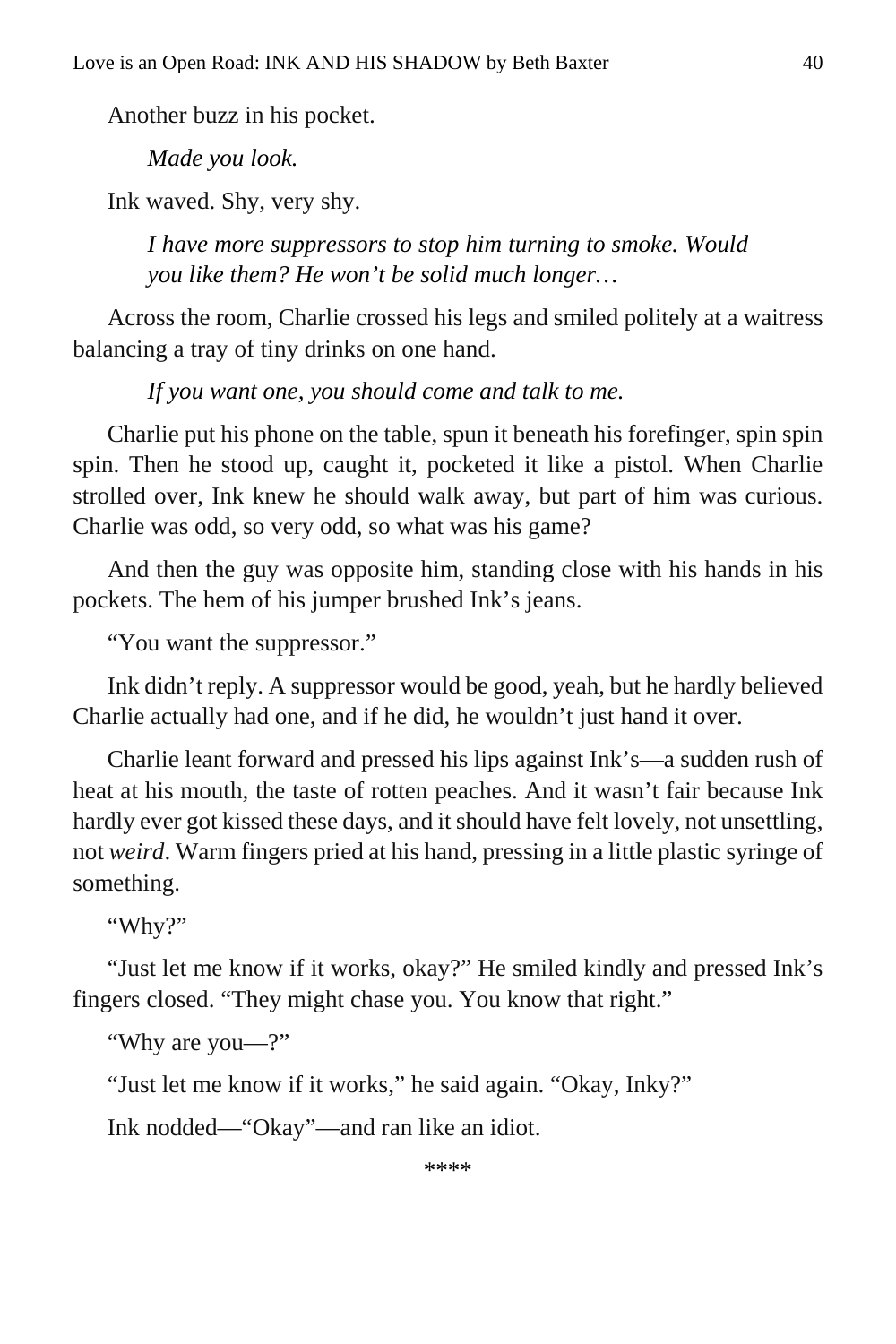Another buzz in his pocket.

*Made you look.*

Ink waved. Shy, very shy.

*I have more suppressors to stop him turning to smoke. Would you like them? He won't be solid much longer…*

Across the room, Charlie crossed his legs and smiled politely at a waitress balancing a tray of tiny drinks on one hand.

*If you want one, you should come and talk to me.*

Charlie put his phone on the table, spun it beneath his forefinger, spin spin spin. Then he stood up, caught it, pocketed it like a pistol. When Charlie strolled over, Ink knew he should walk away, but part of him was curious. Charlie was odd, so very odd, so what was his game?

And then the guy was opposite him, standing close with his hands in his pockets. The hem of his jumper brushed Ink's jeans.

"You want the suppressor."

Ink didn't reply. A suppressor would be good, yeah, but he hardly believed Charlie actually had one, and if he did, he wouldn't just hand it over.

Charlie leant forward and pressed his lips against Ink's—a sudden rush of heat at his mouth, the taste of rotten peaches. And it wasn't fair because Ink hardly ever got kissed these days, and it should have felt lovely, not unsettling, not *weird*. Warm fingers pried at his hand, pressing in a little plastic syringe of something.

"Why?"

"Just let me know if it works, okay?" He smiled kindly and pressed Ink's fingers closed. "They might chase you. You know that right."

"Why are you—?"

"Just let me know if it works," he said again. "Okay, Inky?"

Ink nodded—"Okay"—and ran like an idiot.

\*\*\*\*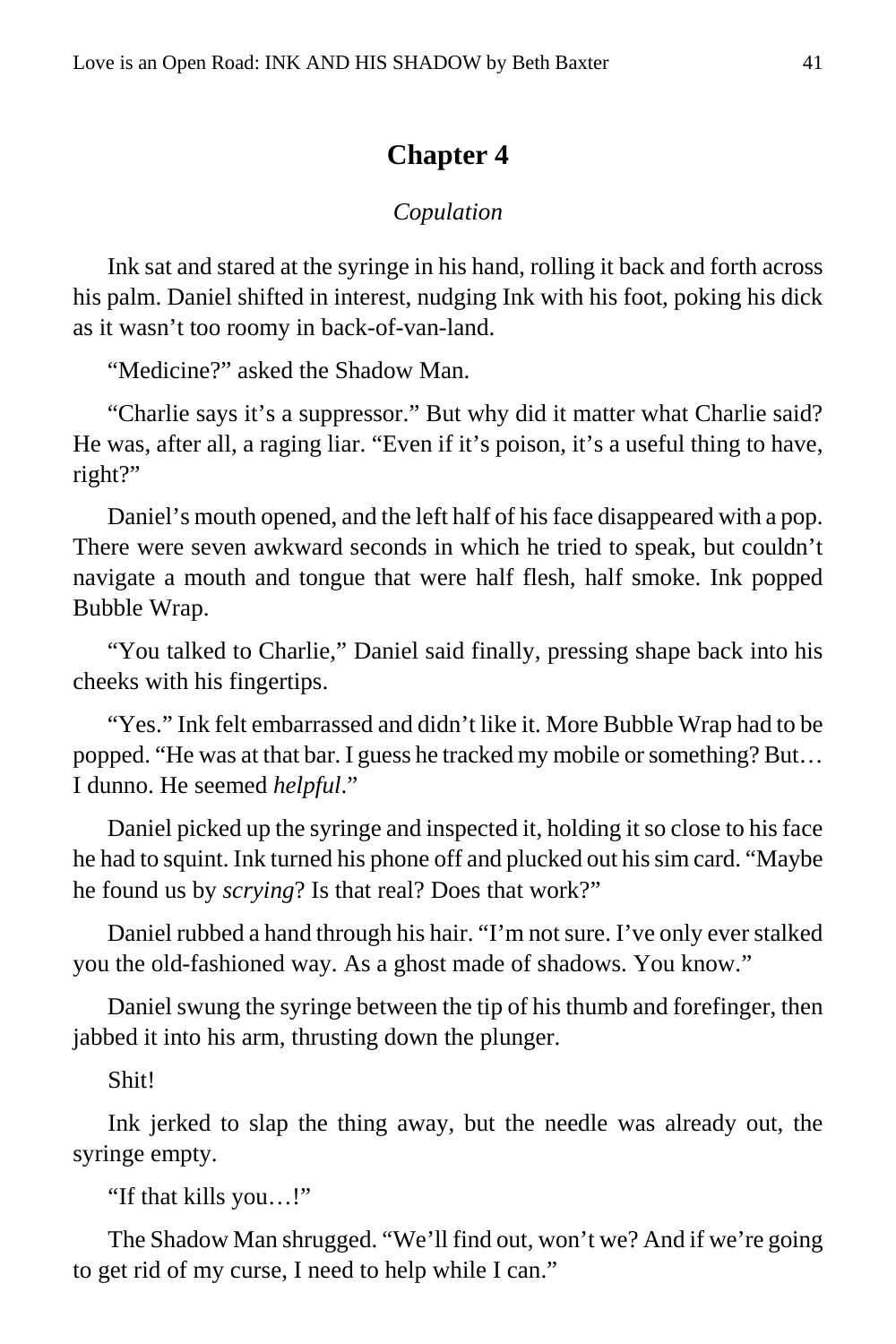#### **Chapter 4**

#### *Copulation*

<span id="page-40-0"></span>Ink sat and stared at the syringe in his hand, rolling it back and forth across his palm. Daniel shifted in interest, nudging Ink with his foot, poking his dick as it wasn't too roomy in back-of-van-land.

"Medicine?" asked the Shadow Man.

"Charlie says it's a suppressor." But why did it matter what Charlie said? He was, after all, a raging liar. "Even if it's poison, it's a useful thing to have, right?"

Daniel's mouth opened, and the left half of his face disappeared with a pop. There were seven awkward seconds in which he tried to speak, but couldn't navigate a mouth and tongue that were half flesh, half smoke. Ink popped Bubble Wrap.

"You talked to Charlie," Daniel said finally, pressing shape back into his cheeks with his fingertips.

"Yes." Ink felt embarrassed and didn't like it. More Bubble Wrap had to be popped. "He was at that bar. I guess he tracked my mobile or something? But… I dunno. He seemed *helpful*."

Daniel picked up the syringe and inspected it, holding it so close to his face he had to squint. Ink turned his phone off and plucked out his sim card. "Maybe he found us by *scrying*? Is that real? Does that work?"

Daniel rubbed a hand through his hair. "I'm not sure. I've only ever stalked you the old-fashioned way. As a ghost made of shadows. You know."

Daniel swung the syringe between the tip of his thumb and forefinger, then jabbed it into his arm, thrusting down the plunger.

Shit!

Ink jerked to slap the thing away, but the needle was already out, the syringe empty.

"If that kills you…!"

The Shadow Man shrugged. "We'll find out, won't we? And if we're going to get rid of my curse, I need to help while I can."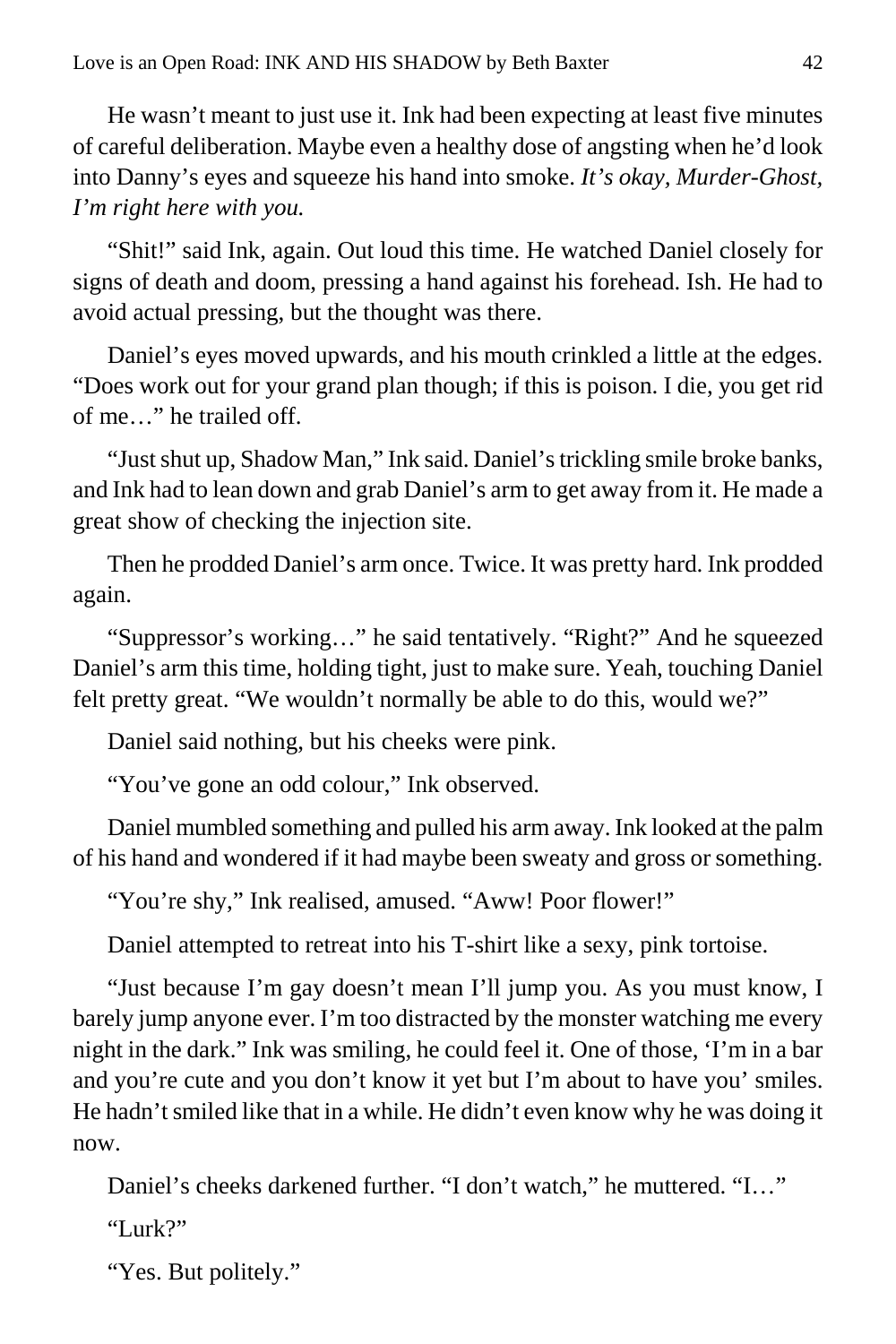He wasn't meant to just use it. Ink had been expecting at least five minutes of careful deliberation. Maybe even a healthy dose of angsting when he'd look into Danny's eyes and squeeze his hand into smoke. *It's okay, Murder-Ghost, I'm right here with you.*

"Shit!" said Ink, again. Out loud this time. He watched Daniel closely for signs of death and doom, pressing a hand against his forehead. Ish. He had to avoid actual pressing, but the thought was there.

Daniel's eyes moved upwards, and his mouth crinkled a little at the edges. "Does work out for your grand plan though; if this is poison. I die, you get rid of me…" he trailed off.

"Just shut up, Shadow Man," Ink said. Daniel's trickling smile broke banks, and Ink had to lean down and grab Daniel's arm to get away from it. He made a great show of checking the injection site.

Then he prodded Daniel's arm once. Twice. It was pretty hard. Ink prodded again.

"Suppressor's working…" he said tentatively. "Right?" And he squeezed Daniel's arm this time, holding tight, just to make sure. Yeah, touching Daniel felt pretty great. "We wouldn't normally be able to do this, would we?"

Daniel said nothing, but his cheeks were pink.

"You've gone an odd colour," Ink observed.

Daniel mumbled something and pulled his arm away. Ink looked at the palm of his hand and wondered if it had maybe been sweaty and gross or something.

"You're shy," Ink realised, amused. "Aww! Poor flower!"

Daniel attempted to retreat into his T-shirt like a sexy, pink tortoise.

"Just because I'm gay doesn't mean I'll jump you. As you must know, I barely jump anyone ever. I'm too distracted by the monster watching me every night in the dark." Ink was smiling, he could feel it. One of those, 'I'm in a bar and you're cute and you don't know it yet but I'm about to have you' smiles. He hadn't smiled like that in a while. He didn't even know why he was doing it now.

Daniel's cheeks darkened further. "I don't watch," he muttered. "I…"

"Lurk?"

"Yes. But politely."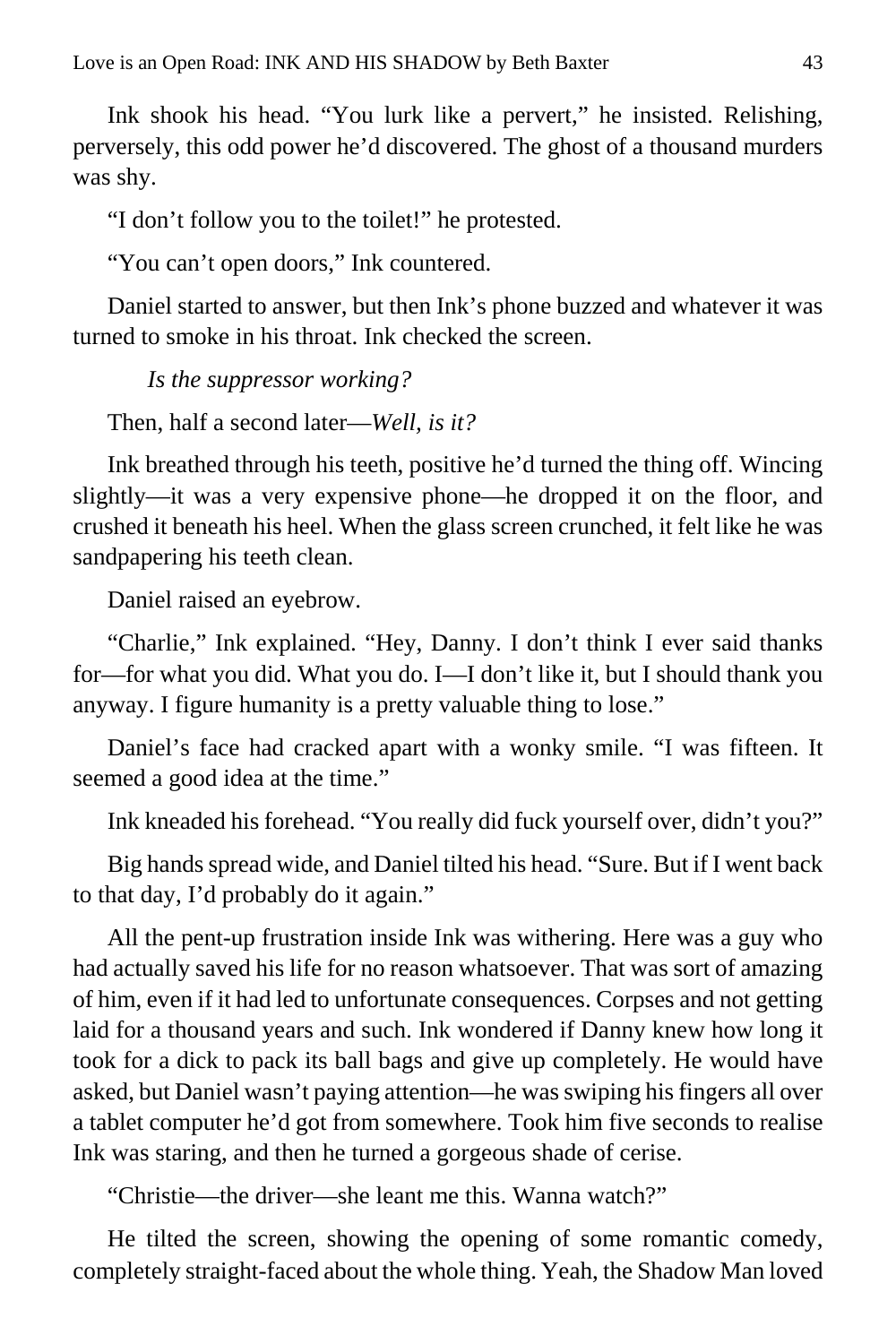Ink shook his head. "You lurk like a pervert," he insisted. Relishing, perversely, this odd power he'd discovered. The ghost of a thousand murders was shy.

"I don't follow you to the toilet!" he protested.

"You can't open doors," Ink countered.

Daniel started to answer, but then Ink's phone buzzed and whatever it was turned to smoke in his throat. Ink checked the screen.

*Is the suppressor working?*

Then, half a second later—*Well, is it?*

Ink breathed through his teeth, positive he'd turned the thing off. Wincing slightly—it was a very expensive phone—he dropped it on the floor, and crushed it beneath his heel. When the glass screen crunched, it felt like he was sandpapering his teeth clean.

Daniel raised an eyebrow.

"Charlie," Ink explained. "Hey, Danny. I don't think I ever said thanks for—for what you did. What you do. I—I don't like it, but I should thank you anyway. I figure humanity is a pretty valuable thing to lose."

Daniel's face had cracked apart with a wonky smile. "I was fifteen. It seemed a good idea at the time."

Ink kneaded his forehead. "You really did fuck yourself over, didn't you?"

Big hands spread wide, and Daniel tilted his head. "Sure. But if I went back to that day, I'd probably do it again."

All the pent-up frustration inside Ink was withering. Here was a guy who had actually saved his life for no reason whatsoever. That was sort of amazing of him, even if it had led to unfortunate consequences. Corpses and not getting laid for a thousand years and such. Ink wondered if Danny knew how long it took for a dick to pack its ball bags and give up completely. He would have asked, but Daniel wasn't paying attention—he was swiping his fingers all over a tablet computer he'd got from somewhere. Took him five seconds to realise Ink was staring, and then he turned a gorgeous shade of cerise.

"Christie—the driver—she leant me this. Wanna watch?"

He tilted the screen, showing the opening of some romantic comedy, completely straight-faced about the whole thing. Yeah, the Shadow Man loved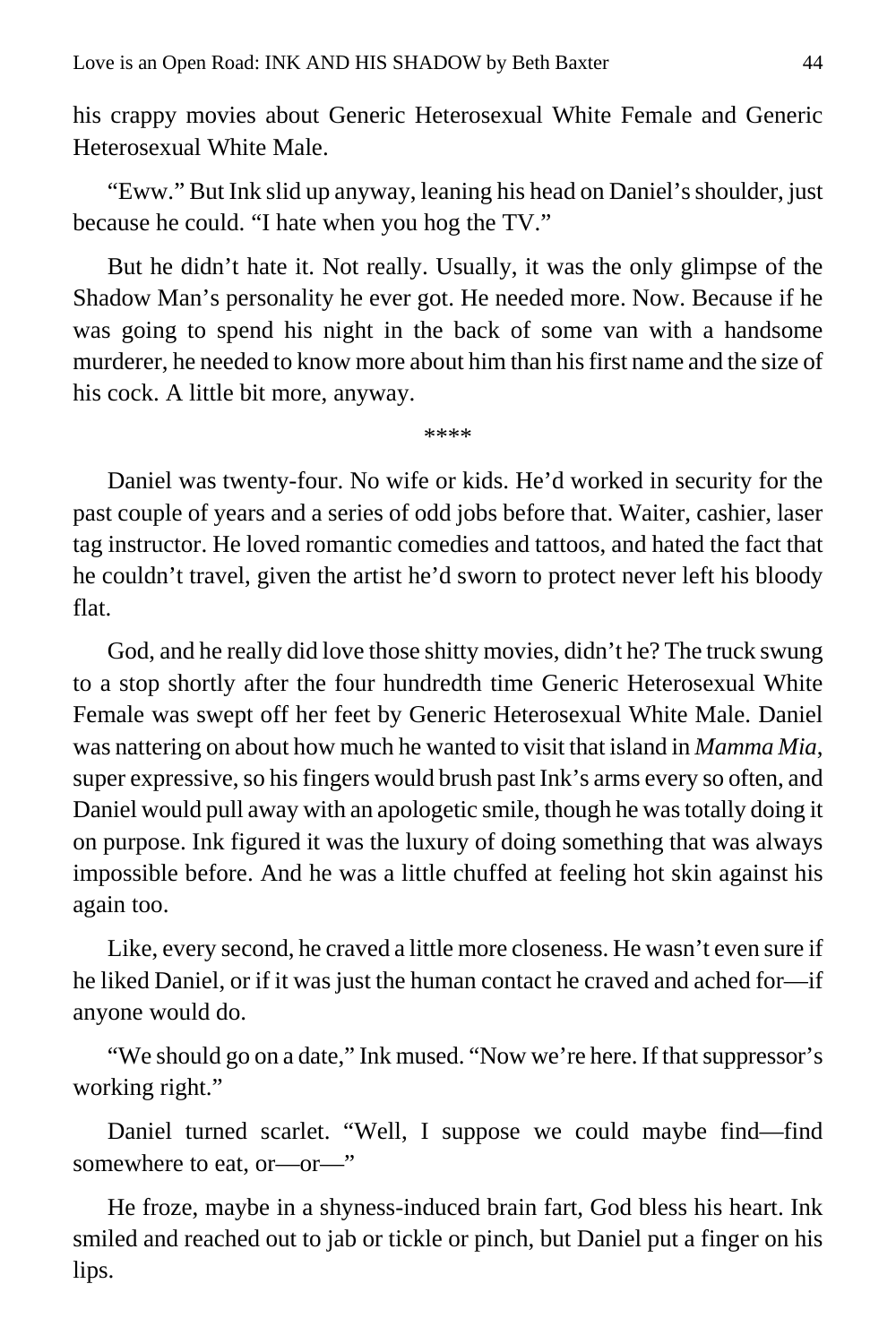his crappy movies about Generic Heterosexual White Female and Generic Heterosexual White Male.

"Eww." But Ink slid up anyway, leaning his head on Daniel's shoulder, just because he could. "I hate when you hog the TV."

But he didn't hate it. Not really. Usually, it was the only glimpse of the Shadow Man's personality he ever got. He needed more. Now. Because if he was going to spend his night in the back of some van with a handsome murderer, he needed to know more about him than his first name and the size of his cock. A little bit more, anyway.

\*\*\*\*

Daniel was twenty-four. No wife or kids. He'd worked in security for the past couple of years and a series of odd jobs before that. Waiter, cashier, laser tag instructor. He loved romantic comedies and tattoos, and hated the fact that he couldn't travel, given the artist he'd sworn to protect never left his bloody flat.

God, and he really did love those shitty movies, didn't he? The truck swung to a stop shortly after the four hundredth time Generic Heterosexual White Female was swept off her feet by Generic Heterosexual White Male. Daniel was nattering on about how much he wanted to visit that island in *Mamma Mia*, super expressive, so his fingers would brush past Ink's arms every so often, and Daniel would pull away with an apologetic smile, though he was totally doing it on purpose. Ink figured it was the luxury of doing something that was always impossible before. And he was a little chuffed at feeling hot skin against his again too.

Like, every second, he craved a little more closeness. He wasn't even sure if he liked Daniel, or if it was just the human contact he craved and ached for—if anyone would do.

"We should go on a date," Ink mused. "Now we're here. If that suppressor's working right."

Daniel turned scarlet. "Well, I suppose we could maybe find—find somewhere to eat, or—or—"

He froze, maybe in a shyness-induced brain fart, God bless his heart. Ink smiled and reached out to jab or tickle or pinch, but Daniel put a finger on his lips.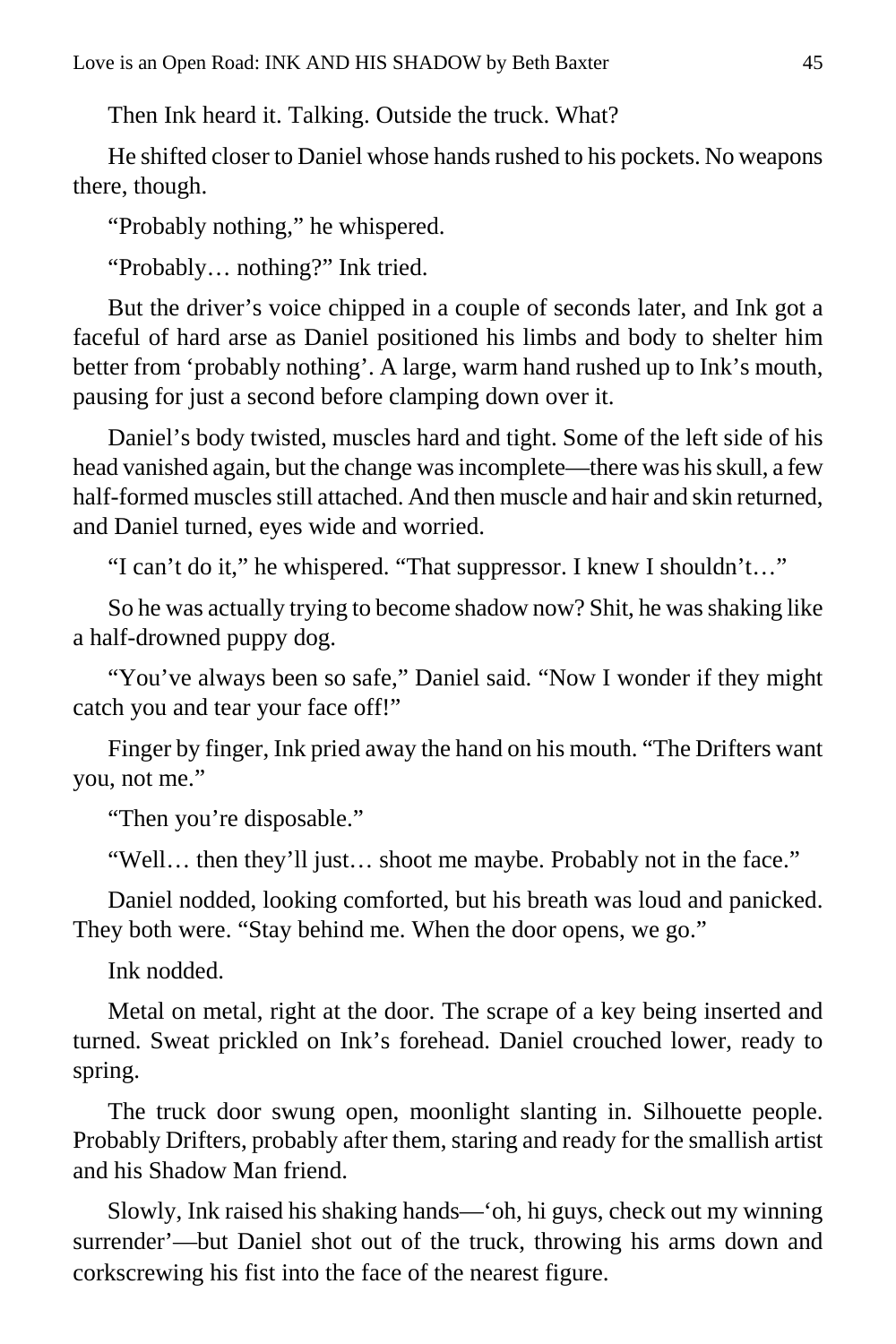Then Ink heard it. Talking. Outside the truck. What?

He shifted closer to Daniel whose hands rushed to his pockets. No weapons there, though.

"Probably nothing," he whispered.

"Probably… nothing?" Ink tried.

But the driver's voice chipped in a couple of seconds later, and Ink got a faceful of hard arse as Daniel positioned his limbs and body to shelter him better from 'probably nothing'. A large, warm hand rushed up to Ink's mouth, pausing for just a second before clamping down over it.

Daniel's body twisted, muscles hard and tight. Some of the left side of his head vanished again, but the change was incomplete—there was his skull, a few half-formed muscles still attached. And then muscle and hair and skin returned, and Daniel turned, eyes wide and worried.

"I can't do it," he whispered. "That suppressor. I knew I shouldn't…"

So he was actually trying to become shadow now? Shit, he was shaking like a half-drowned puppy dog.

"You've always been so safe," Daniel said. "Now I wonder if they might catch you and tear your face off!"

Finger by finger, Ink pried away the hand on his mouth. "The Drifters want you, not me."

"Then you're disposable."

"Well… then they'll just… shoot me maybe. Probably not in the face."

Daniel nodded, looking comforted, but his breath was loud and panicked. They both were. "Stay behind me. When the door opens, we go."

Ink nodded.

Metal on metal, right at the door. The scrape of a key being inserted and turned. Sweat prickled on Ink's forehead. Daniel crouched lower, ready to spring.

The truck door swung open, moonlight slanting in. Silhouette people. Probably Drifters, probably after them, staring and ready for the smallish artist and his Shadow Man friend.

Slowly, Ink raised his shaking hands—'oh, hi guys, check out my winning surrender'—but Daniel shot out of the truck, throwing his arms down and corkscrewing his fist into the face of the nearest figure.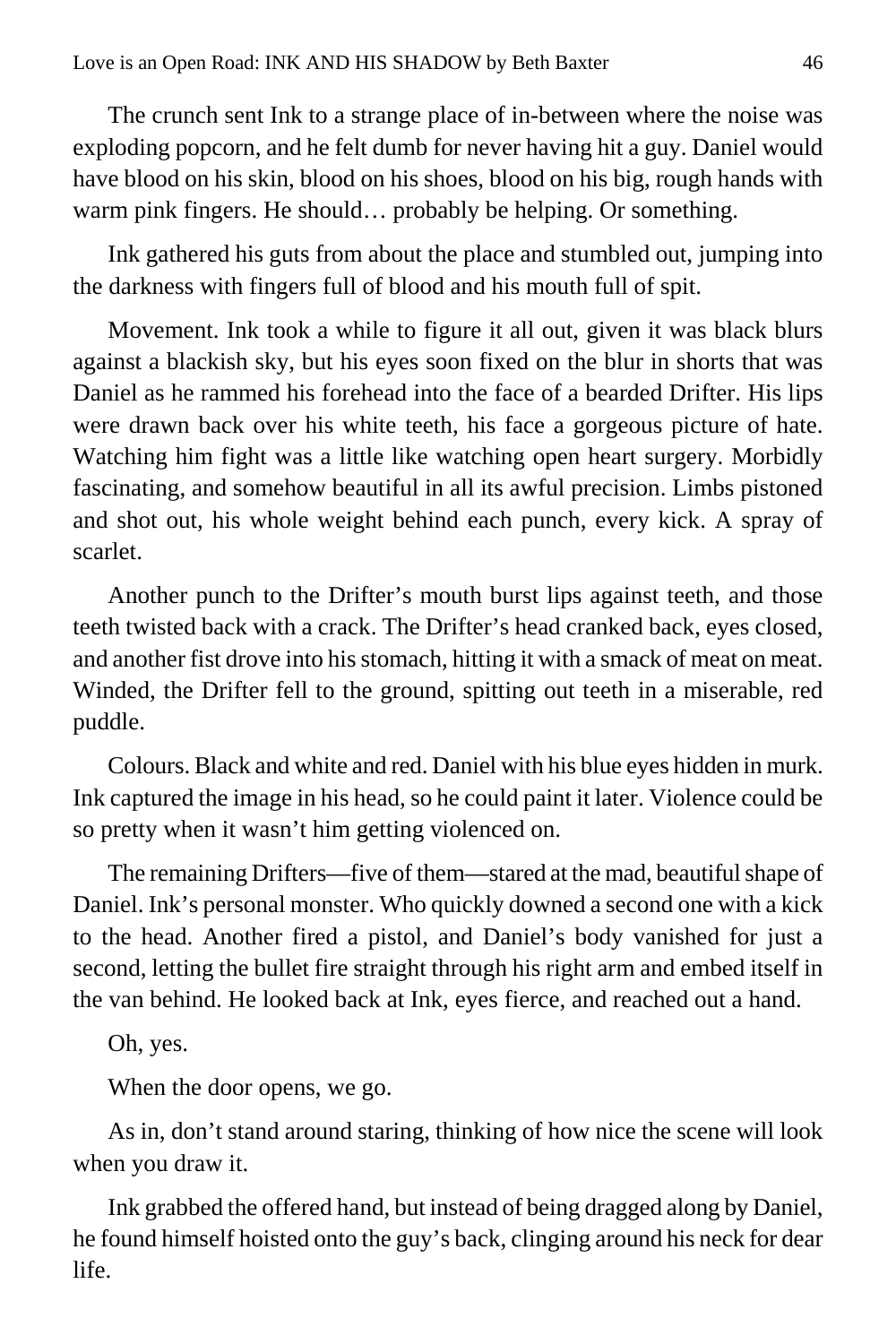The crunch sent Ink to a strange place of in-between where the noise was exploding popcorn, and he felt dumb for never having hit a guy. Daniel would have blood on his skin, blood on his shoes, blood on his big, rough hands with warm pink fingers. He should… probably be helping. Or something.

Ink gathered his guts from about the place and stumbled out, jumping into the darkness with fingers full of blood and his mouth full of spit.

Movement. Ink took a while to figure it all out, given it was black blurs against a blackish sky, but his eyes soon fixed on the blur in shorts that was Daniel as he rammed his forehead into the face of a bearded Drifter. His lips were drawn back over his white teeth, his face a gorgeous picture of hate. Watching him fight was a little like watching open heart surgery. Morbidly fascinating, and somehow beautiful in all its awful precision. Limbs pistoned and shot out, his whole weight behind each punch, every kick. A spray of scarlet.

Another punch to the Drifter's mouth burst lips against teeth, and those teeth twisted back with a crack. The Drifter's head cranked back, eyes closed, and another fist drove into his stomach, hitting it with a smack of meat on meat. Winded, the Drifter fell to the ground, spitting out teeth in a miserable, red puddle.

Colours. Black and white and red. Daniel with his blue eyes hidden in murk. Ink captured the image in his head, so he could paint it later. Violence could be so pretty when it wasn't him getting violenced on.

The remaining Drifters—five of them—stared at the mad, beautiful shape of Daniel. Ink's personal monster. Who quickly downed a second one with a kick to the head. Another fired a pistol, and Daniel's body vanished for just a second, letting the bullet fire straight through his right arm and embed itself in the van behind. He looked back at Ink, eyes fierce, and reached out a hand.

Oh, yes.

When the door opens, we go.

As in, don't stand around staring, thinking of how nice the scene will look when you draw it.

Ink grabbed the offered hand, but instead of being dragged along by Daniel, he found himself hoisted onto the guy's back, clinging around his neck for dear life.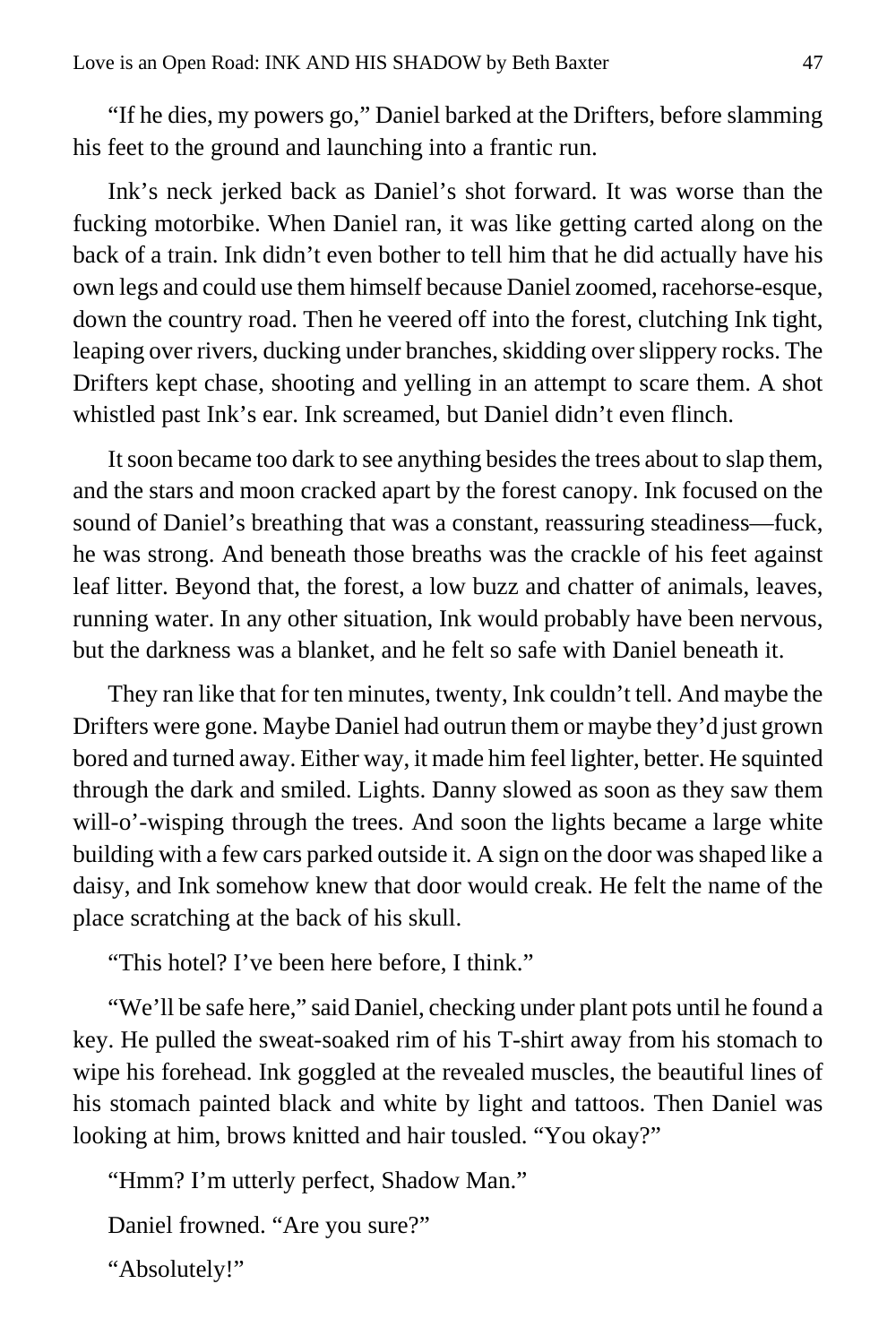"If he dies, my powers go," Daniel barked at the Drifters, before slamming his feet to the ground and launching into a frantic run.

Ink's neck jerked back as Daniel's shot forward. It was worse than the fucking motorbike. When Daniel ran, it was like getting carted along on the back of a train. Ink didn't even bother to tell him that he did actually have his own legs and could use them himself because Daniel zoomed, racehorse-esque, down the country road. Then he veered off into the forest, clutching Ink tight, leaping over rivers, ducking under branches, skidding over slippery rocks. The Drifters kept chase, shooting and yelling in an attempt to scare them. A shot whistled past Ink's ear. Ink screamed, but Daniel didn't even flinch.

It soon became too dark to see anything besides the trees about to slap them, and the stars and moon cracked apart by the forest canopy. Ink focused on the sound of Daniel's breathing that was a constant, reassuring steadiness—fuck, he was strong. And beneath those breaths was the crackle of his feet against leaf litter. Beyond that, the forest, a low buzz and chatter of animals, leaves, running water. In any other situation, Ink would probably have been nervous, but the darkness was a blanket, and he felt so safe with Daniel beneath it.

They ran like that for ten minutes, twenty, Ink couldn't tell. And maybe the Drifters were gone. Maybe Daniel had outrun them or maybe they'd just grown bored and turned away. Either way, it made him feel lighter, better. He squinted through the dark and smiled. Lights. Danny slowed as soon as they saw them will-o'-wisping through the trees. And soon the lights became a large white building with a few cars parked outside it. A sign on the door was shaped like a daisy, and Ink somehow knew that door would creak. He felt the name of the place scratching at the back of his skull.

"This hotel? I've been here before, I think."

"We'll be safe here," said Daniel, checking under plant pots until he found a key. He pulled the sweat-soaked rim of his T-shirt away from his stomach to wipe his forehead. Ink goggled at the revealed muscles, the beautiful lines of his stomach painted black and white by light and tattoos. Then Daniel was looking at him, brows knitted and hair tousled. "You okay?"

"Hmm? I'm utterly perfect, Shadow Man."

Daniel frowned. "Are you sure?"

"Absolutely!"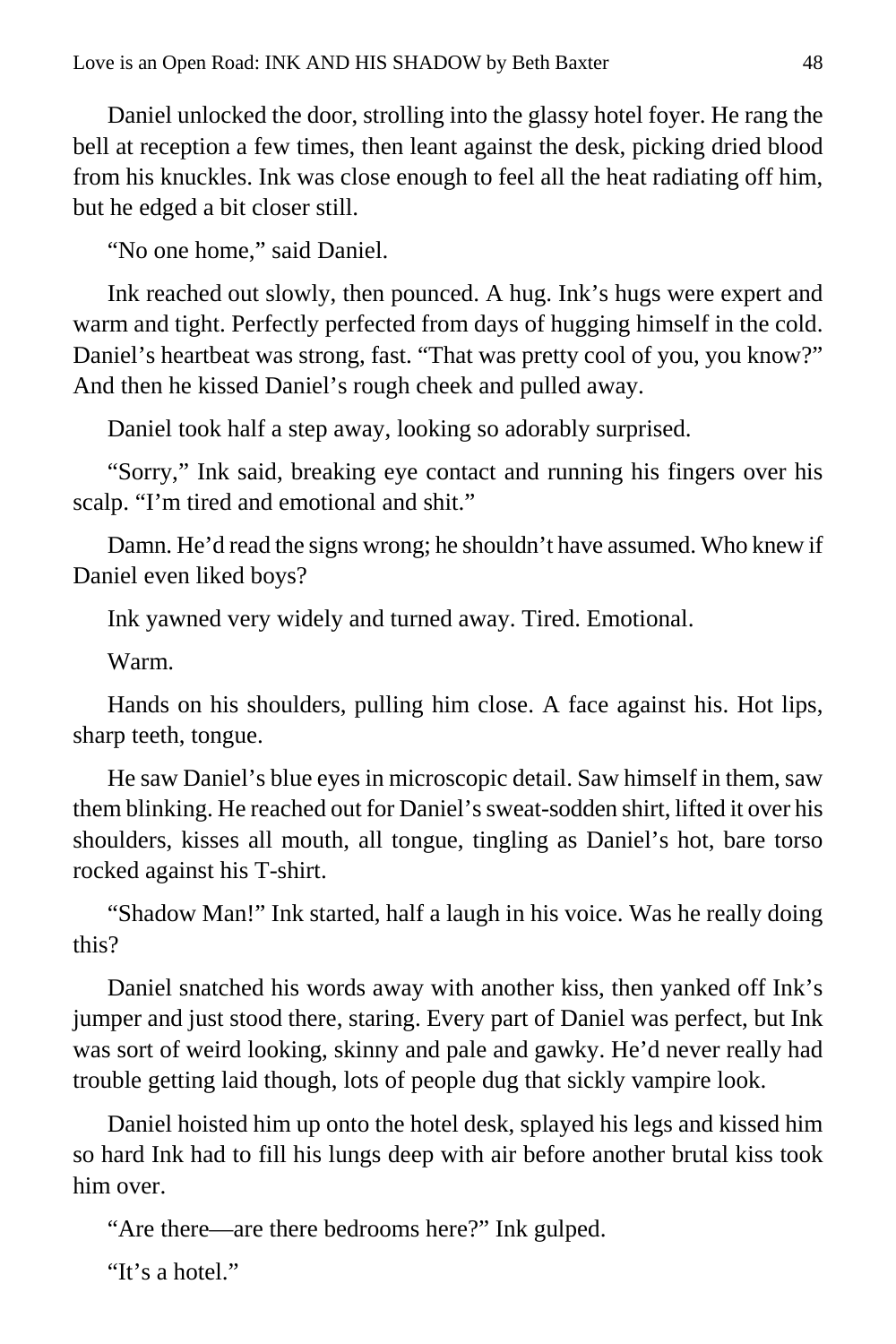Daniel unlocked the door, strolling into the glassy hotel foyer. He rang the bell at reception a few times, then leant against the desk, picking dried blood from his knuckles. Ink was close enough to feel all the heat radiating off him, but he edged a bit closer still.

"No one home," said Daniel.

Ink reached out slowly, then pounced. A hug. Ink's hugs were expert and warm and tight. Perfectly perfected from days of hugging himself in the cold. Daniel's heartbeat was strong, fast. "That was pretty cool of you, you know?" And then he kissed Daniel's rough cheek and pulled away.

Daniel took half a step away, looking so adorably surprised.

"Sorry," Ink said, breaking eye contact and running his fingers over his scalp. "I'm tired and emotional and shit."

Damn. He'd read the signs wrong; he shouldn't have assumed. Who knew if Daniel even liked boys?

Ink yawned very widely and turned away. Tired. Emotional.

Warm.

Hands on his shoulders, pulling him close. A face against his. Hot lips, sharp teeth, tongue.

He saw Daniel's blue eyes in microscopic detail. Saw himself in them, saw them blinking. He reached out for Daniel's sweat-sodden shirt, lifted it over his shoulders, kisses all mouth, all tongue, tingling as Daniel's hot, bare torso rocked against his T-shirt.

"Shadow Man!" Ink started, half a laugh in his voice. Was he really doing this?

Daniel snatched his words away with another kiss, then yanked off Ink's jumper and just stood there, staring. Every part of Daniel was perfect, but Ink was sort of weird looking, skinny and pale and gawky. He'd never really had trouble getting laid though, lots of people dug that sickly vampire look.

Daniel hoisted him up onto the hotel desk, splayed his legs and kissed him so hard Ink had to fill his lungs deep with air before another brutal kiss took him over.

"Are there—are there bedrooms here?" Ink gulped.

"It's a hotel."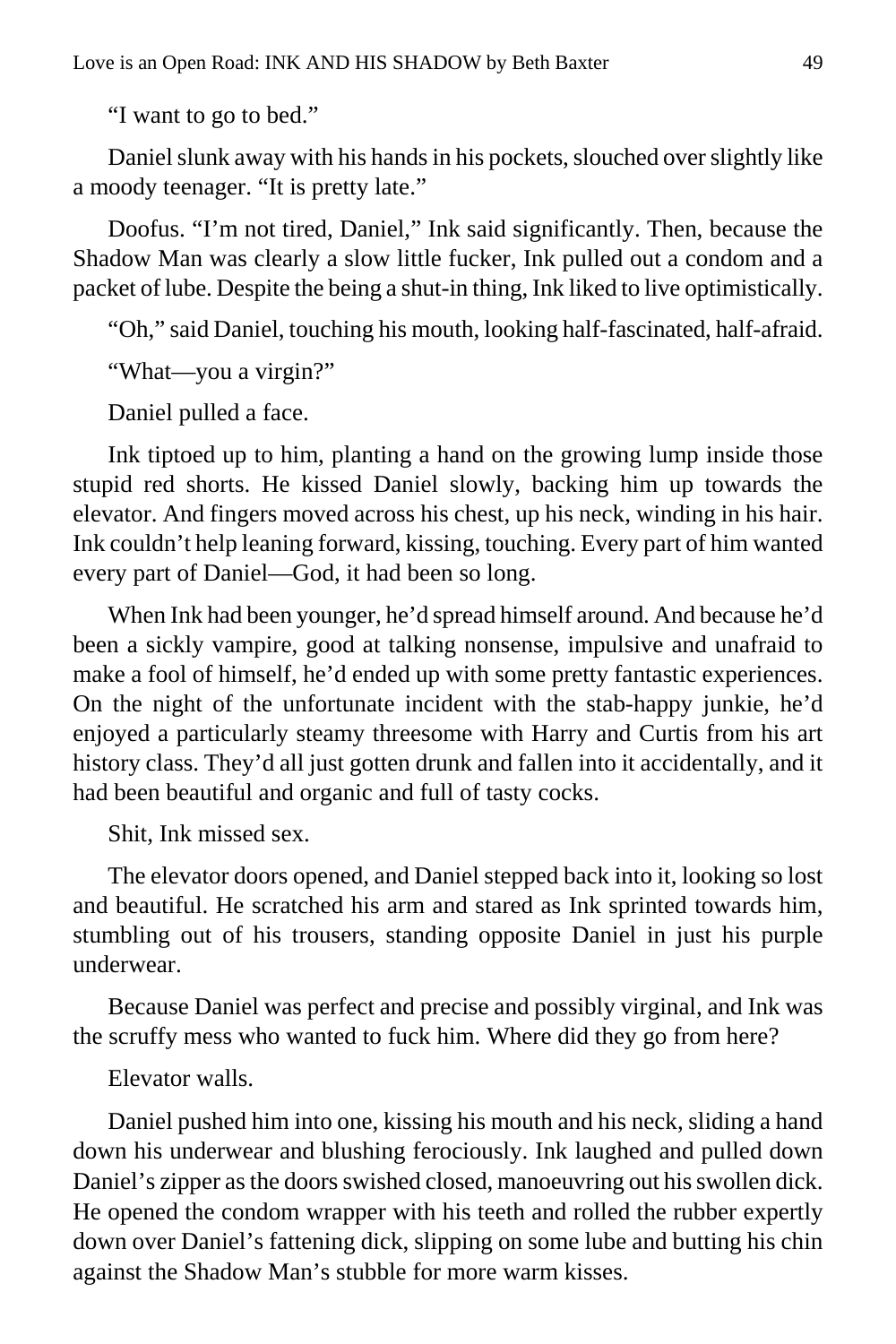"I want to go to bed."

Daniel slunk away with his hands in his pockets, slouched over slightly like a moody teenager. "It is pretty late."

Doofus. "I'm not tired, Daniel," Ink said significantly. Then, because the Shadow Man was clearly a slow little fucker, Ink pulled out a condom and a packet of lube. Despite the being a shut-in thing, Ink liked to live optimistically.

"Oh," said Daniel, touching his mouth, looking half-fascinated, half-afraid.

"What—you a virgin?"

Daniel pulled a face.

Ink tiptoed up to him, planting a hand on the growing lump inside those stupid red shorts. He kissed Daniel slowly, backing him up towards the elevator. And fingers moved across his chest, up his neck, winding in his hair. Ink couldn't help leaning forward, kissing, touching. Every part of him wanted every part of Daniel—God, it had been so long.

When Ink had been younger, he'd spread himself around. And because he'd been a sickly vampire, good at talking nonsense, impulsive and unafraid to make a fool of himself, he'd ended up with some pretty fantastic experiences. On the night of the unfortunate incident with the stab-happy junkie, he'd enjoyed a particularly steamy threesome with Harry and Curtis from his art history class. They'd all just gotten drunk and fallen into it accidentally, and it had been beautiful and organic and full of tasty cocks.

Shit, Ink missed sex.

The elevator doors opened, and Daniel stepped back into it, looking so lost and beautiful. He scratched his arm and stared as Ink sprinted towards him, stumbling out of his trousers, standing opposite Daniel in just his purple underwear.

Because Daniel was perfect and precise and possibly virginal, and Ink was the scruffy mess who wanted to fuck him. Where did they go from here?

Elevator walls.

Daniel pushed him into one, kissing his mouth and his neck, sliding a hand down his underwear and blushing ferociously. Ink laughed and pulled down Daniel's zipper as the doors swished closed, manoeuvring out his swollen dick. He opened the condom wrapper with his teeth and rolled the rubber expertly down over Daniel's fattening dick, slipping on some lube and butting his chin against the Shadow Man's stubble for more warm kisses.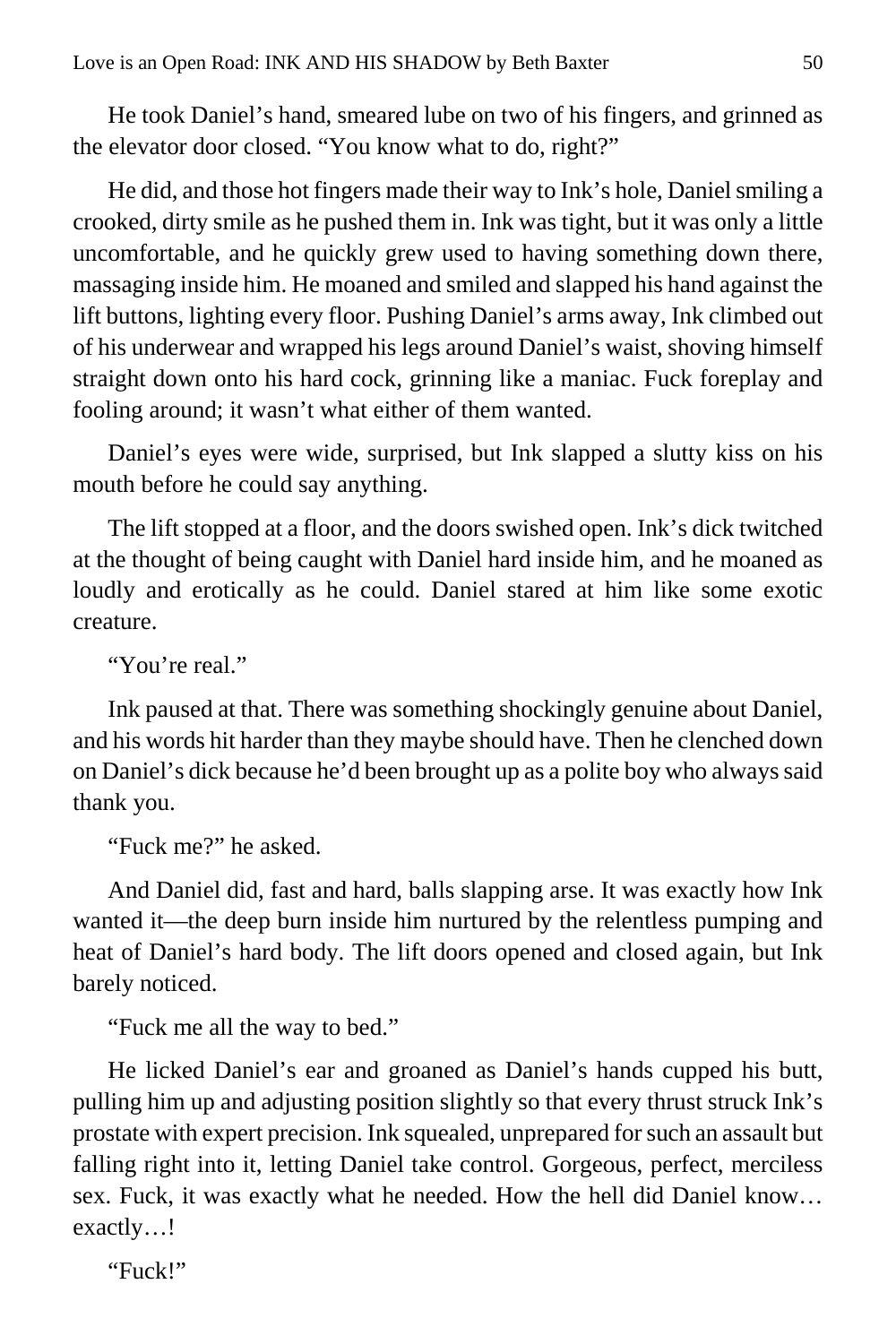He took Daniel's hand, smeared lube on two of his fingers, and grinned as the elevator door closed. "You know what to do, right?"

He did, and those hot fingers made their way to Ink's hole, Daniel smiling a crooked, dirty smile as he pushed them in. Ink was tight, but it was only a little uncomfortable, and he quickly grew used to having something down there, massaging inside him. He moaned and smiled and slapped his hand against the lift buttons, lighting every floor. Pushing Daniel's arms away, Ink climbed out of his underwear and wrapped his legs around Daniel's waist, shoving himself straight down onto his hard cock, grinning like a maniac. Fuck foreplay and fooling around; it wasn't what either of them wanted.

Daniel's eyes were wide, surprised, but Ink slapped a slutty kiss on his mouth before he could say anything.

The lift stopped at a floor, and the doors swished open. Ink's dick twitched at the thought of being caught with Daniel hard inside him, and he moaned as loudly and erotically as he could. Daniel stared at him like some exotic creature.

"You're real."

Ink paused at that. There was something shockingly genuine about Daniel, and his words hit harder than they maybe should have. Then he clenched down on Daniel's dick because he'd been brought up as a polite boy who always said thank you.

"Fuck me?" he asked.

And Daniel did, fast and hard, balls slapping arse. It was exactly how Ink wanted it—the deep burn inside him nurtured by the relentless pumping and heat of Daniel's hard body. The lift doors opened and closed again, but Ink barely noticed.

"Fuck me all the way to bed."

He licked Daniel's ear and groaned as Daniel's hands cupped his butt, pulling him up and adjusting position slightly so that every thrust struck Ink's prostate with expert precision. Ink squealed, unprepared for such an assault but falling right into it, letting Daniel take control. Gorgeous, perfect, merciless sex. Fuck, it was exactly what he needed. How the hell did Daniel know… exactly…!

"Fuck!"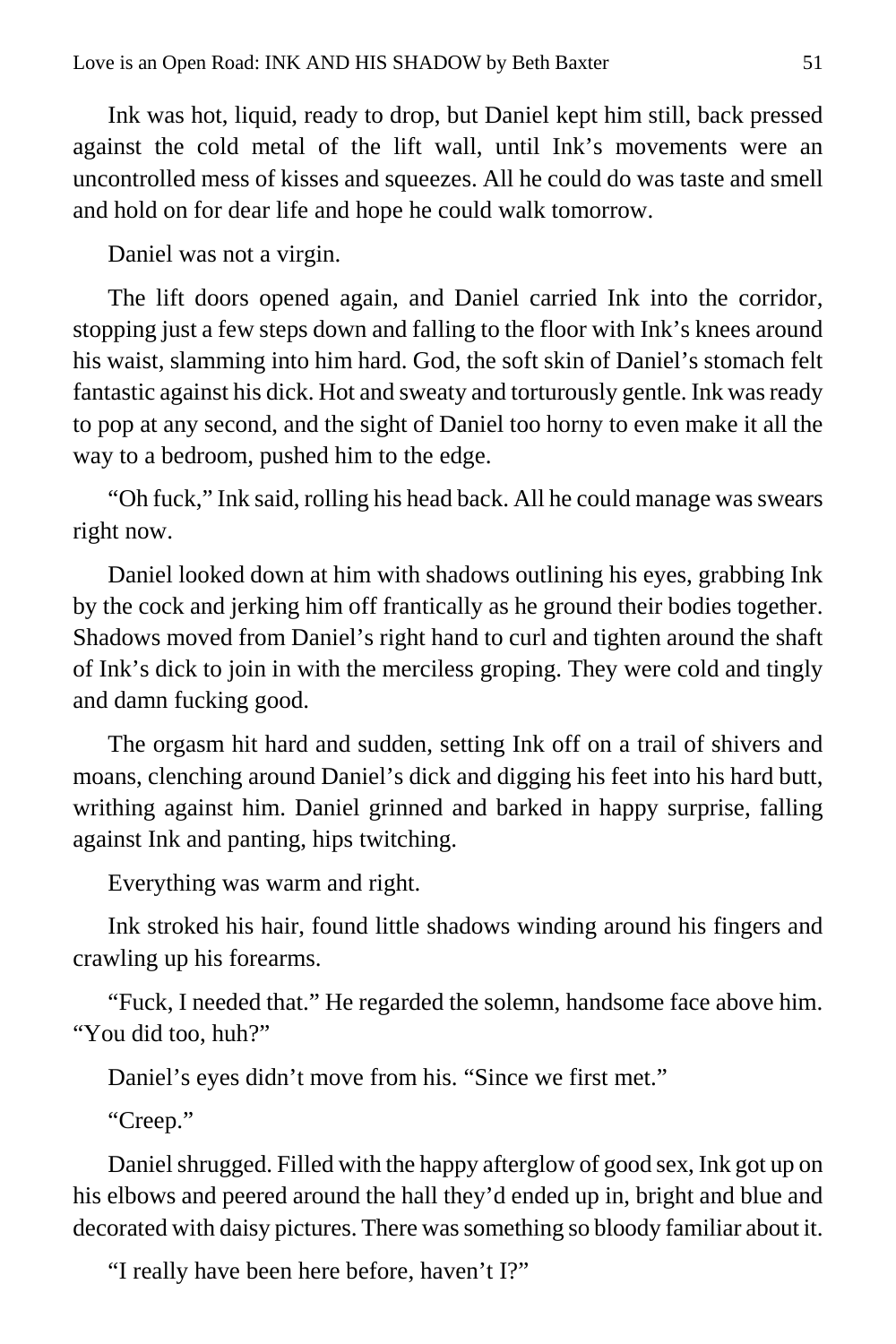Ink was hot, liquid, ready to drop, but Daniel kept him still, back pressed against the cold metal of the lift wall, until Ink's movements were an uncontrolled mess of kisses and squeezes. All he could do was taste and smell and hold on for dear life and hope he could walk tomorrow.

Daniel was not a virgin.

The lift doors opened again, and Daniel carried Ink into the corridor, stopping just a few steps down and falling to the floor with Ink's knees around his waist, slamming into him hard. God, the soft skin of Daniel's stomach felt fantastic against his dick. Hot and sweaty and torturously gentle. Ink was ready to pop at any second, and the sight of Daniel too horny to even make it all the way to a bedroom, pushed him to the edge.

"Oh fuck," Ink said, rolling his head back. All he could manage was swears right now.

Daniel looked down at him with shadows outlining his eyes, grabbing Ink by the cock and jerking him off frantically as he ground their bodies together. Shadows moved from Daniel's right hand to curl and tighten around the shaft of Ink's dick to join in with the merciless groping. They were cold and tingly and damn fucking good.

The orgasm hit hard and sudden, setting Ink off on a trail of shivers and moans, clenching around Daniel's dick and digging his feet into his hard butt, writhing against him. Daniel grinned and barked in happy surprise, falling against Ink and panting, hips twitching.

Everything was warm and right.

Ink stroked his hair, found little shadows winding around his fingers and crawling up his forearms.

"Fuck, I needed that." He regarded the solemn, handsome face above him. "You did too, huh?"

Daniel's eyes didn't move from his. "Since we first met."

"Creep."

Daniel shrugged. Filled with the happy afterglow of good sex, Ink got up on his elbows and peered around the hall they'd ended up in, bright and blue and decorated with daisy pictures. There was something so bloody familiar about it.

"I really have been here before, haven't I?"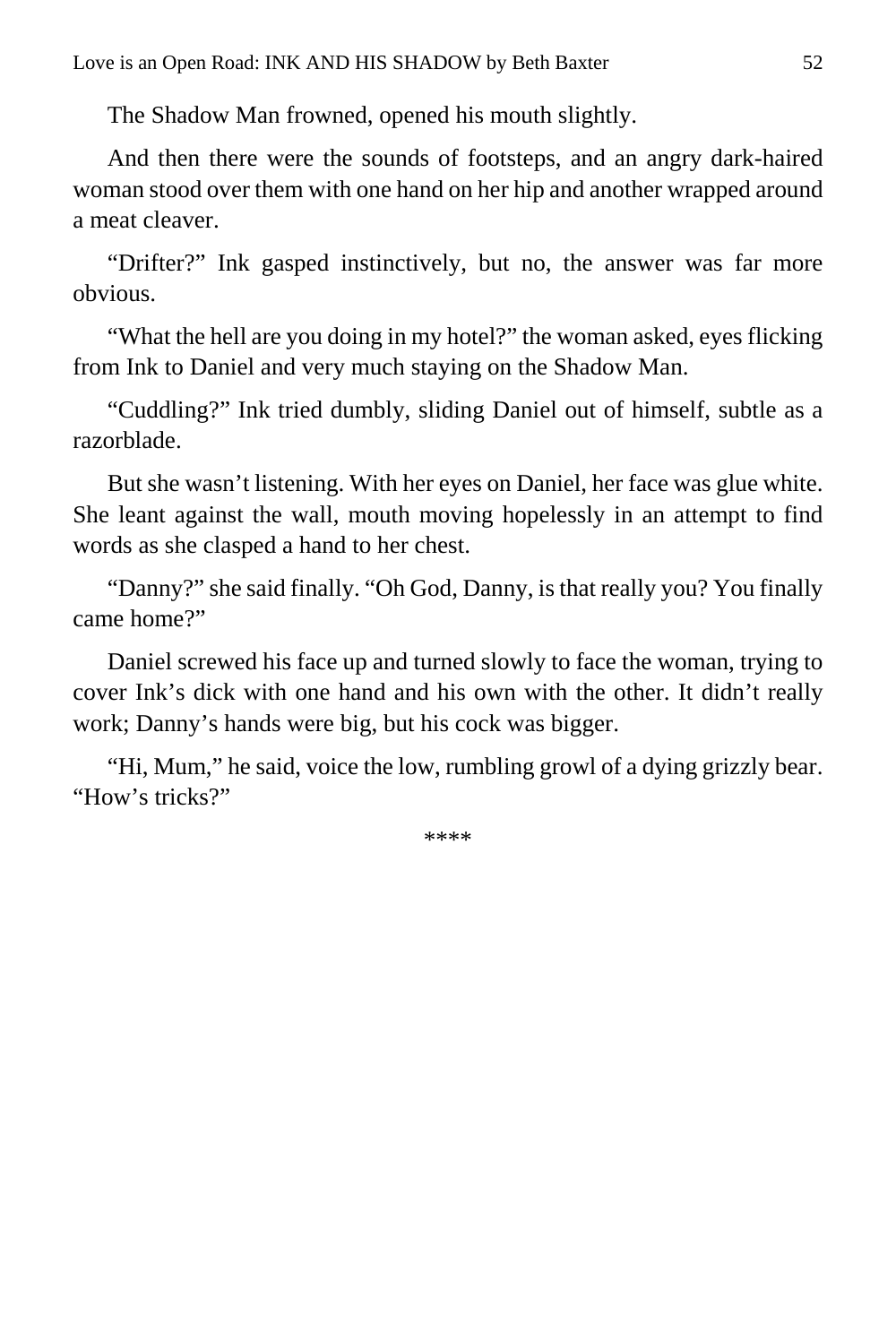The Shadow Man frowned, opened his mouth slightly.

And then there were the sounds of footsteps, and an angry dark-haired woman stood over them with one hand on her hip and another wrapped around a meat cleaver.

"Drifter?" Ink gasped instinctively, but no, the answer was far more obvious.

"What the hell are you doing in my hotel?" the woman asked, eyes flicking from Ink to Daniel and very much staying on the Shadow Man.

"Cuddling?" Ink tried dumbly, sliding Daniel out of himself, subtle as a razorblade.

But she wasn't listening. With her eyes on Daniel, her face was glue white. She leant against the wall, mouth moving hopelessly in an attempt to find words as she clasped a hand to her chest.

"Danny?" she said finally. "Oh God, Danny, is that really you? You finally came home?"

Daniel screwed his face up and turned slowly to face the woman, trying to cover Ink's dick with one hand and his own with the other. It didn't really work; Danny's hands were big, but his cock was bigger.

"Hi, Mum," he said, voice the low, rumbling growl of a dying grizzly bear. "How's tricks?"

\*\*\*\*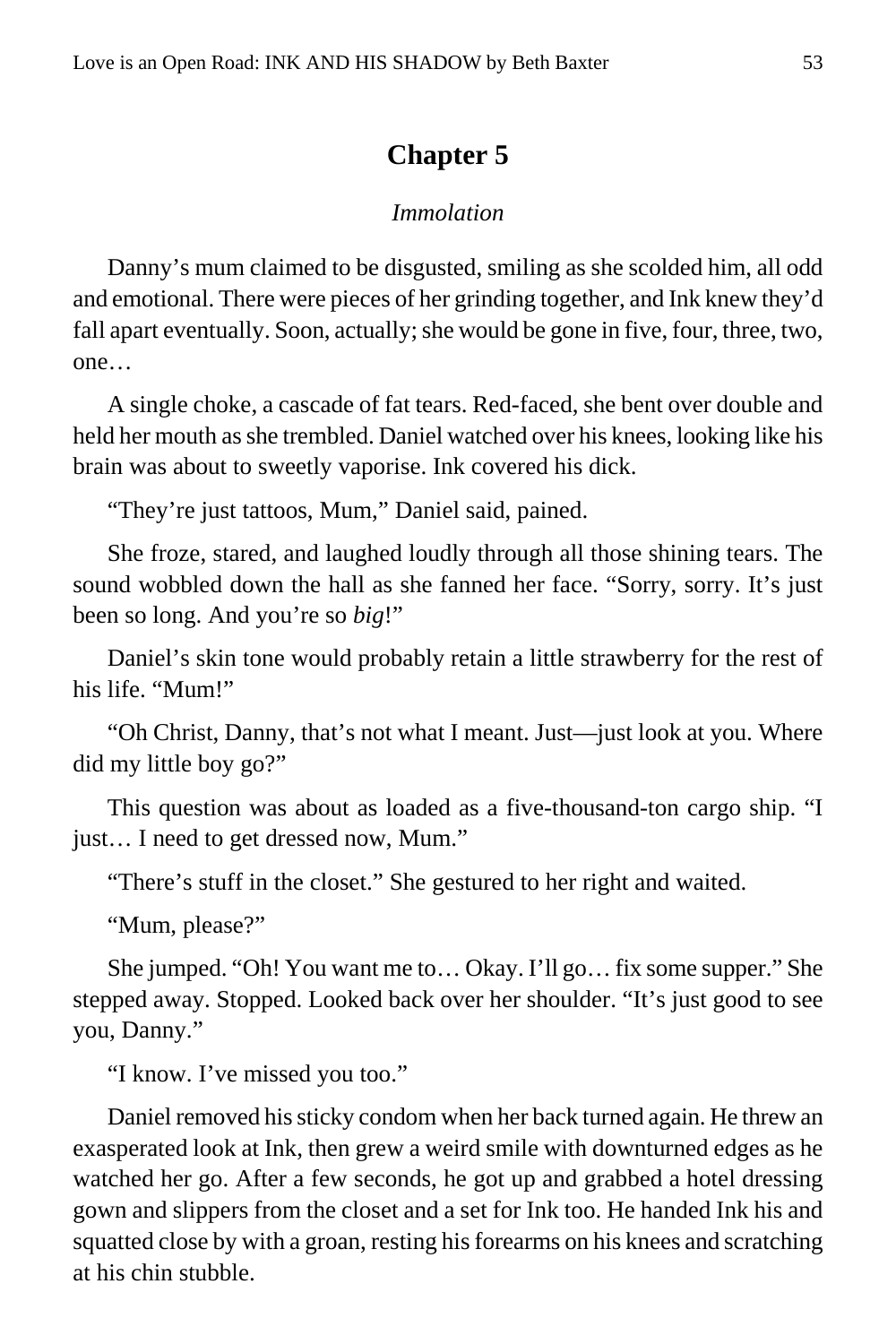#### **Chapter 5**

#### *Immolation*

<span id="page-52-0"></span>Danny's mum claimed to be disgusted, smiling as she scolded him, all odd and emotional. There were pieces of her grinding together, and Ink knew they'd fall apart eventually. Soon, actually; she would be gone in five, four, three, two, one…

A single choke, a cascade of fat tears. Red-faced, she bent over double and held her mouth as she trembled. Daniel watched over his knees, looking like his brain was about to sweetly vaporise. Ink covered his dick.

"They're just tattoos, Mum," Daniel said, pained.

She froze, stared, and laughed loudly through all those shining tears. The sound wobbled down the hall as she fanned her face. "Sorry, sorry. It's just been so long. And you're so *big*!"

Daniel's skin tone would probably retain a little strawberry for the rest of his life. "Mum!"

"Oh Christ, Danny, that's not what I meant. Just—just look at you. Where did my little boy go?"

This question was about as loaded as a five-thousand-ton cargo ship. "I just… I need to get dressed now, Mum."

"There's stuff in the closet." She gestured to her right and waited.

"Mum, please?"

She jumped. "Oh! You want me to… Okay. I'll go… fix some supper." She stepped away. Stopped. Looked back over her shoulder. "It's just good to see you, Danny."

"I know. I've missed you too."

Daniel removed his sticky condom when her back turned again. He threw an exasperated look at Ink, then grew a weird smile with downturned edges as he watched her go. After a few seconds, he got up and grabbed a hotel dressing gown and slippers from the closet and a set for Ink too. He handed Ink his and squatted close by with a groan, resting his forearms on his knees and scratching at his chin stubble.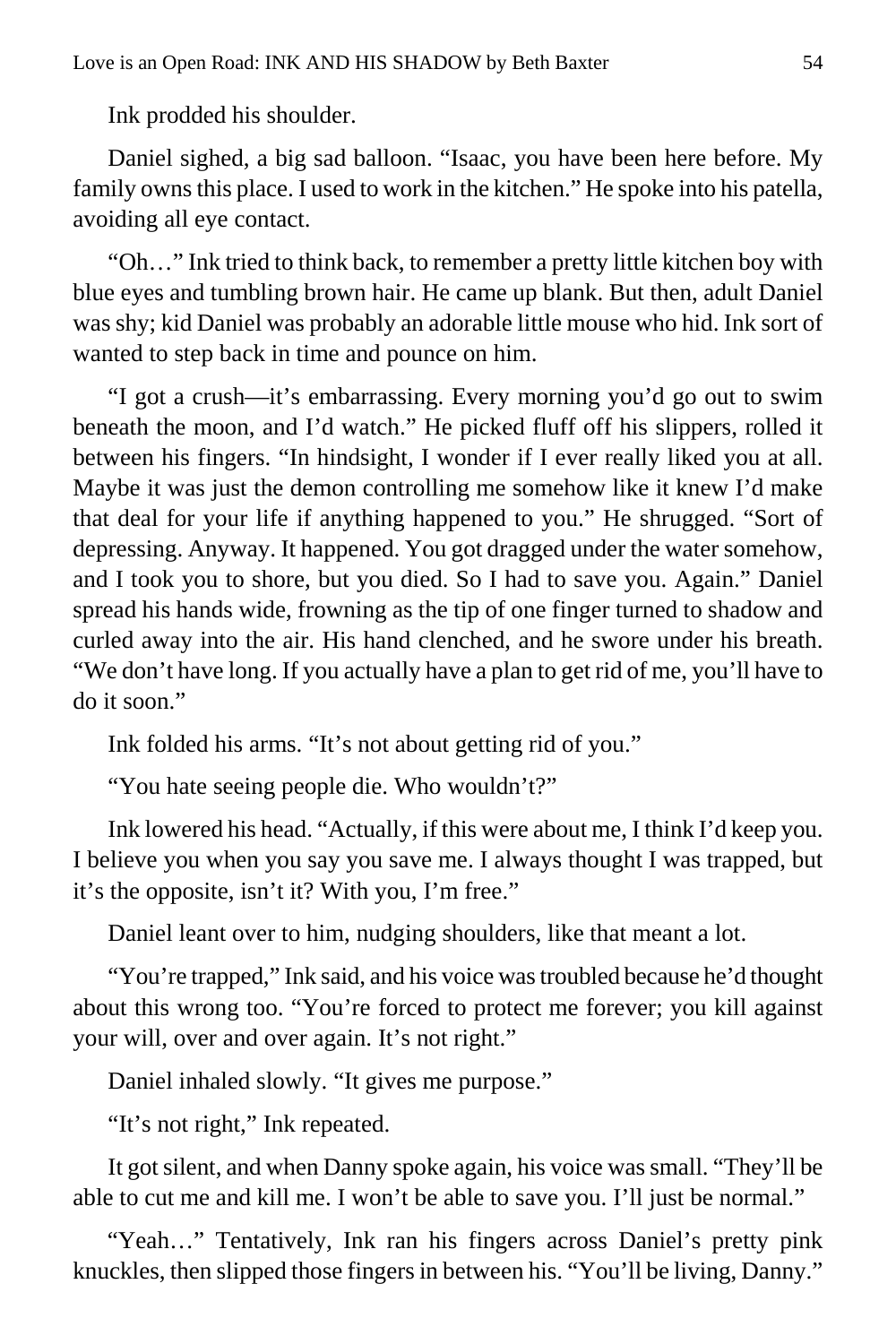Ink prodded his shoulder.

Daniel sighed, a big sad balloon. "Isaac, you have been here before. My family owns this place. I used to work in the kitchen." He spoke into his patella, avoiding all eye contact.

"Oh…" Ink tried to think back, to remember a pretty little kitchen boy with blue eyes and tumbling brown hair. He came up blank. But then, adult Daniel was shy; kid Daniel was probably an adorable little mouse who hid. Ink sort of wanted to step back in time and pounce on him.

"I got a crush—it's embarrassing. Every morning you'd go out to swim beneath the moon, and I'd watch." He picked fluff off his slippers, rolled it between his fingers. "In hindsight, I wonder if I ever really liked you at all. Maybe it was just the demon controlling me somehow like it knew I'd make that deal for your life if anything happened to you." He shrugged. "Sort of depressing. Anyway. It happened. You got dragged under the water somehow, and I took you to shore, but you died. So I had to save you. Again." Daniel spread his hands wide, frowning as the tip of one finger turned to shadow and curled away into the air. His hand clenched, and he swore under his breath. "We don't have long. If you actually have a plan to get rid of me, you'll have to do it soon."

Ink folded his arms. "It's not about getting rid of you."

"You hate seeing people die. Who wouldn't?"

Ink lowered his head. "Actually, if this were about me, I think I'd keep you. I believe you when you say you save me. I always thought I was trapped, but it's the opposite, isn't it? With you, I'm free."

Daniel leant over to him, nudging shoulders, like that meant a lot.

"You're trapped," Ink said, and his voice was troubled because he'd thought about this wrong too. "You're forced to protect me forever; you kill against your will, over and over again. It's not right."

Daniel inhaled slowly. "It gives me purpose."

"It's not right," Ink repeated.

It got silent, and when Danny spoke again, his voice was small. "They'll be able to cut me and kill me. I won't be able to save you. I'll just be normal."

"Yeah…" Tentatively, Ink ran his fingers across Daniel's pretty pink knuckles, then slipped those fingers in between his. "You'll be living, Danny."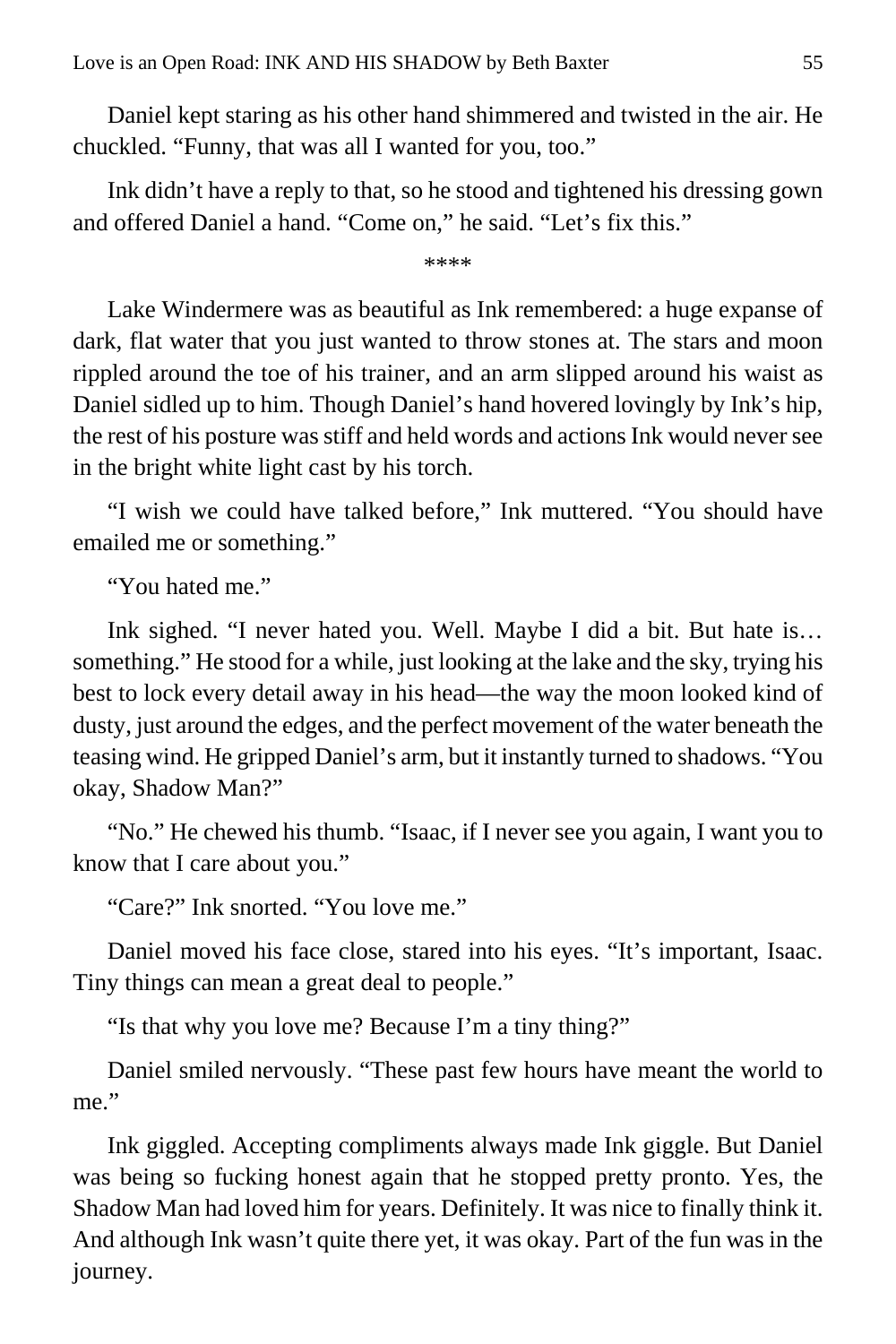Daniel kept staring as his other hand shimmered and twisted in the air. He chuckled. "Funny, that was all I wanted for you, too."

Ink didn't have a reply to that, so he stood and tightened his dressing gown and offered Daniel a hand. "Come on," he said. "Let's fix this."

\*\*\*\*

Lake Windermere was as beautiful as Ink remembered: a huge expanse of dark, flat water that you just wanted to throw stones at. The stars and moon rippled around the toe of his trainer, and an arm slipped around his waist as Daniel sidled up to him. Though Daniel's hand hovered lovingly by Ink's hip, the rest of his posture was stiff and held words and actions Ink would never see in the bright white light cast by his torch.

"I wish we could have talked before," Ink muttered. "You should have emailed me or something."

"You hated me."

Ink sighed. "I never hated you. Well. Maybe I did a bit. But hate is… something." He stood for a while, just looking at the lake and the sky, trying his best to lock every detail away in his head—the way the moon looked kind of dusty, just around the edges, and the perfect movement of the water beneath the teasing wind. He gripped Daniel's arm, but it instantly turned to shadows. "You okay, Shadow Man?"

"No." He chewed his thumb. "Isaac, if I never see you again, I want you to know that I care about you."

"Care?" Ink snorted. "You love me."

Daniel moved his face close, stared into his eyes. "It's important, Isaac. Tiny things can mean a great deal to people."

"Is that why you love me? Because I'm a tiny thing?"

Daniel smiled nervously. "These past few hours have meant the world to me."

Ink giggled. Accepting compliments always made Ink giggle. But Daniel was being so fucking honest again that he stopped pretty pronto. Yes, the Shadow Man had loved him for years. Definitely. It was nice to finally think it. And although Ink wasn't quite there yet, it was okay. Part of the fun was in the journey.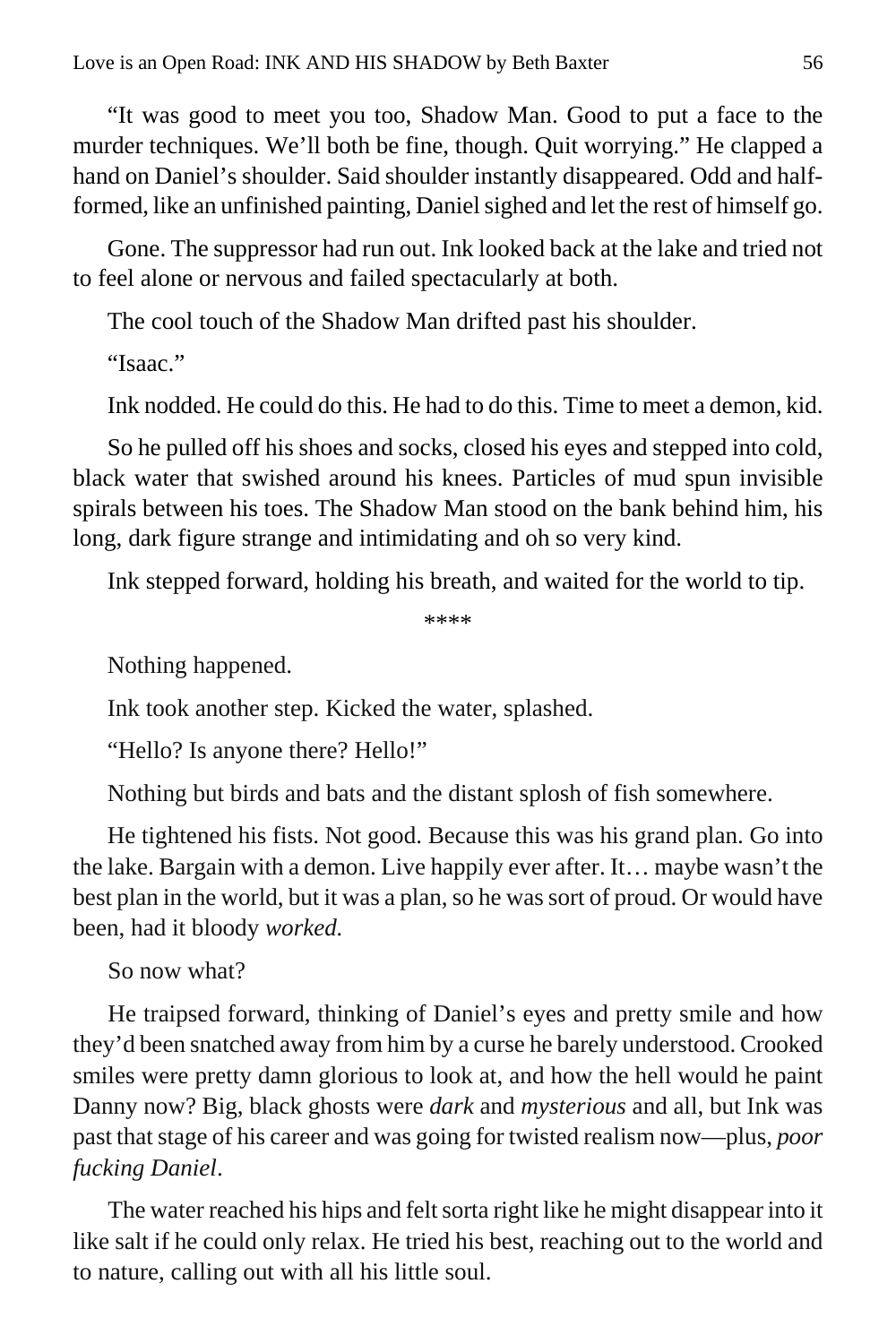"It was good to meet you too, Shadow Man. Good to put a face to the murder techniques. We'll both be fine, though. Quit worrying." He clapped a hand on Daniel's shoulder. Said shoulder instantly disappeared. Odd and halfformed, like an unfinished painting, Daniel sighed and let the rest of himself go.

Gone. The suppressor had run out. Ink looked back at the lake and tried not to feel alone or nervous and failed spectacularly at both.

The cool touch of the Shadow Man drifted past his shoulder.

"Isaac."

Ink nodded. He could do this. He had to do this. Time to meet a demon, kid.

So he pulled off his shoes and socks, closed his eyes and stepped into cold, black water that swished around his knees. Particles of mud spun invisible spirals between his toes. The Shadow Man stood on the bank behind him, his long, dark figure strange and intimidating and oh so very kind.

Ink stepped forward, holding his breath, and waited for the world to tip.

\*\*\*\*

Nothing happened.

Ink took another step. Kicked the water, splashed.

"Hello? Is anyone there? Hello!"

Nothing but birds and bats and the distant splosh of fish somewhere.

He tightened his fists. Not good. Because this was his grand plan. Go into the lake. Bargain with a demon. Live happily ever after. It… maybe wasn't the best plan in the world, but it was a plan, so he was sort of proud. Or would have been, had it bloody *worked.*

So now what?

He traipsed forward, thinking of Daniel's eyes and pretty smile and how they'd been snatched away from him by a curse he barely understood. Crooked smiles were pretty damn glorious to look at, and how the hell would he paint Danny now? Big, black ghosts were *dark* and *mysterious* and all, but Ink was past that stage of his career and was going for twisted realism now—plus, *poor fucking Daniel*.

The water reached his hips and felt sorta right like he might disappear into it like salt if he could only relax. He tried his best, reaching out to the world and to nature, calling out with all his little soul.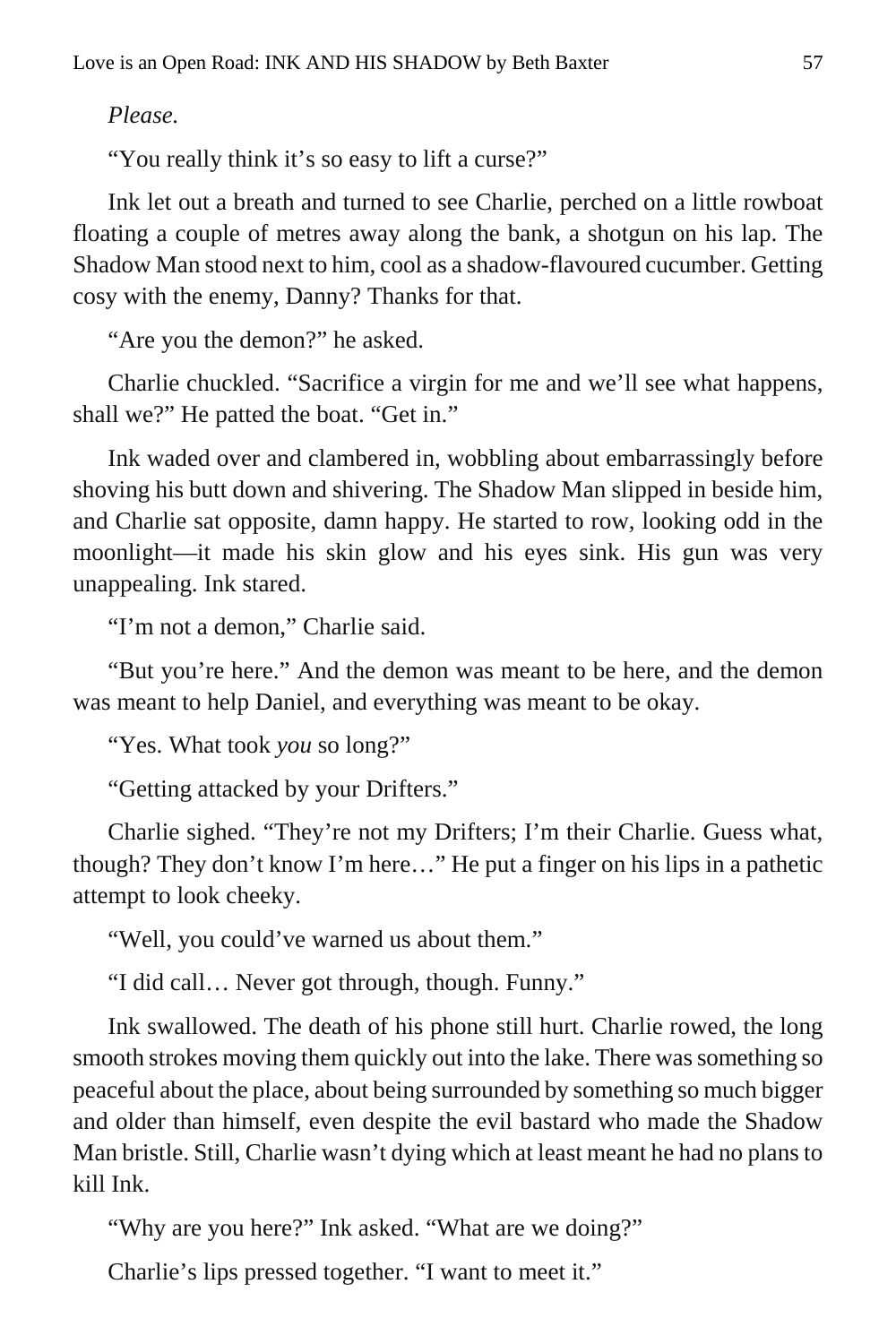*Please.*

"You really think it's so easy to lift a curse?"

Ink let out a breath and turned to see Charlie, perched on a little rowboat floating a couple of metres away along the bank, a shotgun on his lap. The Shadow Man stood next to him, cool as a shadow-flavoured cucumber. Getting cosy with the enemy, Danny? Thanks for that.

"Are you the demon?" he asked.

Charlie chuckled. "Sacrifice a virgin for me and we'll see what happens, shall we?" He patted the boat. "Get in."

Ink waded over and clambered in, wobbling about embarrassingly before shoving his butt down and shivering. The Shadow Man slipped in beside him, and Charlie sat opposite, damn happy. He started to row, looking odd in the moonlight—it made his skin glow and his eyes sink. His gun was very unappealing. Ink stared.

"I'm not a demon," Charlie said.

"But you're here." And the demon was meant to be here, and the demon was meant to help Daniel, and everything was meant to be okay.

"Yes. What took *you* so long?"

"Getting attacked by your Drifters."

Charlie sighed. "They're not my Drifters; I'm their Charlie. Guess what, though? They don't know I'm here…" He put a finger on his lips in a pathetic attempt to look cheeky.

"Well, you could've warned us about them."

"I did call… Never got through, though. Funny."

Ink swallowed. The death of his phone still hurt. Charlie rowed, the long smooth strokes moving them quickly out into the lake. There was something so peaceful about the place, about being surrounded by something so much bigger and older than himself, even despite the evil bastard who made the Shadow Man bristle. Still, Charlie wasn't dying which at least meant he had no plans to kill Ink.

"Why are you here?" Ink asked. "What are we doing?"

Charlie's lips pressed together. "I want to meet it."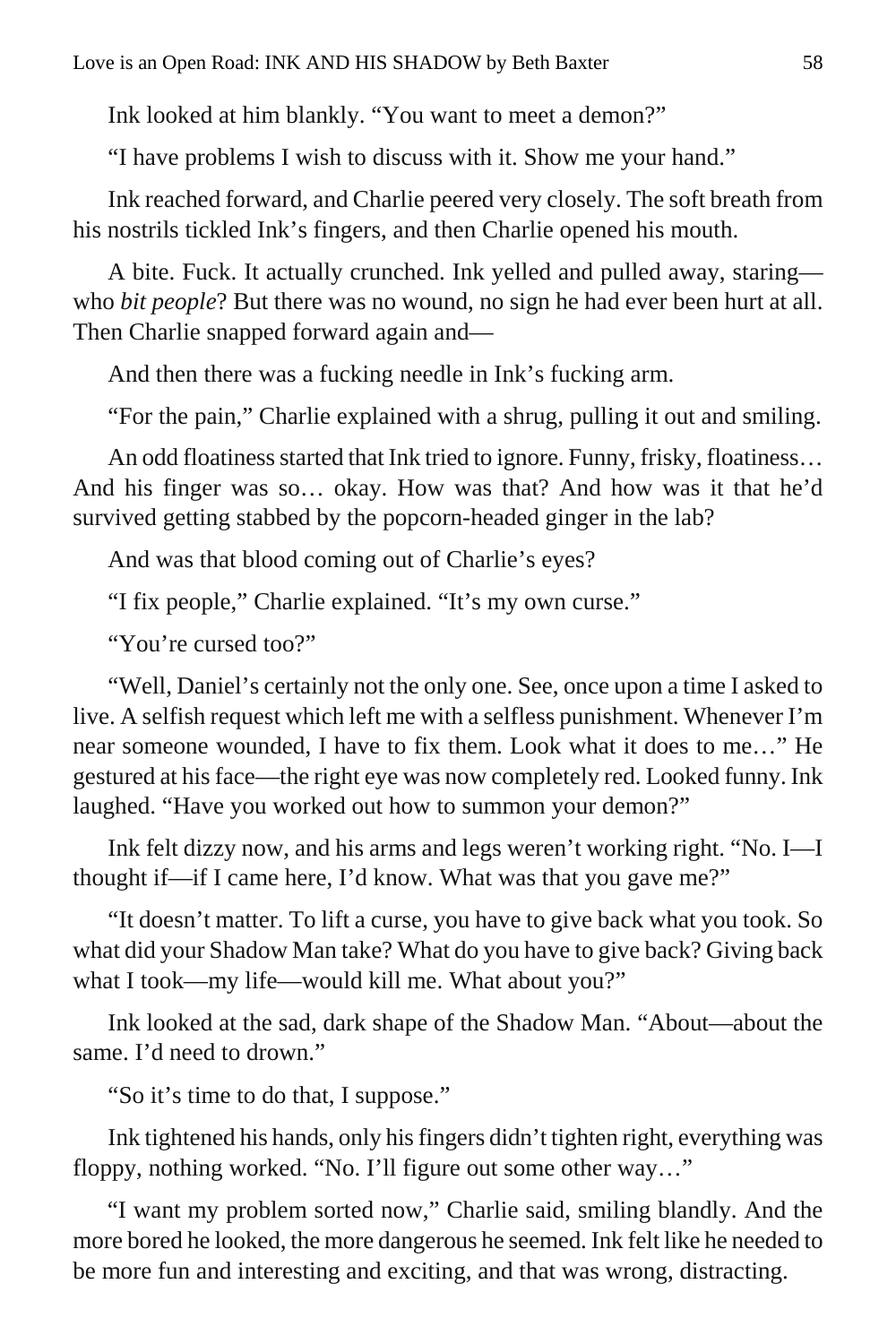Ink looked at him blankly. "You want to meet a demon?"

"I have problems I wish to discuss with it. Show me your hand."

Ink reached forward, and Charlie peered very closely. The soft breath from his nostrils tickled Ink's fingers, and then Charlie opened his mouth.

A bite. Fuck. It actually crunched. Ink yelled and pulled away, staring who *bit people*? But there was no wound, no sign he had ever been hurt at all. Then Charlie snapped forward again and—

And then there was a fucking needle in Ink's fucking arm.

"For the pain," Charlie explained with a shrug, pulling it out and smiling.

An odd floatiness started that Ink tried to ignore. Funny, frisky, floatiness… And his finger was so… okay. How was that? And how was it that he'd survived getting stabbed by the popcorn-headed ginger in the lab?

And was that blood coming out of Charlie's eyes?

"I fix people," Charlie explained. "It's my own curse."

"You're cursed too?"

"Well, Daniel's certainly not the only one. See, once upon a time I asked to live. A selfish request which left me with a selfless punishment. Whenever I'm near someone wounded, I have to fix them. Look what it does to me…" He gestured at his face—the right eye was now completely red. Looked funny. Ink laughed. "Have you worked out how to summon your demon?"

Ink felt dizzy now, and his arms and legs weren't working right. "No. I—I thought if—if I came here, I'd know. What was that you gave me?"

"It doesn't matter. To lift a curse, you have to give back what you took. So what did your Shadow Man take? What do you have to give back? Giving back what I took—my life—would kill me. What about you?"

Ink looked at the sad, dark shape of the Shadow Man. "About—about the same. I'd need to drown."

"So it's time to do that, I suppose."

Ink tightened his hands, only his fingers didn't tighten right, everything was floppy, nothing worked. "No. I'll figure out some other way…"

"I want my problem sorted now," Charlie said, smiling blandly. And the more bored he looked, the more dangerous he seemed. Ink felt like he needed to be more fun and interesting and exciting, and that was wrong, distracting.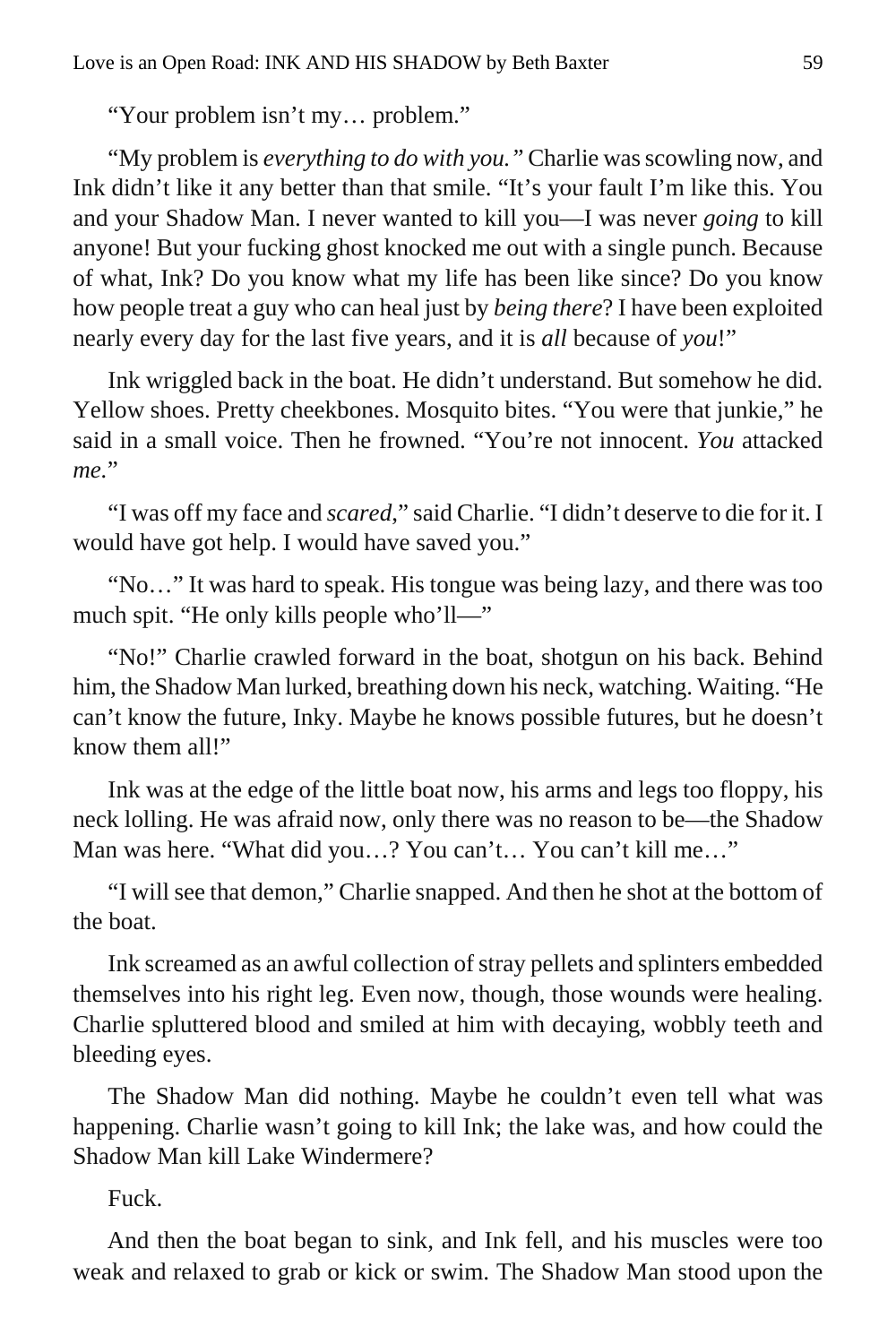"Your problem isn't my… problem."

"My problem is *everything to do with you."* Charlie was scowling now, and Ink didn't like it any better than that smile. "It's your fault I'm like this. You and your Shadow Man. I never wanted to kill you—I was never *going* to kill anyone! But your fucking ghost knocked me out with a single punch. Because of what, Ink? Do you know what my life has been like since? Do you know how people treat a guy who can heal just by *being there*? I have been exploited nearly every day for the last five years, and it is *all* because of *you*!"

Ink wriggled back in the boat. He didn't understand. But somehow he did. Yellow shoes. Pretty cheekbones. Mosquito bites. "You were that junkie," he said in a small voice. Then he frowned. "You're not innocent. *You* attacked *me.*"

"I was off my face and *scared*," said Charlie. "I didn't deserve to die for it. I would have got help. I would have saved you."

"No…" It was hard to speak. His tongue was being lazy, and there was too much spit. "He only kills people who'll—"

"No!" Charlie crawled forward in the boat, shotgun on his back. Behind him, the Shadow Man lurked, breathing down his neck, watching. Waiting. "He can't know the future, Inky. Maybe he knows possible futures, but he doesn't know them all!"

Ink was at the edge of the little boat now, his arms and legs too floppy, his neck lolling. He was afraid now, only there was no reason to be—the Shadow Man was here. "What did you…? You can't… You can't kill me…"

"I will see that demon," Charlie snapped. And then he shot at the bottom of the boat.

Ink screamed as an awful collection of stray pellets and splinters embedded themselves into his right leg. Even now, though, those wounds were healing. Charlie spluttered blood and smiled at him with decaying, wobbly teeth and bleeding eyes.

The Shadow Man did nothing. Maybe he couldn't even tell what was happening. Charlie wasn't going to kill Ink; the lake was, and how could the Shadow Man kill Lake Windermere?

Fuck.

And then the boat began to sink, and Ink fell, and his muscles were too weak and relaxed to grab or kick or swim. The Shadow Man stood upon the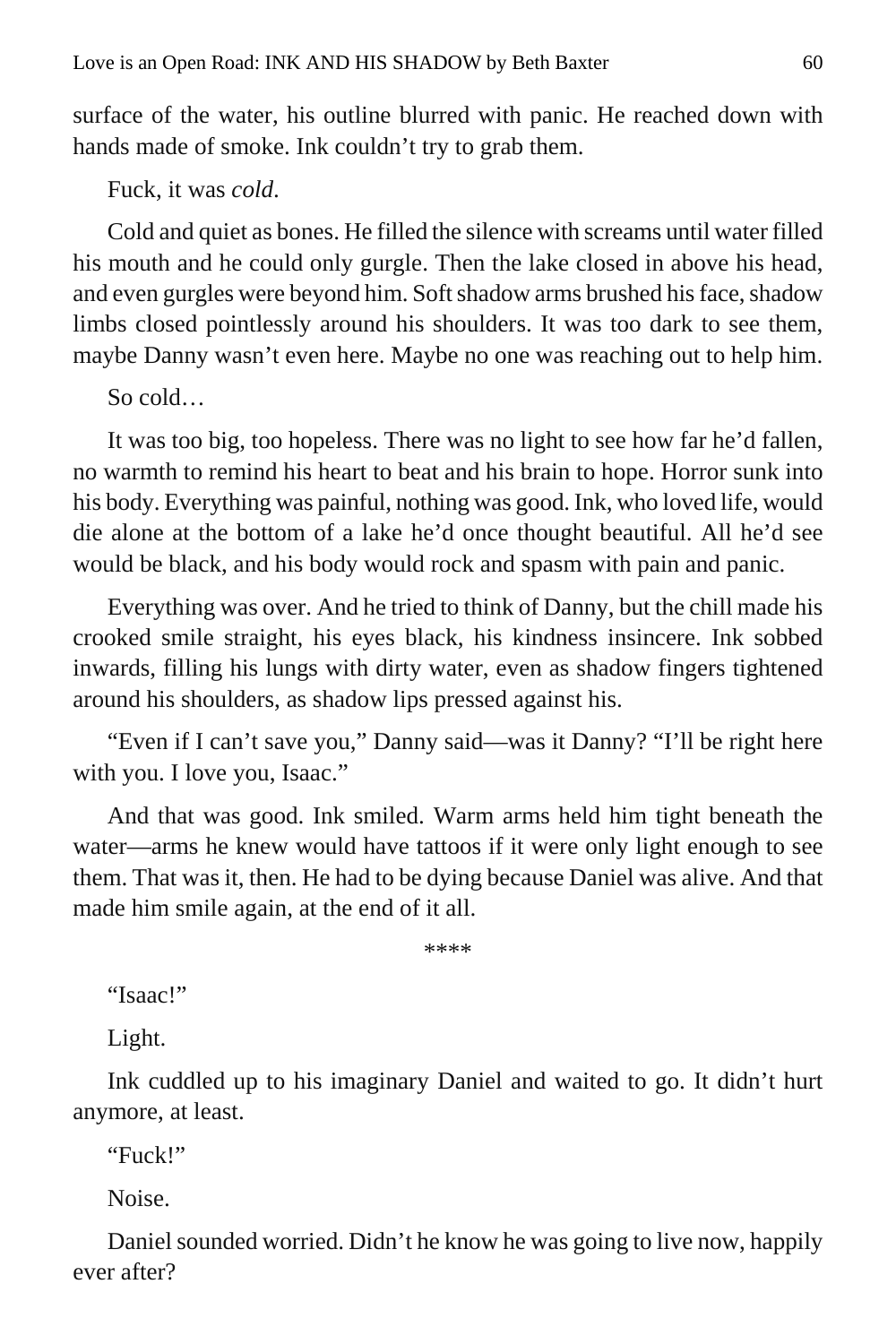surface of the water, his outline blurred with panic. He reached down with hands made of smoke. Ink couldn't try to grab them.

Fuck, it was *cold*.

Cold and quiet as bones. He filled the silence with screams until water filled his mouth and he could only gurgle. Then the lake closed in above his head, and even gurgles were beyond him. Soft shadow arms brushed his face, shadow limbs closed pointlessly around his shoulders. It was too dark to see them, maybe Danny wasn't even here. Maybe no one was reaching out to help him.

So cold…

It was too big, too hopeless. There was no light to see how far he'd fallen, no warmth to remind his heart to beat and his brain to hope. Horror sunk into his body. Everything was painful, nothing was good. Ink, who loved life, would die alone at the bottom of a lake he'd once thought beautiful. All he'd see would be black, and his body would rock and spasm with pain and panic.

Everything was over. And he tried to think of Danny, but the chill made his crooked smile straight, his eyes black, his kindness insincere. Ink sobbed inwards, filling his lungs with dirty water, even as shadow fingers tightened around his shoulders, as shadow lips pressed against his.

"Even if I can't save you," Danny said—was it Danny? "I'll be right here with you. I love you, Isaac."

And that was good. Ink smiled. Warm arms held him tight beneath the water—arms he knew would have tattoos if it were only light enough to see them. That was it, then. He had to be dying because Daniel was alive. And that made him smile again, at the end of it all.

\*\*\*\*

"Isaac!"

Light.

Ink cuddled up to his imaginary Daniel and waited to go. It didn't hurt anymore, at least.

"Fuck!"

Noise.

Daniel sounded worried. Didn't he know he was going to live now, happily ever after?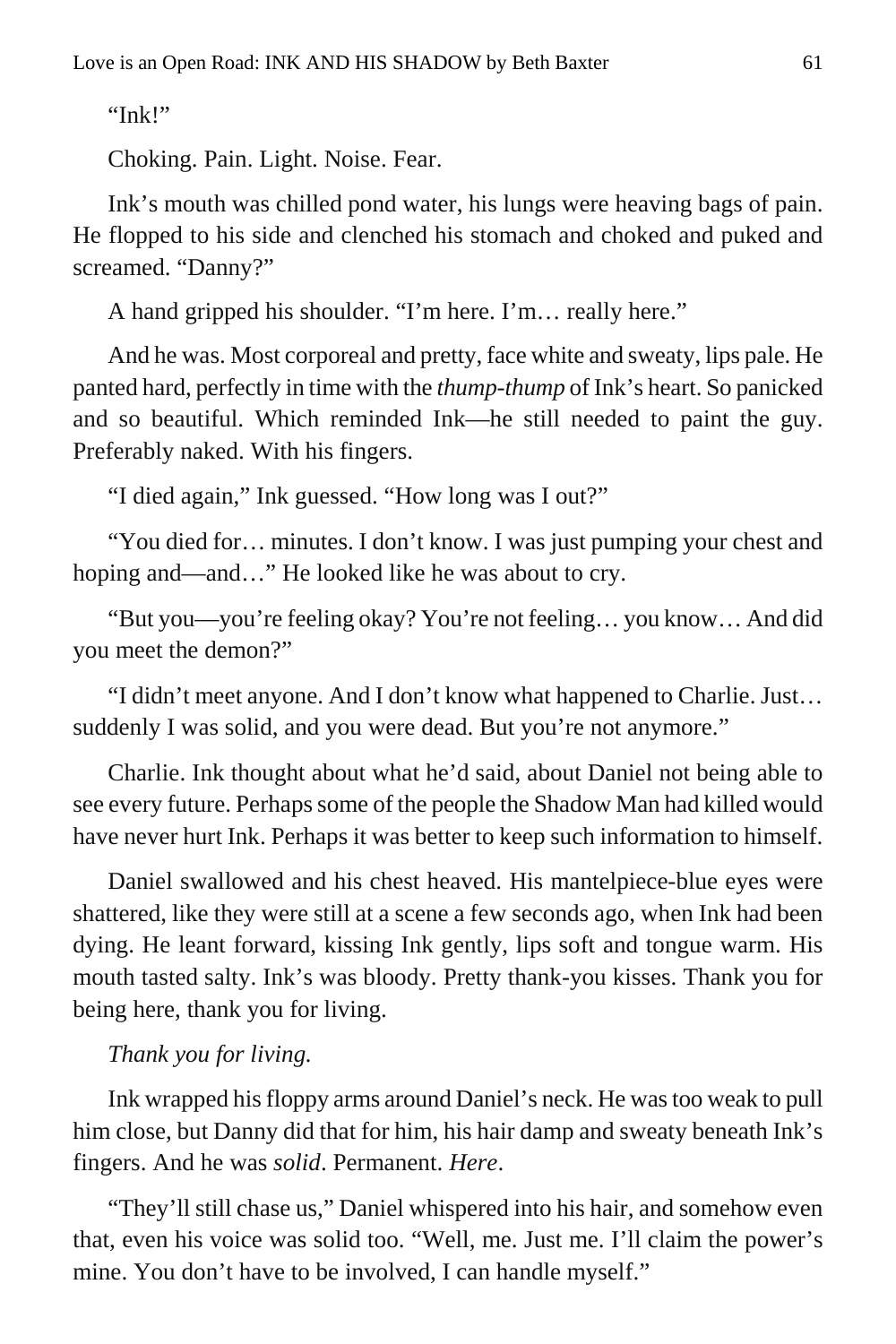"Ink!"

Choking. Pain. Light. Noise. Fear.

Ink's mouth was chilled pond water, his lungs were heaving bags of pain. He flopped to his side and clenched his stomach and choked and puked and screamed. "Danny?"

A hand gripped his shoulder. "I'm here. I'm… really here."

And he was. Most corporeal and pretty, face white and sweaty, lips pale. He panted hard, perfectly in time with the *thump-thump* of Ink's heart. So panicked and so beautiful. Which reminded Ink—he still needed to paint the guy. Preferably naked. With his fingers.

"I died again," Ink guessed. "How long was I out?"

"You died for… minutes. I don't know. I was just pumping your chest and hoping and—and…" He looked like he was about to cry.

"But you—you're feeling okay? You're not feeling… you know… And did you meet the demon?"

"I didn't meet anyone. And I don't know what happened to Charlie. Just… suddenly I was solid, and you were dead. But you're not anymore."

Charlie. Ink thought about what he'd said, about Daniel not being able to see every future. Perhaps some of the people the Shadow Man had killed would have never hurt Ink. Perhaps it was better to keep such information to himself.

Daniel swallowed and his chest heaved. His mantelpiece-blue eyes were shattered, like they were still at a scene a few seconds ago, when Ink had been dying. He leant forward, kissing Ink gently, lips soft and tongue warm. His mouth tasted salty. Ink's was bloody. Pretty thank-you kisses. Thank you for being here, thank you for living.

#### *Thank you for living.*

Ink wrapped his floppy arms around Daniel's neck. He was too weak to pull him close, but Danny did that for him, his hair damp and sweaty beneath Ink's fingers. And he was *solid*. Permanent. *Here*.

"They'll still chase us," Daniel whispered into his hair, and somehow even that, even his voice was solid too. "Well, me. Just me. I'll claim the power's mine. You don't have to be involved, I can handle myself."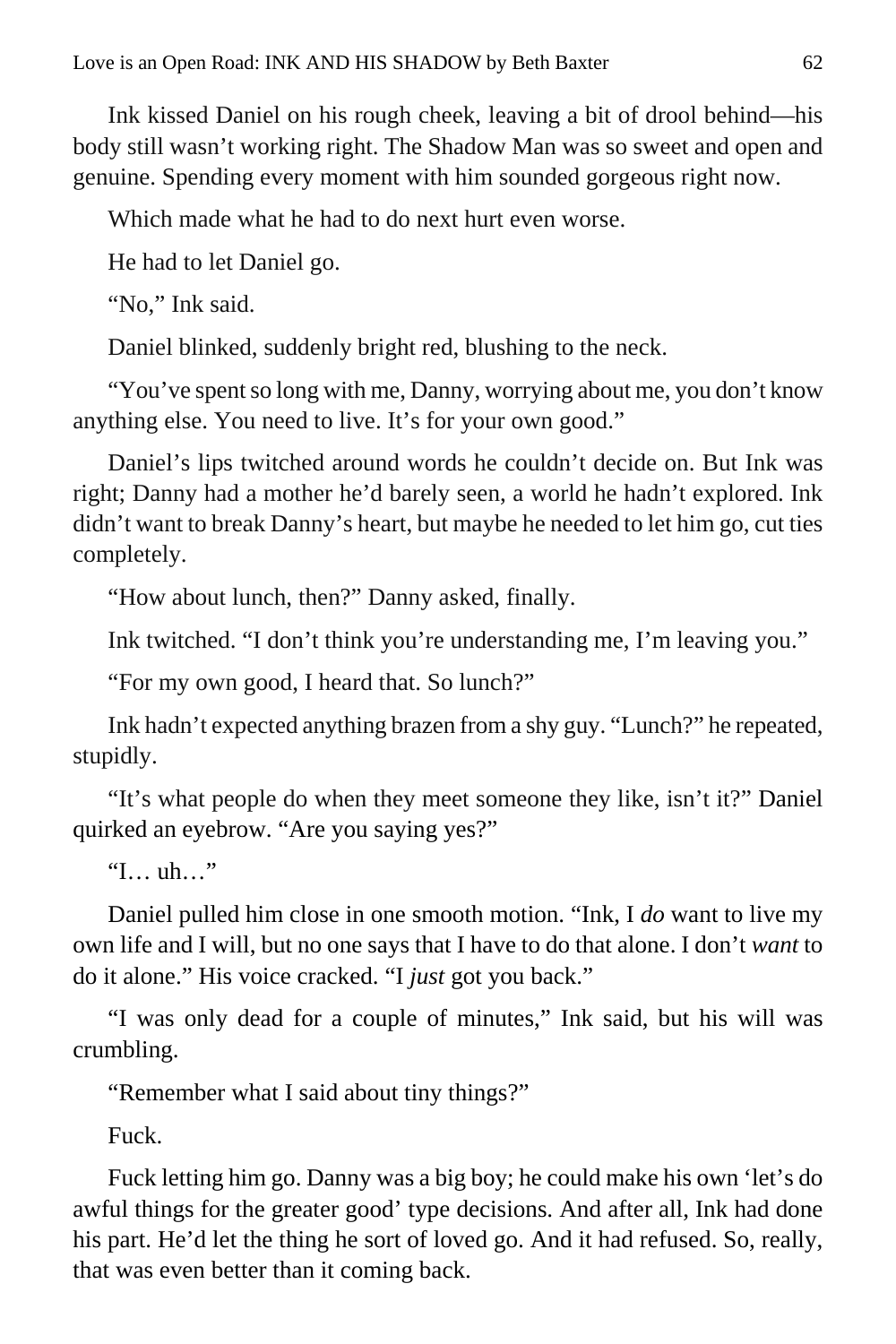Ink kissed Daniel on his rough cheek, leaving a bit of drool behind—his body still wasn't working right. The Shadow Man was so sweet and open and genuine. Spending every moment with him sounded gorgeous right now.

Which made what he had to do next hurt even worse.

He had to let Daniel go.

"No," Ink said.

Daniel blinked, suddenly bright red, blushing to the neck.

"You've spent so long with me, Danny, worrying about me, you don't know anything else. You need to live. It's for your own good."

Daniel's lips twitched around words he couldn't decide on. But Ink was right; Danny had a mother he'd barely seen, a world he hadn't explored. Ink didn't want to break Danny's heart, but maybe he needed to let him go, cut ties completely.

"How about lunch, then?" Danny asked, finally.

Ink twitched. "I don't think you're understanding me, I'm leaving you."

"For my own good, I heard that. So lunch?"

Ink hadn't expected anything brazen from a shy guy. "Lunch?" he repeated, stupidly.

"It's what people do when they meet someone they like, isn't it?" Daniel quirked an eyebrow. "Are you saying yes?"

"I… uh…"

Daniel pulled him close in one smooth motion. "Ink, I *do* want to live my own life and I will, but no one says that I have to do that alone. I don't *want* to do it alone." His voice cracked. "I *just* got you back."

"I was only dead for a couple of minutes," Ink said, but his will was crumbling.

"Remember what I said about tiny things?"

Fuck.

Fuck letting him go. Danny was a big boy; he could make his own 'let's do awful things for the greater good' type decisions. And after all, Ink had done his part. He'd let the thing he sort of loved go. And it had refused. So, really, that was even better than it coming back.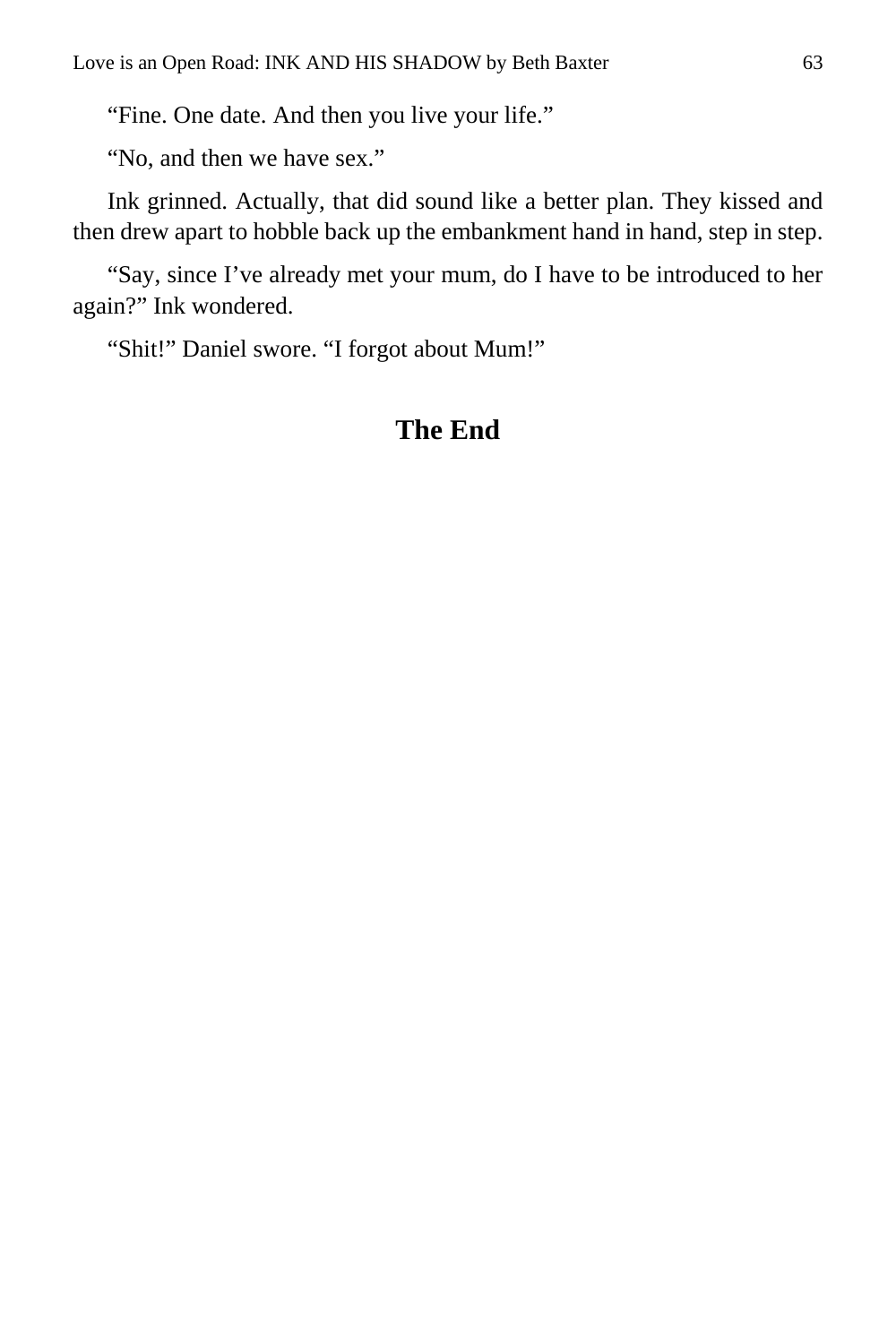"Fine. One date. And then you live your life."

"No, and then we have sex."

Ink grinned. Actually, that did sound like a better plan. They kissed and then drew apart to hobble back up the embankment hand in hand, step in step.

"Say, since I've already met your mum, do I have to be introduced to her again?" Ink wondered.

"Shit!" Daniel swore. "I forgot about Mum!"

#### **The End**